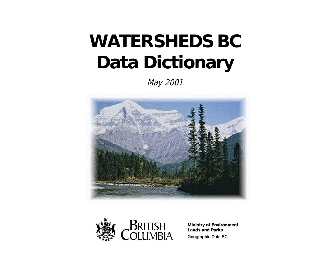# **WATERSHEDS BC Data Dictionary**

May 2001





**Ministry of Environment Lands and Parks** Geographic Data BC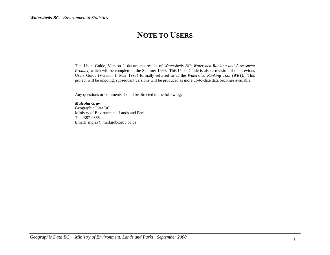# **NOTE TO USERS**

This Users Guide, Version 2, documents results of *Watersheds BC: Watershed Ranking and Assessment Product,* which will be complete in the Summer 1999. This Users Guide is also a revision of the previous Users Guide (Version 1, May 1998) formally referred to as the *Watershed Ranking Tool (WRT)*. This project will be ongoing; subsequent versions will be produced as more up-to-date data becomes available.

Any questions or comments should be directed to the following:

*Malcolm Gray* Geographic Data BC Ministry of Environment, Lands and Parks Tel: 387-9365 Email: mgray@mail.gdbc.gov.bc.ca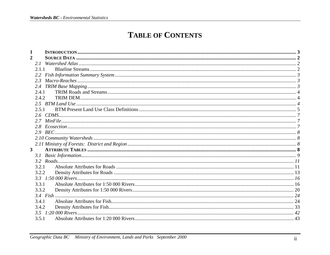# **TABLE OF CONTENTS**

| $\overline{2}$ |        |  |
|----------------|--------|--|
| 21             |        |  |
|                | 2.1.1  |  |
|                |        |  |
| 2.3            |        |  |
|                |        |  |
| 2.4.1          |        |  |
|                | 2.4.2. |  |
|                |        |  |
|                | 2.5.1  |  |
|                |        |  |
|                |        |  |
|                |        |  |
|                |        |  |
|                |        |  |
|                |        |  |
| 3 <sup>1</sup> |        |  |
| 3.1            |        |  |
|                |        |  |
|                | 3.2.1  |  |
|                | 3.2.2  |  |
|                |        |  |
| 3.3.1          |        |  |
|                | 3.3.2  |  |
|                |        |  |
| 3.4.1          |        |  |
|                | 3.4.2  |  |
| 35             |        |  |
| 3.5.1          |        |  |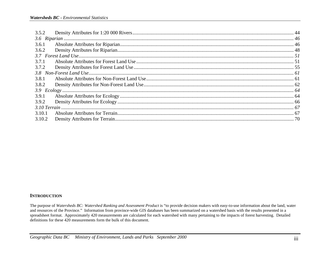| 3.6.1  |  |
|--------|--|
| 3.6.2  |  |
|        |  |
| 3.7.1  |  |
|        |  |
|        |  |
| 3.8.1  |  |
| 3.8.2  |  |
|        |  |
| 3.9.1  |  |
| 3.9.2  |  |
|        |  |
| 3.10.1 |  |
| 3.10.2 |  |

#### **INTRODUCTION**

The purpose of Watersheds BC: Watershed Ranking and Assessment Product is "to provide decision makers with easy-to-use information about the land, water and resources of the Province." Information from province-wide GIS databases has been summarized on a watershed basis with the results presented in a spreadsheet format. Approximately 420 measurements are calculated for each watershed with many pertaining to the impacts of forest harvesting. Detailed definitions for these  $420$  measurements form the bulk of this document.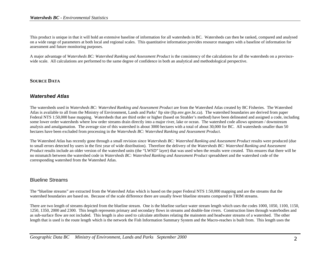This product is unique in that it will hold an extensive baseline of information for all watersheds in BC. Watersheds can then be ranked, compared and analysed on a wide range of parameters at both local and regional scales. This quantitative information provides resource managers with a baseline of information for assessment and future monitoring purposes.

A major advantage of *Watersheds BC: Watershed Ranking and Assessment Product* is the consistency of the calculations for all the watersheds on a provincewide scale. All calculations are performed to the same degree of confidence in both an analytical and methodological perspective.

#### **SOURCE DATA**

#### *Watershed Atlas*

The watersheds used in *Watersheds BC: Watershed Ranking and Assessment Product* are from the Watershed Atlas created by BC Fisheries. The Watershed Atlas is available to all from the Ministry of Environment, Lands and Parks' ftp site (ftp.env.gov.bc.ca). The watershed boundaries are derived from paper Federal NTS 1:50,000 base mapping. Watersheds that are third order or higher (based on Strahler's method) have been delineated and assigned a code, including some lower order watersheds where low order streams drain directly into a major river, lake or ocean. The watershed code allows upstream / downstream analysis and amalgamation. The average size of this watershed is about 3000 hectares with a total of about 30,000 for BC. All watersheds smaller than 50 hectares have been excluded from processing in the *Watersheds BC: Watershed Ranking and Assessment Product*.

The Watershed Atlas has recently gone through a small revision since *Watersheds BC: Watershed Ranking and Assessment Product* results were produced (due to small errors detected by users in the first year of wide distribution). Therefore the delivery of the *Watersheds BC: Watershed Ranking and Assessment Product* results include an older version of the watershed units (the "LWSD" layer) that was used when the results were created. This ensures that there will be no mismatch between the watershed code in *Watersheds BC: Watershed Ranking and Assessment Product* spreadsheet and the watershed code of the corresponding watershed from the Watershed Atlas.

#### Blueline Streams

The "blueline streams" are extracted from the Watershed Atlas which is based on the paper Federal NTS 1:50,000 mapping and are the streams that the watershed boundaries are based on. Because of the scale difference there are usually fewer blueline streams compared to TRIM streams.

There are two length of streams depicted from the blueline stream. One is the blueline surface water stream length which uses the codes 1000, 1050, 1100, 1150, 1250, 1350, 2000 and 2300. This length represents primary and secondary flows in streams and double-line rivers. Construction lines through waterbodies and as sub-surface flow are not included. This length is also used to calculate attributes relating the mainstem and headwater streams of a watershed. The other length that is used is the route length which is the network the Fish Information Summary System and the Macro-reaches is built from. This length uses the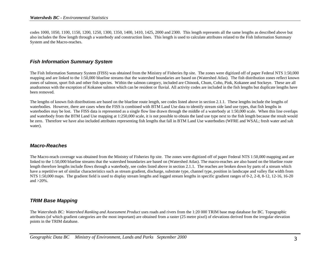codes 1000, 1050, 1100, 1150, 1200, 1250, 1300, 1350, 1400, 1410, 1425, 2000 and 2300. This length represents all the same lengths as described above but also includes the flow length through a waterbody and construction lines. This length is used to calculate attributes related to the Fish Information Summary System and the Macro-reaches.

#### *Fish Information Summary System*

The Fish Information Summary System (FISS) was obtained from the Ministry of Fisheries ftp site. The zones were digitized off of paper Federal NTS 1:50,000 mapping and are linked to the 1:50,000 blueline streams that the watershed boundaries are based on (Watershed Atlas). The fish distribution zones reflect known zones of salmon, sport fish and other fish species. Within the salmon category, included are Chinook, Chum, Coho, Pink, Kokanee and Sockeye. These are all anadramous with the exception of Kokanee salmon which can be resident or fluvial. All activity codes are included in the fish lengths but duplicate lengths have been removed.

The lengths of known fish distributions are based on the blueline route length, see codes listed above in section 2.1.1. These lengths include the lengths of waterbodies. However, there are cases when the FISS is combined with BTM Land Use data to identify stream side land use types, that fish lengths in waterbodies may be lost. The FISS data is represented as a single flow line drawn through the middle of a waterbody at 1:50,000 scale. When this line overlaps and waterbody from the BTM Land Use mapping at 1:250,000 scale, it is not possible to obtain the land use type next to the fish length because the result would be zero. Therefore we have also included attributes representing fish lengths that fall in BTM Land Use waterbodies (WFRE and WSAL; fresh water and salt water).

#### *Macro-Reaches*

The Macro-reach coverage was obtained from the Ministry of Fisheries ftp site. The zones were digitized off of paper Federal NTS 1:50,000 mapping and are linked to the 1:50,000 blueline streams that the watershed boundaries are based on (Watershed Atlas). The macro-reaches are also based on the blueline route length therefore lengths include flows through a waterbody, see codes listed above in section 2.1.1. The reaches are broken down by parts of a stream which have a repetitive set of similar characteristics such as stream gradient, discharge, substrate type, channel type, position in landscape and valley flat width from NTS 1:50,000 maps. The gradient field is used to display stream lengths and logged stream lengths in specific gradient ranges of 0-2, 2-8, 8-12, 12-16, 16-20 and  $>20\%$ .

#### *TRIM Base Mapping*

The *Watersheds BC: Watershed Ranking and Assessment Product* uses roads and rivers from the 1:20 000 TRIM base map database for BC. Topographic attributes (of which gradient categories are the most important) are obtained from a raster (25 metre pixel) of elevations derived from the irregular elevation points in the TRIM database.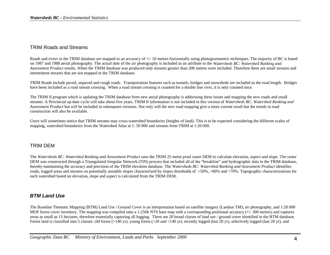#### TRIM Roads and Streams

Roads and rivers in the TRIM database are mapped to an accuracy of  $+/-10$  metres horizontally using photogrammetric techniques. The majority of BC is based on 1987 and 1988 aerial photography. The actual date of the air photography is included as an attribute to the *Watersheds BC: Watershed Ranking and Assessment Product* results. When the TRIM database was produced only streams greater than 200 metres were included. Therefore there are small streams and intermittent streams that are not mapped in the TRIM database.

TRIM Roads include paved, unpaved and rough roads. Transportation features such as tunnels, bridges and snowsheds are included as the road length. Bridges have been included as a road stream crossing. When a road stream crossing is counted for a double line river, it is only counted once.

The TRIM II program which is updating the TRIM database from new aerial photography is addressing these issues and mapping the new roads and small streams. A Provincial up-date cycle will take about five years. TRIM II information is not included in this version of *Watersheds BC: Watershed Ranking and Assessment Product* but will be included in subsequent versions. Not only will the new road mapping give a more current result but the trends in road construction will also be available.

Users will sometimes notice that TRIM streams may cross-watershed boundaries (heights of land). This is to be expected considering the different scales of mapping, watershed boundaries from the Watershed Atlas at 1: 50 000 and streams from TRIM at 1:20 000.

#### TRIM DEM

The *Watersheds BC: Watershed Ranking and Assessment Product* uses the TRIM 25 metre pixel raster DEM to calculate elevation, aspect and slope. The raster DEM was constructed through a Triangulated Irregular Network (TIN) process that included all of the "breakline" and hydrographic data in the TRIM database, thereby maintaining the accuracy and precision of the TRIM elevation database. The *Watersheds BC: Watershed Ranking and Assessment Product* identifies roads, logged areas and streams on potentially unstable slopes characterized by slopes thresholds of >50%, >60% and >70%. Topographic characterizations for each watershed based on elevation, slope and aspect is calculated from the TRIM DEM.

#### *BTM Land Use*

The Baseline Thematic Mapping (BTM) Land Use / Ground Cover is an interpretation based on satellite imagery (Landsat TM), air photography, and 1:20 000 MOF forest cover inventory. The mapping was compiled onto a 1:250k NTS base map with a corresponding positional accuracy (+/- 300 metres) and captures areas as small as 15 hectares, therefore essentially capturing all logging. There are 20 broad classes of land use / ground cover identified in the BTM database. Forest land is classified into 5 classes: old forest (>140 yr), young forest (>20 and <140 yr), recently logged (last 20 yr), selectively logged (last 20 yr), and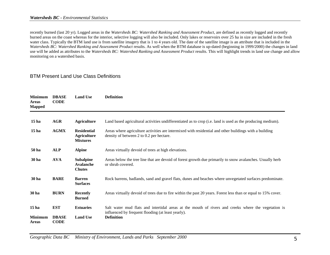recently burned (last 20 yr). Logged areas in the *Watersheds BC: Watershed Ranking and Assessment Product*, are defined as recently logged and recently burned areas on the coast whereas for the interior, selective logging will also be included. Only lakes or reservoirs over 25 ha in size are included in the fresh water class. Typically the BTM land use is from satellite imagery that is 1 to 4 years old. The date of the satellite image is an attribute that is included in the *Watersheds BC: Watershed Ranking and Assessment Product* results. As well when the BTM database is up-dated (beginning in 1999/2000) the changes in land use will be added as attributes to the *Watersheds BC: Watershed Ranking and Assessment Product* results. This will highlight trends in land use change and allow monitoring on a watershed basis.

#### BTM Present Land Use Class Definitions

| <b>Minimum</b><br><b>Areas</b><br><b>Mapped</b> | <b>DBASE</b><br><b>CODE</b> | <b>Land Use</b>                                             | <b>Definition</b>                                                                                                                                  |  |  |  |  |
|-------------------------------------------------|-----------------------------|-------------------------------------------------------------|----------------------------------------------------------------------------------------------------------------------------------------------------|--|--|--|--|
| 15 <sub>ha</sub>                                | <b>AGR</b>                  | <b>Agriculture</b>                                          | Land based agricultural activities undifferentiated as to crop (i.e. land is used as the producing medium).                                        |  |  |  |  |
| 15 <sub>ha</sub>                                | <b>AGMX</b>                 | <b>Residential</b><br><b>Agriculture</b><br><b>Mixtures</b> | Areas where agriculture activities are intermixed with residential and other buildings with a building<br>density of between 2 to 0.2 per hectare. |  |  |  |  |
| 50 ha                                           | <b>ALP</b>                  | <b>Alpine</b>                                               | Areas virtually devoid of trees at high elevations.                                                                                                |  |  |  |  |
| 30 ha                                           | <b>AVA</b>                  | <b>Subalpine</b><br>Avalanche<br><b>Chutes</b>              | Areas below the tree line that are devoid of forest growth due primarily to snow avalanches. Usually herb<br>or shrub covered.                     |  |  |  |  |
| 30 ha                                           | <b>BARE</b>                 | <b>Barren</b><br><b>Surfaces</b>                            | Rock barrens, badlands, sand and gravel flats, dunes and beaches where unvegetated surfaces predominate.                                           |  |  |  |  |
| 30 ha                                           | <b>BURN</b>                 | <b>Recently</b><br><b>Burned</b>                            | Areas virtually devoid of trees due to fire within the past 20 years. Forest less than or equal to 15% cover.                                      |  |  |  |  |
| 15 <sub>ha</sub>                                | <b>EST</b>                  | <b>Estuaries</b>                                            | Salt water mud flats and intertidal areas at the mouth of rivers and creeks where the vegetation is                                                |  |  |  |  |
| <b>Minimum</b><br><b>Areas</b>                  | <b>DBASE</b><br><b>CODE</b> | <b>Land Use</b>                                             | influenced by frequent flooding (at least yearly).<br><b>Definition</b>                                                                            |  |  |  |  |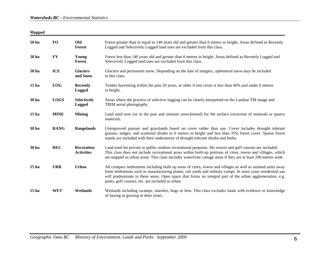| <b>Mapped</b>    |             |                                        |                                                                                                                                                                                                                                                                                                                                                                                              |
|------------------|-------------|----------------------------------------|----------------------------------------------------------------------------------------------------------------------------------------------------------------------------------------------------------------------------------------------------------------------------------------------------------------------------------------------------------------------------------------------|
| 50 ha            | <b>FO</b>   | Old<br><b>Forest</b>                   | Forest greater than or equal to 140 years old and greater than 6 meters in height. Areas defined as Recently<br>Logged and Selectively Logged land uses are excluded from this class.                                                                                                                                                                                                        |
| 50 ha            | FY          | Young<br><b>Forest</b>                 | Forest less than 140 years old and greater than 6 metres in height. Areas defined as Recently Logged and<br>Selectively Logged land uses are excluded from this class.                                                                                                                                                                                                                       |
| 50 ha            | <b>ICE</b>  | <b>Glaciers</b><br>and Snow            | Glaciers and permanent snow. Depending on the date of imagery, ephemeral snow may be included<br>in this class.                                                                                                                                                                                                                                                                              |
| 15 <sub>ha</sub> | <b>LOG</b>  | <b>Recently</b><br><b>Logged</b>       | Timber harvesting within the past 20 years, or older if tree cover is less than 40% and under 6 metres<br>in height.                                                                                                                                                                                                                                                                         |
| 30 ha            | <b>LOGS</b> | <b>Selectively</b><br><b>Logged</b>    | Areas where the practice of selective logging can be clearly interpreted on the Landsat TM image and<br>TRIM aerial photography.                                                                                                                                                                                                                                                             |
| 15 <sub>ha</sub> | <b>MINE</b> | <b>Mining</b>                          | Land used now (or in the past and remains unreclaimed) for the surface extraction of minerals or quarry<br>materials.                                                                                                                                                                                                                                                                        |
| 30 ha            | <b>RANG</b> | Rangelands                             | Unimproved pasture and grasslands based on cover rather than use. Cover includes drought tolerant<br>grasses, sedges, and scattered shrubs to 6 metres in height and less than 35% forest cover. Sparse forest<br>stands are included with their understorey of drought tolerant shrubs and herbs.                                                                                           |
| 30 ha            | <b>REC</b>  | <b>Recreation</b><br><b>Activities</b> | Land used for private or public outdoor recreational purposes. Ski resorts and golf courses are included.<br>This class does not include recreational areas within built-up portions of cities, towns and villages, which<br>are mapped as urban areas. This class includes waterfront cottage areas if they are at least 200 metres wide.                                                   |
| 15 <sub>ha</sub> | <b>URB</b>  | Urban                                  | All compact settlements including built up areas of cities, towns and villages as well as isolated units away<br>from settlements such as manufacturing plants, rail yards and military camps. In most cases residential use<br>will predominate in these areas. Open space that forms an integral part of the urban agglomeration, e.g.<br>parks, golf courses, etc. are included as urban. |
| 15 <sub>ha</sub> | <b>WET</b>  | Wetlands                               | Wetlands including swamps, marshes, bogs or fens. This class excludes lands with evidence or knowledge<br>of haying or grazing in drier years.                                                                                                                                                                                                                                               |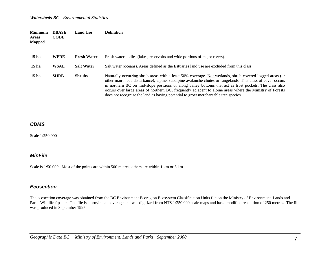| <b>Minimum</b><br><b>Areas</b><br><b>Mapped</b> | <b>DBASE</b><br><b>CODE</b> | <b>Land Use</b>    | <b>Definition</b>                                                                                                                                                                                                                                                                                                                                                                                                                                                                                                                  |
|-------------------------------------------------|-----------------------------|--------------------|------------------------------------------------------------------------------------------------------------------------------------------------------------------------------------------------------------------------------------------------------------------------------------------------------------------------------------------------------------------------------------------------------------------------------------------------------------------------------------------------------------------------------------|
|                                                 |                             |                    |                                                                                                                                                                                                                                                                                                                                                                                                                                                                                                                                    |
| 15 ha                                           | <b>WFRE</b>                 | <b>Fresh Water</b> | Fresh water bodies (lakes, reservoirs and wide portions of major rivers).                                                                                                                                                                                                                                                                                                                                                                                                                                                          |
| 15 <sub>ha</sub>                                | <b>WSAL</b>                 | <b>Salt Water</b>  | Salt water (oceans). Areas defined as the Estuaries land use are excluded from this class.                                                                                                                                                                                                                                                                                                                                                                                                                                         |
| 15 ha                                           | <b>SHRB</b>                 | <b>Shrubs</b>      | Naturally occurring shrub areas with a least 50% coverage. Not wetlands, shrub covered logged areas (or<br>other man-made disturbance), alpine, subalpine avalanche chutes or rangelands. This class of cover occurs<br>in northern BC on mid-slope positions or along valley bottoms that act as frost pockets. The class also<br>occurs over large areas of northern BC, frequently adjacent to alpine areas where the Ministry of Forests<br>does not recognize the land as having potential to grow merchantable tree species. |

#### *CDMS*

Scale 1:250 000

#### *MinFile*

Scale is 1:50 000. Most of the points are within 500 metres, others are within 1 km or 5 km.

#### *Ecosection*

The ecosection coverage was obtained from the BC Environment Ecoregion Ecosystem Classification Units file on the Ministry of Environment, Lands and Parks Wildlife ftp site. The file is a provincial coverage and was digitized from NTS 1:250 000 scale maps and has a modified resolution of 250 metres. The file was produced in September 1995.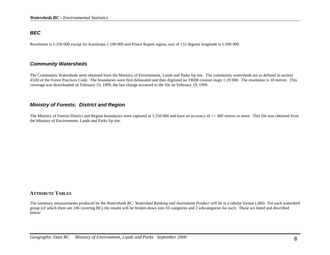#### *BEC*

Resolution is 1:250 000 except for Kamloops 1:100 000 and Prince Rupert region, east of 132 degrees longitude is 1:500 000.

#### *Community Watersheds*

The Community Watersheds were obtained from the Ministry of Environment, Lands and Parks ftp site. The community watersheds are as defined in section 41(8) of the Forest Practices Code. The boundaries were first delineated and then digitized on TRIM contour maps 1:20 000. The resolution is 10 metres. This coverage was downloaded on February 23, 1999, the last change occurred to the file on February 19, 1999.

#### *Ministry of Forests: District and Region*

The Ministry of Forests District and Region boundaries were captured at 1:250 000 and have an accuracy of +/- 400 metres or more. This file was obtained from the Ministry of Environment, Lands and Parks ftp site.

#### **ATTRIBUTE TABLES**

The summary measurements produced by the *Watersheds BC: Watershed Ranking and Assessment Product* will be in a tabular format (.dbf). For each watershed group (of which there are 246 covering BC) the results will be broken down into 10 categories and 2 subcategories for each. These are listed and described below: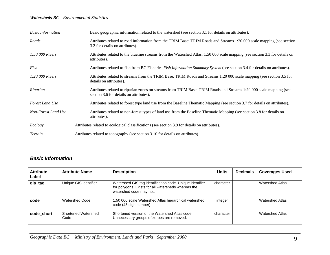#### *Watersheds BC - Environmental Statistics*

| <b>Basic Information</b> | Basic geographic information related to the watershed (see section 3.1 for details on attributes).                                                            |
|--------------------------|---------------------------------------------------------------------------------------------------------------------------------------------------------------|
| Roads                    | Attributes related to road information from the TRIM Base: TRIM Roads and Streams 1:20 000 scale mapping (see section<br>3.2 for details on attributes).      |
| 1:50 000 Rivers          | Attributes related to the blueline streams from the Watershed Atlas: 1:50 000 scale mapping (see section 3.3 for details on<br>attributes).                   |
| Fish                     | Attributes related to fish from BC Fisheries Fish Information Summary System (see section 3.4 for details on attributes).                                     |
| $1:20\,000$ Rivers       | Attributes related to streams from the TRIM Base: TRIM Roads and Streams 1:20 000 scale mapping (see section 3.5 for<br>details on attributes).               |
| Riparian                 | Attributes related to riparian zones on streams from TRIM Base: TRIM Roads and Streams 1:20 000 scale mapping (see<br>section 3.6 for details on attributes). |
| Forest Land Use          | Attributes related to forest type land use from the Baseline Thematic Mapping (see section 3.7 for details on attributes).                                    |
| Non-Forest Land Use      | Attributes related to non-forest types of land use from the Baseline Thematic Mapping (see section 3.8 for details on<br>attributes).                         |
| Ecology                  | Attributes related to ecological classifications (see section 3.9 for details on attributes).                                                                 |
| Terrain                  | Attributes related to topography (see section 3.10 for details on attributes).                                                                                |

## *Basic Information*

| <b>Attribute</b><br>Label | <b>Attribute Name</b>       | <b>Description</b>                                                                                                                         | <b>Units</b> | <b>Decimals</b> | <b>Coverages Used</b>  |
|---------------------------|-----------------------------|--------------------------------------------------------------------------------------------------------------------------------------------|--------------|-----------------|------------------------|
| gis_tag                   | Unique GIS identifier       | Watershed GIS tag identification code. Unique identifier<br>for polygons. Exists for all watersheds whereas the<br>watershed code may not. | character    |                 | <b>Watershed Atlas</b> |
| code                      | Watershed Code              | 1:50 000 scale Watershed Atlas hierarchical watershed<br>code (45 digit number).                                                           | integer      |                 | <b>Watershed Atlas</b> |
| code short                | Shortened Watershed<br>Code | Shortened version of the Watershed Atlas code.<br>Unnecessary groups of zeroes are removed.                                                | character    |                 | <b>Watershed Atlas</b> |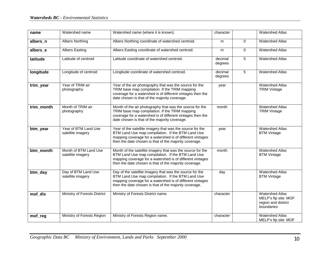| name       | Watershed name                             | Watershed name (where it is known).                                                                                                                                                                                                    | character          |   | <b>Watershed Atlas</b>                                                              |
|------------|--------------------------------------------|----------------------------------------------------------------------------------------------------------------------------------------------------------------------------------------------------------------------------------------|--------------------|---|-------------------------------------------------------------------------------------|
| albers_n   | <b>Albers Northing</b>                     | Albers Northing coordinate of watershed centroid.                                                                                                                                                                                      | m                  | 0 | <b>Watershed Atlas</b>                                                              |
| albers_e   | <b>Albers Easting</b>                      | Albers Easting coordinate of watershed centroid.                                                                                                                                                                                       | m                  | 0 | <b>Watershed Atlas</b>                                                              |
| latitude   | Latitude of centroid                       | Latitude coordinate of watershed centroid.                                                                                                                                                                                             | decimal<br>degrees | 5 | <b>Watershed Atlas</b>                                                              |
| longitude  | Longitude of centroid                      | Longitude coordinate of watershed centroid.                                                                                                                                                                                            | decimal<br>degrees | 5 | <b>Watershed Atlas</b>                                                              |
| trim_year  | Year of TRIM air<br>photography            | Year of the air photography that was the source for the<br>TRIM base map compilation. If the TRIM mapping<br>coverage for a watershed is of different vintages then the<br>date chosen is that of the majority coverage.               | year               |   | <b>Watershed Atlas</b><br><b>TRIM Vintage</b>                                       |
| trim_month | Month of TRIM air<br>photography           | Month of the air photography that was the source for the<br>TRIM base map compilation. If the TRIM mapping<br>coverage for a watershed is of different vintages then the<br>date chosen is that of the majority coverage.              | month              |   | <b>Watershed Atlas</b><br><b>TRIM Vintage</b>                                       |
| btm_year   | Year of BTM Land Use<br>satellite imagery  | Year of the satellite imagery that was the source for the<br>BTM Land Use map compilation. If the BTM Land Use<br>mapping coverage for a watershed is of different vintages<br>then the date chosen is that of the majority coverage.  | year               |   | <b>Watershed Atlas</b><br><b>BTM Vintage</b>                                        |
| btm_month  | Month of BTM Land Use<br>satellite imagery | Month of the satellite imagery that was the source for the<br>BTM Land Use map compilation. If the BTM Land Use<br>mapping coverage for a watershed is of different vintages<br>then the date chosen is that of the majority coverage. | month              |   | <b>Watershed Atlas</b><br><b>BTM Vintage</b>                                        |
| btm_day    | Day of BTM Land Use<br>satellite imagery   | Day of the satellite imagery that was the source for the<br>BTM Land Use map compilation. If the BTM Land Use<br>mapping coverage for a watershed is of different vintages<br>then the date chosen is that of the majority coverage.   | day                |   | <b>Watershed Atlas</b><br><b>BTM Vintage</b>                                        |
| mof_dis    | Ministry of Forests District               | Ministry of Forests District name.                                                                                                                                                                                                     | character          |   | <b>Watershed Atlas</b><br>MELP's ftp site: MOF<br>region and district<br>boundaries |
| mof_reg    | Ministry of Forests Region                 | Ministry of Forests Region name.                                                                                                                                                                                                       | character          |   | <b>Watershed Atlas</b><br>MELP's ftp site: MOF                                      |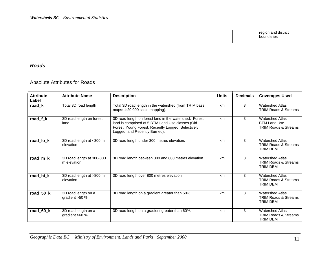|  |  |  |  | rogion<br><b>COM</b><br>A<br>boundaries |
|--|--|--|--|-----------------------------------------|
|--|--|--|--|-----------------------------------------|

## *Roads*

#### Absolute Attributes for Roads

| <b>Attribute</b><br>Label | <b>Attribute Name</b>                    | <b>Description</b>                                                                                                                                                                                | <b>Units</b> | <b>Decimals</b> | <b>Coverages Used</b>                                                            |
|---------------------------|------------------------------------------|---------------------------------------------------------------------------------------------------------------------------------------------------------------------------------------------------|--------------|-----------------|----------------------------------------------------------------------------------|
| road_k                    | Total 3D road length                     | Total 3D road length in the watershed (from TRIM base<br>maps: 1:20 000 scale mapping).                                                                                                           | km           | 3               | <b>Watershed Atlas</b><br><b>TRIM Roads &amp; Streams</b>                        |
| road f k                  | 3D road length on forest<br>land         | 3D road length on forest land in the watershed. Forest<br>land is comprised of 5 BTM Land Use classes (Old<br>Forest, Young Forest, Recently Logged, Selectively<br>Logged, and Recently Burned). | km           | 3               | <b>Watershed Atlas</b><br><b>BTM Land Use</b><br><b>TRIM Roads &amp; Streams</b> |
| road_lo_k                 | 3D road length at <300 m<br>elevation    | 3D road length under 300 metres elevation.                                                                                                                                                        | km           | 3               | <b>Watershed Atlas</b><br><b>TRIM Roads &amp; Streams</b><br>TRIM DEM            |
| road_m_k                  | 3D road length at 300-800<br>m elevation | 3D road length between 300 and 800 metres elevation.                                                                                                                                              | km           | 3               | <b>Watershed Atlas</b><br><b>TRIM Roads &amp; Streams</b><br><b>TRIM DEM</b>     |
| road hi k                 | 3D road length at >800 m<br>elevation    | 3D road length over 800 metres elevation.                                                                                                                                                         | km           | 3               | <b>Watershed Atlas</b><br><b>TRIM Roads &amp; Streams</b><br><b>TRIM DEM</b>     |
| road_50_k                 | 3D road length on a<br>gradient $>50$ %  | 3D road length on a gradient greater than 50%.                                                                                                                                                    | km           | 3               | <b>Watershed Atlas</b><br><b>TRIM Roads &amp; Streams</b><br>TRIM DEM            |
| road 60 k                 | 3D road length on a<br>gradient $>60$ %  | 3D road length on a gradient greater than 60%.                                                                                                                                                    | km           | 3               | <b>Watershed Atlas</b><br><b>TRIM Roads &amp; Streams</b><br>TRIM DEM            |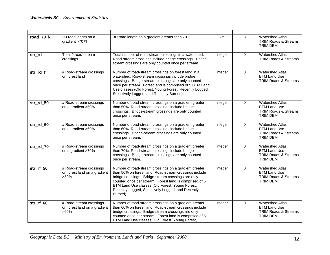| road_70_k     | 3D road length on a<br>gradient >70 %                              | 3D road length on a gradient greater than 70%.                                                                                                                                                                                                                                                                                                      | km      | 3           | <b>Watershed Atlas</b><br><b>TRIM Roads &amp; Streams</b><br>TRIM DEM                               |
|---------------|--------------------------------------------------------------------|-----------------------------------------------------------------------------------------------------------------------------------------------------------------------------------------------------------------------------------------------------------------------------------------------------------------------------------------------------|---------|-------------|-----------------------------------------------------------------------------------------------------|
| str_rd        | Total # road-stream<br>crossings                                   | Total number of road-stream crossings in a watershed.<br>Road-stream crossings include bridge crossings. Bridge-<br>stream crossings are only counted once per stream.                                                                                                                                                                              | integer | $\Omega$    | <b>Watershed Atlas</b><br><b>TRIM Roads &amp; Streams</b>                                           |
| str_rd_f      | # Road-stream crossings<br>on forest land                          | Number of road-stream crossings on forest land in a<br>watershed. Road-stream crossings include bridge<br>crossings. Bridge-stream crossings are only counted<br>once per stream. Forest land is comprised of 5 BTM Land<br>Use classes (Old Forest, Young Forest, Recently Logged,<br>Selectively Logged, and Recently Burned).                    | integer | 0           | <b>Watershed Atlas</b><br><b>BTM Land Use</b><br><b>TRIM Roads &amp; Streams</b>                    |
| str rd 50     | # Road-stream crossings<br>on a gradient >50%                      | Number of road-stream crossings on a gradient greater<br>than 50%. Road-stream crossings include bridge<br>crossings. Bridge-stream crossings are only counted<br>once per stream.                                                                                                                                                                  | integer | 0           | <b>Watershed Atlas</b><br><b>BTM Land Use</b><br>TRIM Roads & Streams<br><b>TRIM DEM</b>            |
| $str\_rd\_60$ | # Road-stream crossings<br>on a gradient >60%                      | Number of road-stream crossings on a gradient greater<br>than 60%. Road-stream crossings include bridge<br>crossings. Bridge-stream crossings are only counted<br>once per stream.                                                                                                                                                                  | integer | $\Omega$    | <b>Watershed Atlas</b><br><b>BTM Land Use</b><br>TRIM Roads & Streams<br><b>TRIM DEM</b>            |
| str_rd_70     | # Road-stream crossings<br>on a gradient >70%                      | Number of road-stream crossings on a gradient greater<br>than 70%. Road-stream crossings include bridge<br>crossings. Bridge-stream crossings are only counted<br>once per stream.                                                                                                                                                                  | integer | 0           | <b>Watershed Atlas</b><br><b>BTM Land Use</b><br>TRIM Roads & Streams<br><b>TRIM DEM</b>            |
| $str\_rf\_50$ | # Road-stream crossings<br>on forest land on a gradient<br>$>50\%$ | Number of road-stream crossings on a gradient greater<br>than 50% on forest land. Road-stream crossings include<br>bridge crossings. Bridge-stream crossings are only<br>counted once per stream. Forest land is comprised of 5<br>BTM Land Use classes (Old Forest, Young Forest,<br>Recently Logged, Selectively Logged, and Recently<br>Burned). | integer | $\mathbf 0$ | <b>Watershed Atlas</b><br><b>BTM Land Use</b><br><b>TRIM Roads &amp; Streams</b><br><b>TRIM DEM</b> |
| str_rf_60     | # Road-stream crossings<br>on forest land on a gradient<br>$>60\%$ | Number of road-stream crossings on a gradient greater<br>than 60% on forest land. Road-stream crossings include<br>bridge crossings. Bridge-stream crossings are only<br>counted once per stream. Forest land is comprised of 5<br>BTM Land Use classes (Old Forest, Young Forest,                                                                  | integer | $\mathbf 0$ | <b>Watershed Atlas</b><br><b>BTM Land Use</b><br>TRIM Roads & Streams<br><b>TRIM DEM</b>            |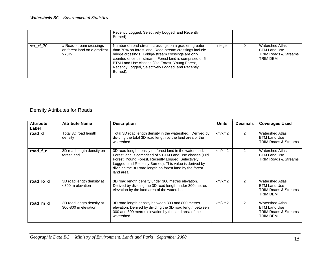|           |                                                                    | Recently Logged, Selectively Logged, and Recently<br>Burned).                                                                                                                                                                                                                                                                                       |         |                                                                                       |
|-----------|--------------------------------------------------------------------|-----------------------------------------------------------------------------------------------------------------------------------------------------------------------------------------------------------------------------------------------------------------------------------------------------------------------------------------------------|---------|---------------------------------------------------------------------------------------|
| str rf 70 | # Road-stream crossings<br>on forest land on a gradient<br>$>70\%$ | Number of road-stream crossings on a gradient greater<br>than 70% on forest land. Road-stream crossings include<br>bridge crossings. Bridge-stream crossings are only<br>counted once per stream. Forest land is comprised of 5<br>BTM Land Use classes (Old Forest, Young Forest,<br>Recently Logged, Selectively Logged, and Recently<br>Burned). | integer | <b>Watershed Atlas</b><br>BTM Land Use<br><b>TRIM Roads &amp; Streams</b><br>TRIM DEM |

# Density Attributes for Roads

| <b>Attribute</b><br>Label | <b>Attribute Name</b>                            | <b>Description</b>                                                                                                                                                                                                                                                                                           | <b>Units</b> | <b>Decimals</b> | <b>Coverages Used</b>                                                                               |
|---------------------------|--------------------------------------------------|--------------------------------------------------------------------------------------------------------------------------------------------------------------------------------------------------------------------------------------------------------------------------------------------------------------|--------------|-----------------|-----------------------------------------------------------------------------------------------------|
| road d                    | Total 3D road length<br>density                  | Total 3D road length density in the watershed. Derived by<br>dividing the total 3D road length by the land area of the<br>watershed.                                                                                                                                                                         | km/km2       | $\mathfrak{p}$  | <b>Watershed Atlas</b><br><b>BTM Land Use</b><br><b>TRIM Roads &amp; Streams</b>                    |
| road f d                  | 3D road length density on<br>forest land         | 3D road length density on forest land in the watershed.<br>Forest land is comprised of 5 BTM Land Use classes (Old<br>Forest, Young Forest, Recently Logged, Selectively<br>Logged, and Recently Burned). This value is derived by<br>dividing the 3D road length on forest land by the forest<br>land area. | km/km2       | $\mathcal{P}$   | <b>Watershed Atlas</b><br><b>BTM Land Use</b><br><b>TRIM Roads &amp; Streams</b>                    |
| road lo d                 | 3D road length density at<br><300 m elevation    | 3D road length density under 300 metres elevation.<br>Derived by dividing the 3D road length under 300 metres<br>elevation by the land area of the watershed.                                                                                                                                                | km/km2       | $\mathfrak{p}$  | <b>Watershed Atlas</b><br><b>BTM Land Use</b><br><b>TRIM Roads &amp; Streams</b><br>TRIM DEM        |
| road m d                  | 3D road length density at<br>300-800 m elevation | 3D road length density between 300 and 800 metres<br>elevation. Derived by dividing the 3D road length between<br>300 and 800 metres elevation by the land area of the<br>watershed.                                                                                                                         | km/km2       | $\mathcal{P}$   | <b>Watershed Atlas</b><br><b>BTM Land Use</b><br><b>TRIM Roads &amp; Streams</b><br><b>TRIM DEM</b> |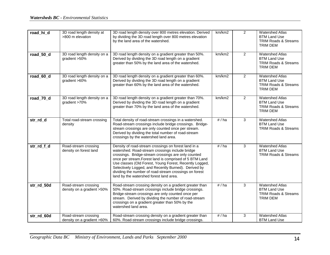| road_hi_d  | 3D road length density at<br>>800 m elevation      | 3D road length density over 800 metres elevation. Derived<br>by dividing the 3D road length over 800 metres elevation<br>by the land area of the watershed.                                                                                                                                                                                                                                                                                       | km/km2 | $\overline{2}$ | <b>Watershed Atlas</b><br><b>BTM Land Use</b><br><b>TRIM Roads &amp; Streams</b><br><b>TRIM DEM</b> |
|------------|----------------------------------------------------|---------------------------------------------------------------------------------------------------------------------------------------------------------------------------------------------------------------------------------------------------------------------------------------------------------------------------------------------------------------------------------------------------------------------------------------------------|--------|----------------|-----------------------------------------------------------------------------------------------------|
| road 50 d  | 3D road length density on a<br>gradient >50%       | 3D road length density on a gradient greater than 50%.<br>Derived by dividing the 3D road length on a gradient<br>greater than 50% by the land area of the watershed.                                                                                                                                                                                                                                                                             | km/km2 | $\overline{2}$ | <b>Watershed Atlas</b><br><b>BTM Land Use</b><br><b>TRIM Roads &amp; Streams</b><br><b>TRIM DEM</b> |
| road_60_d  | 3D road length density on a<br>gradient >60%       | 3D road length density on a gradient greater than 60%.<br>Derived by dividing the 3D road length on a gradient<br>greater than 60% by the land area of the watershed.                                                                                                                                                                                                                                                                             | km/km2 | $\overline{2}$ | <b>Watershed Atlas</b><br><b>BTM Land Use</b><br><b>TRIM Roads &amp; Streams</b><br><b>TRIM DEM</b> |
| road_70_d  | 3D road length density on a<br>gradient >70%       | 3D road length density on a gradient greater than 70%.<br>Derived by dividing the 3D road length on a gradient<br>greater than 70% by the land area of the watershed.                                                                                                                                                                                                                                                                             | km/km2 | $\overline{2}$ | <b>Watershed Atlas</b><br><b>BTM Land Use</b><br><b>TRIM Roads &amp; Streams</b><br><b>TRIM DEM</b> |
| str_rd_d   | Total road-stream crossing<br>density              | Total density of road-stream crossings in a watershed.<br>Road-stream crossings include bridge crossings. Bridge-<br>stream crossings are only counted once per stream.<br>Derived by dividing the total number of road-stream<br>crossings by the watershed land area.                                                                                                                                                                           | #/ha   | 3              | <b>Watershed Atlas</b><br><b>BTM Land Use</b><br><b>TRIM Roads &amp; Streams</b>                    |
| str_rd_f_d | Road-stream crossing<br>density on forest land     | Density of road-stream crossings on forest land in a<br>watershed. Road-stream crossings include bridge<br>crossings. Bridge-stream crossings are only counted<br>once per stream. Forest land is comprised of 5 BTM Land<br>Use classes (Old Forest, Young Forest, Recently Logged,<br>Selectively Logged, and Recently Burned). Derived by<br>dividing the number of road-stream crossings on forest<br>land by the watershed forest land area. | #/ha   | $\overline{3}$ | <b>Watershed Atlas</b><br><b>BTM Land Use</b><br><b>TRIM Roads &amp; Streams</b>                    |
| str_rd_50d | Road-stream crossing<br>density on a gradient >50% | Road-stream crossing density on a gradient greater than<br>50%. Road-stream crossings include bridge crossings.<br>Bridge-stream crossings are only counted once per<br>stream. Derived by dividing the number of road-stream<br>crossings on a gradient greater than 50% by the<br>watershed land area.                                                                                                                                          | #/ha   | 3              | <b>Watershed Atlas</b><br><b>BTM Land Use</b><br>TRIM Roads & Streams<br>TRIM DEM                   |
| str_rd_60d | Road-stream crossing<br>density on a gradient >60% | Road-stream crossing density on a gradient greater than<br>60%. Road-stream crossings include bridge crossings.                                                                                                                                                                                                                                                                                                                                   | #/ha   | 3              | <b>Watershed Atlas</b><br><b>BTM Land Use</b>                                                       |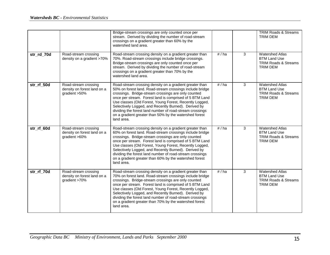|            |                                                                      | Bridge-stream crossings are only counted once per<br>stream. Derived by dividing the number of road-stream<br>crossings on a gradient greater than 60% by the<br>watershed land area.                                                                                                                                                                                                                                                                                                        |      |   | <b>TRIM Roads &amp; Streams</b><br>TRIM DEM                                                  |
|------------|----------------------------------------------------------------------|----------------------------------------------------------------------------------------------------------------------------------------------------------------------------------------------------------------------------------------------------------------------------------------------------------------------------------------------------------------------------------------------------------------------------------------------------------------------------------------------|------|---|----------------------------------------------------------------------------------------------|
| str rd 70d | Road-stream crossing<br>density on a gradient >70%                   | Road-stream crossing density on a gradient greater than<br>70%. Road-stream crossings include bridge crossings.<br>Bridge-stream crossings are only counted once per<br>stream. Derived by dividing the number of road-stream<br>crossings on a gradient greater than 70% by the<br>watershed land area.                                                                                                                                                                                     | #/ha | 3 | <b>Watershed Atlas</b><br><b>BTM Land Use</b><br><b>TRIM Roads &amp; Streams</b><br>TRIM DEM |
| str_rf_50d | Road-stream crossing<br>density on forest land on a<br>gradient >50% | Road-stream crossing density on a gradient greater than<br>50% on forest land. Road-stream crossings include bridge<br>crossings. Bridge-stream crossings are only counted<br>once per stream. Forest land is comprised of 5 BTM Land<br>Use classes (Old Forest, Young Forest, Recently Logged,<br>Selectively Logged, and Recently Burned). Derived by<br>dividing the forest land number of road-stream crossings<br>on a gradient greater than 50% by the watershed forest<br>land area. | #/ha | 3 | <b>Watershed Atlas</b><br><b>BTM Land Use</b><br>TRIM Roads & Streams<br><b>TRIM DEM</b>     |
| str rf 60d | Road-stream crossing<br>density on forest land on a<br>gradient >60% | Road-stream crossing density on a gradient greater than<br>60% on forest land. Road-stream crossings include bridge<br>crossings. Bridge-stream crossings are only counted<br>once per stream. Forest land is comprised of 5 BTM Land<br>Use classes (Old Forest, Young Forest, Recently Logged,<br>Selectively Logged, and Recently Burned). Derived by<br>dividing the forest land number of road-stream crossings<br>on a gradient greater than 60% by the watershed forest<br>land area. | #/ha | 3 | <b>Watershed Atlas</b><br><b>BTM Land Use</b><br><b>TRIM Roads &amp; Streams</b><br>TRIM DEM |
| str_rf_70d | Road-stream crossing<br>density on forest land on a<br>gradient >70% | Road-stream crossing density on a gradient greater than<br>70% on forest land. Road-stream crossings include bridge<br>crossings. Bridge-stream crossings are only counted<br>once per stream. Forest land is comprised of 5 BTM Land<br>Use classes (Old Forest, Young Forest, Recently Logged,<br>Selectively Logged, and Recently Burned). Derived by<br>dividing the forest land number of road-stream crossings<br>on a gradient greater than 70% by the watershed forest<br>land area. | #/ha | 3 | <b>Watershed Atlas</b><br><b>BTM Land Use</b><br><b>TRIM Roads &amp; Streams</b><br>TRIM DEM |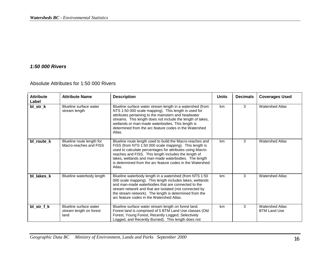#### *1:50 000 Rivers*

Absolute Attributes for 1:50 000 Rivers

| <b>Attribute</b><br>Label | <b>Attribute Name</b>                                     | <b>Description</b>                                                                                                                                                                                                                                                                                                                                                      | <b>Units</b> | <b>Decimals</b> | <b>Coverages Used</b>                         |
|---------------------------|-----------------------------------------------------------|-------------------------------------------------------------------------------------------------------------------------------------------------------------------------------------------------------------------------------------------------------------------------------------------------------------------------------------------------------------------------|--------------|-----------------|-----------------------------------------------|
| bl_str_k                  | Blueline surface water<br>stream length                   | Blueline surface water stream length in a watershed (from<br>NTS 1:50 000 scale mapping). This length is used for<br>attributes pertaining to the mainstem and headwater<br>streams. This length does not include the length of lakes,<br>wetlands or man-made waterbodies. This length is<br>determined from the arc feature codes in the Watershed<br>Atlas.          | km           | 3               | <b>Watershed Atlas</b>                        |
| bl_route_k                | Blueline route length for<br>Macro-reaches and FISS       | Blueline route length used to build the Macro-reaches and<br>FISS (from NTS 1:50 000 scale mapping). This length is<br>used to calculate percentages for attributes using Macro-<br>reaches and FISS. This length includes the length of<br>lakes, wetlands and man-made waterbodies. The length<br>is determined from the arc feature codes in the Watershed<br>Atlas. | km           | 3               | <b>Watershed Atlas</b>                        |
| bl lakes k                | Blueline waterbody length                                 | Blueline waterbody length in a watershed (from NTS 1:50<br>000 scale mapping). This length includes lakes, wetlands<br>and man-made waterbodies that are connected to the<br>stream network and that are isolated (not connected by<br>the stream network). The length is determined from the<br>arc feature codes in the Watershed Atlas.                              | km           | 3               | <b>Watershed Atlas</b>                        |
| bl_str_f_k                | Blueline surface water<br>stream length on forest<br>land | Blueline surface water stream length on forest land.<br>Forest land is comprised of 5 BTM Land Use classes (Old<br>Forest, Young Forest, Recently Logged, Selectively<br>Logged, and Recently Burned). This length does not                                                                                                                                             | km           | 3               | <b>Watershed Atlas</b><br><b>BTM Land Use</b> |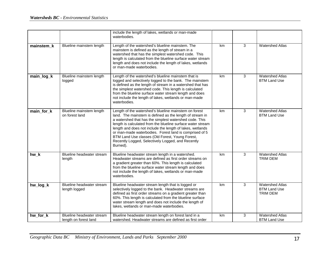|            |                                                    | include the length of lakes, wetlands or man-made<br>waterbodies.                                                                                                                                                                                                                                                                                                                                                                                                                     |    |   |                                                           |
|------------|----------------------------------------------------|---------------------------------------------------------------------------------------------------------------------------------------------------------------------------------------------------------------------------------------------------------------------------------------------------------------------------------------------------------------------------------------------------------------------------------------------------------------------------------------|----|---|-----------------------------------------------------------|
| mainstem k | Blueline mainstem length                           | Length of the watershed's blueline mainstem. The<br>mainstem is defined as the length of stream in a<br>watershed that has the simplest watershed code. This<br>length is calculated from the blueline surface water stream<br>length and does not include the length of lakes, wetlands<br>or man-made waterbodies.                                                                                                                                                                  | km | 3 | <b>Watershed Atlas</b>                                    |
| main_log_k | Blueline mainstem length<br>logged                 | Length of the watershed's blueline mainstem that is<br>logged and selectively logged to the bank. The mainstem<br>is defined as the length of stream in a watershed that has<br>the simplest watershed code. This length is calculated<br>from the blueline surface water stream length and does<br>not include the length of lakes, wetlands or man-made<br>waterbodies.                                                                                                             | km | 3 | <b>Watershed Atlas</b><br><b>BTM Land Use</b>             |
| main_for_k | Blueline mainstem length<br>on forest land         | Length of the watershed's blueline mainstem on forest<br>land. The mainstem is defined as the length of stream in<br>a watershed that has the simplest watershed code. This<br>length is calculated from the blueline surface water stream<br>length and does not include the length of lakes, wetlands<br>or man-made waterbodies. Forest land is comprised of 5<br>BTM Land Use classes (Old Forest, Young Forest,<br>Recently Logged, Selectively Logged, and Recently<br>Burned). | km | 3 | <b>Watershed Atlas</b><br><b>BTM Land Use</b>             |
| hw_k       | Blueline headwater stream<br>length                | Blueline headwater stream length in a watershed.<br>Headwater streams are defined as first order streams on<br>a gradient greater than 60%. This length is calculated<br>from the blueline surface water stream length and does<br>not include the length of lakes, wetlands or man-made<br>waterbodies.                                                                                                                                                                              | km | 3 | <b>Watershed Atlas</b><br><b>TRIM DEM</b>                 |
| hw_log_k   | Blueline headwater stream<br>length logged         | Blueline headwater stream length that is logged or<br>selectively logged to the bank. Headwater streams are<br>defined as first order streams on a gradient greater than<br>60%. This length is calculated from the blueline surface<br>water stream length and does not include the length of<br>lakes, wetlands or man-made waterbodies.                                                                                                                                            | km | 3 | <b>Watershed Atlas</b><br><b>BTM Land Use</b><br>TRIM DEM |
| hw_for_k   | Blueline headwater stream<br>length on forest land | Blueline headwater stream length on forest land in a<br>watershed. Headwater streams are defined as first order                                                                                                                                                                                                                                                                                                                                                                       | km | 3 | <b>Watershed Atlas</b><br><b>BTM Land Use</b>             |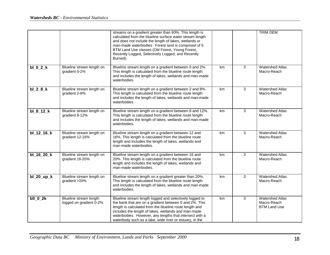|              |                                                   | streams on a gradient greater than 60%. This length is<br>calculated from the blueline surface water stream length<br>and does not include the length of lakes, wetlands or<br>man-made waterbodies. Forest land is comprised of 5<br>BTM Land Use classes (Old Forest, Young Forest,<br>Recently Logged, Selectively Logged, and Recently<br>Burned).    |    |   | <b>TRIM DEM</b>                                              |
|--------------|---------------------------------------------------|-----------------------------------------------------------------------------------------------------------------------------------------------------------------------------------------------------------------------------------------------------------------------------------------------------------------------------------------------------------|----|---|--------------------------------------------------------------|
| $bl_0_2_k$   | Blueline stream length on<br>gradient 0-2%        | Blueline stream length on a gradient between 0 and 2%.<br>This length is calculated from the blueline route length<br>and includes the length of lakes, wetlands and man-made<br>waterbodies.                                                                                                                                                             | km | 3 | <b>Watershed Atlas</b><br>Macro-Reach                        |
| $bl_2_8_k$   | Blueline stream length on<br>gradient 2-8%        | Blueline stream length on a gradient between 2 and 8%.<br>This length is calculated from the blueline route length<br>and includes the length of lakes, wetlands and man-made<br>waterbodies.                                                                                                                                                             | km | 3 | <b>Watershed Atlas</b><br>Macro-Reach                        |
| $bl_8_12_k$  | Blueline stream length on<br>gradient 8-12%       | Blueline stream length on a gradient between 8 and 12%.<br>This length is calculated from the blueline route length<br>and includes the length of lakes, wetlands and man-made<br>waterbodies.                                                                                                                                                            | km | 3 | <b>Watershed Atlas</b><br>Macro-Reach                        |
| bl_12_16_k   | Blueline stream length on<br>gradient 12-16%      | Blueline stream length on a gradient between 12 and<br>16%. This length is calculated from the blueline route<br>length and includes the length of lakes, wetlands and<br>man-made waterbodies.                                                                                                                                                           | km | 3 | <b>Watershed Atlas</b><br>Macro-Reach                        |
| bl_16_20_k   | Blueline stream length on<br>gradient 16-20%      | Blueline stream length on a gradient between 16 and<br>20%. This length is calculated from the blueline route<br>length and includes the length of lakes, wetlands and<br>man-made waterbodies.                                                                                                                                                           | km | 3 | <b>Watershed Atlas</b><br>Macro-Reach                        |
| $bl_20_up_k$ | Blueline stream length on<br>gradient >20%        | Blueline stream length on a gradient greater than 20%.<br>This length is calculated from the blueline route length<br>and includes the length of lakes, wetlands and man-made<br>waterbodies.                                                                                                                                                             | km | 3 | <b>Watershed Atlas</b><br>Macro-Reach                        |
| $bII_0_2k$   | Blueline stream length<br>logged on gradient 0-2% | Blueline stream length logged and selectively logged to<br>the bank that are on a gradient between 0 and 2%. This<br>length is calculated from the blueline route length and<br>includes the length of lakes, wetlands and man-made<br>waterbodies. However, any lengths that intersect with a<br>waterbody such as a lake, wide river or estuary, in the | km | 3 | <b>Watershed Atlas</b><br>Macro-Reach<br><b>BTM Land Use</b> |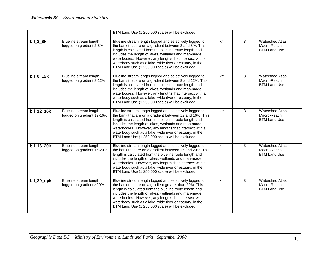|             |                                                     | BTM Land Use (1:250 000 scale) will be excluded.                                                                                                                                                                                                                                                                                                                                                                |    |   |                                                              |
|-------------|-----------------------------------------------------|-----------------------------------------------------------------------------------------------------------------------------------------------------------------------------------------------------------------------------------------------------------------------------------------------------------------------------------------------------------------------------------------------------------------|----|---|--------------------------------------------------------------|
| $bII_2_8k$  | Blueline stream length<br>logged on gradient 2-8%   | Blueline stream length logged and selectively logged to<br>the bank that are on a gradient between 2 and 8%. This<br>length is calculated from the blueline route length and<br>includes the length of lakes, wetlands and man-made<br>waterbodies. However, any lengths that intersect with a<br>waterbody such as a lake, wide river or estuary, in the<br>BTM Land Use (1:250 000 scale) will be excluded.   | km | 3 | <b>Watershed Atlas</b><br>Macro-Reach<br><b>BTM Land Use</b> |
| $bII_8_12k$ | Blueline stream length<br>logged on gradient 8-12%  | Blueline stream length logged and selectively logged to<br>the bank that are on a gradient between 8 and 12%. This<br>length is calculated from the blueline route length and<br>includes the length of lakes, wetlands and man-made<br>waterbodies. However, any lengths that intersect with a<br>waterbody such as a lake, wide river or estuary, in the<br>BTM Land Use (1:250 000 scale) will be excluded.  | km | 3 | <b>Watershed Atlas</b><br>Macro-Reach<br><b>BTM Land Use</b> |
| bll_12_16k  | Blueline stream length<br>logged on gradient 12-16% | Blueline stream length logged and selectively logged to<br>the bank that are on a gradient between 12 and 16%. This<br>length is calculated from the blueline route length and<br>includes the length of lakes, wetlands and man-made<br>waterbodies. However, any lengths that intersect with a<br>waterbody such as a lake, wide river or estuary, in the<br>BTM Land Use (1:250 000 scale) will be excluded. | km | 3 | <b>Watershed Atlas</b><br>Macro-Reach<br><b>BTM Land Use</b> |
| bll_16_20k  | Blueline stream length<br>logged on gradient 16-20% | Blueline stream length logged and selectively logged to<br>the bank that are on a gradient between 16 and 20%. This<br>length is calculated from the blueline route length and<br>includes the length of lakes, wetlands and man-made<br>waterbodies. However, any lengths that intersect with a<br>waterbody such as a lake, wide river or estuary, in the<br>BTM Land Use (1:250 000 scale) will be excluded. | km | 3 | <b>Watershed Atlas</b><br>Macro-Reach<br><b>BTM Land Use</b> |
| bll_20_upk  | Blueline stream length<br>logged on gradient >20%   | Blueline stream length logged and selectively logged to<br>the bank that are on a gradient greater than 20%. This<br>length is calculated from the blueline route length and<br>includes the length of lakes, wetlands and man-made<br>waterbodies. However, any lengths that intersect with a<br>waterbody such as a lake, wide river or estuary, in the<br>BTM Land Use (1:250 000 scale) will be excluded.   | km | 3 | <b>Watershed Atlas</b><br>Macro-Reach<br><b>BTM Land Use</b> |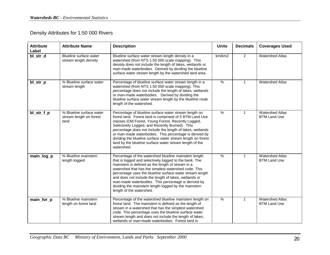# Density Attributes for 1:50 000 Rivers

| <b>Attribute</b><br>Label | <b>Attribute Name</b>                                       | <b>Description</b>                                                                                                                                                                                                                                                                                                                                                                                                                                                                        | <b>Units</b>  | <b>Decimals</b> | <b>Coverages Used</b>                         |
|---------------------------|-------------------------------------------------------------|-------------------------------------------------------------------------------------------------------------------------------------------------------------------------------------------------------------------------------------------------------------------------------------------------------------------------------------------------------------------------------------------------------------------------------------------------------------------------------------------|---------------|-----------------|-----------------------------------------------|
| bl_str_d                  | Blueline surface water<br>stream length density             | Blueline surface water stream length density in a<br>watershed (from NTS 1:50 000 scale mapping). This<br>density does not include the length of lakes, wetlands or<br>man-made waterbodies. Derived by dividing the blueline<br>surface water stream length by the watershed land area.                                                                                                                                                                                                  | km/km2        | $\overline{2}$  | <b>Watershed Atlas</b>                        |
| bl_str_p                  | % Blueline surface water<br>stream length                   | Percentage of blueline surface water stream length in a<br>watershed (from NTS 1:50 000 scale mapping). This<br>percentage does not include the length of lakes, wetlands<br>or man-made waterbodies. Derived by dividing the<br>blueline surface water stream length by the blueline route<br>length of the watershed.                                                                                                                                                                   | $\frac{9}{6}$ | $\mathbf{1}$    | <b>Watershed Atlas</b>                        |
| bl_str_f_p                | % Blueline surface water<br>stream length on forest<br>land | Percentage of blueline surface water stream length on<br>forest land. Forest land is comprised of 5 BTM Land Use<br>classes (Old Forest, Young Forest, Recently Logged,<br>Selectively Logged, and Recently Burned). This<br>percentage does not include the length of lakes, wetlands<br>or man-made waterbodies. This percentage is derived by<br>dividing the blueline surface water stream length on forest<br>land by the blueline surface water stream length of the<br>watershed.  | $\%$          | $\mathbf{1}$    | <b>Watershed Atlas</b><br><b>BTM Land Use</b> |
| main_log_p                | % Blueline mainstem<br>length logged                        | Percentage of the watershed blueline mainstem length<br>that is logged and selectively logged to the bank. The<br>mainstem is defined as the length of stream in a<br>watershed that has the simplest watershed code. This<br>percentage uses the blueline surface water stream length<br>and does not include the length of lakes, wetlands or<br>man-made waterbodies. This percentage is derived by<br>dividing the mainstem length logged by the mainstem<br>length of the watershed. | %             | 1               | <b>Watershed Atlas</b><br><b>BTM Land Use</b> |
| main_for_p                | % Blueline mainstem<br>length on forest land                | Percentage of the watershed blueline mainstem length on<br>forest land. The mainstem is defined as the length of<br>stream in a watershed that has the simplest watershed<br>code. This percentage uses the blueline surface water<br>stream length and does not include the length of lakes,<br>wetlands or man-made waterbodies. Forest land is                                                                                                                                         | $\frac{9}{6}$ | 1               | <b>Watershed Atlas</b><br><b>BTM Land Use</b> |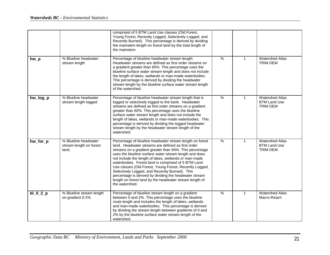|            |                                                          | comprised of 5 BTM Land Use classes (Old Forest,<br>Young Forest, Recently Logged, Selectively Logged, and<br>Recently Burned). This percentage is derived by dividing<br>the mainstem length on forest land by the total length of<br>the mainstem.                                                                                                                                                                                                                                                                                                                                                    |      |              |                                                                  |
|------------|----------------------------------------------------------|---------------------------------------------------------------------------------------------------------------------------------------------------------------------------------------------------------------------------------------------------------------------------------------------------------------------------------------------------------------------------------------------------------------------------------------------------------------------------------------------------------------------------------------------------------------------------------------------------------|------|--------------|------------------------------------------------------------------|
| $hw_p$     | % Blueline headwater<br>stream length                    | Percentage of blueline headwater stream length.<br>Headwater streams are defined as first order streams on<br>a gradient greater than 60%. This percentage uses the<br>blueline surface water stream length and does not include<br>the length of lakes, wetlands or man-made waterbodies.<br>This percentage is derived by dividing the headwater<br>stream length by the blueline surface water stream length<br>of the watershed.                                                                                                                                                                    | %    | $\mathbf{1}$ | <b>Watershed Atlas</b><br>TRIM DEM                               |
| hw_log_p   | % Blueline headwater<br>stream length logged             | Percentage of blueline headwater stream length that is<br>logged or selectively logged to the bank. Headwater<br>streams are defined as first order streams on a gradient<br>greater than 60%. This percentage uses the blueline<br>surface water stream length and does not include the<br>length of lakes, wetlands or man-made waterbodies. This<br>percentage is derived by dividing the logged headwater<br>stream length by the headwater stream length of the<br>watershed.                                                                                                                      | $\%$ | $\mathbf{1}$ | <b>Watershed Atlas</b><br><b>BTM Land Use</b><br>TRIM DEM        |
| hw_for_p   | % Blueline headwater<br>stream length on forest<br>land. | Percentage of blueline headwater stream length on forest<br>land. Headwater streams are defined as first order<br>streams on a gradient greater than 60%. This percentage<br>uses the blueline surface water stream length and does<br>not include the length of lakes, wetlands or man-made<br>waterbodies. Forest land is comprised of 5 BTM Land<br>Use classes (Old Forest, Young Forest, Recently Logged,<br>Selectively Logged, and Recently Burned). This<br>percentage is derived by dividing the headwater stream<br>length on forest land by the headwater stream length of<br>the watershed. | $\%$ | $\mathbf{1}$ | <b>Watershed Atlas</b><br><b>BTM Land Use</b><br><b>TRIM DEM</b> |
| $bl_0_2_p$ | % Blueline stream length<br>on gradient 0-2%             | Percentage of blueline stream length on a gradient<br>between 0 and 2%. This percentage uses the blueline<br>route length and includes the length of lakes, wetlands<br>and man-made waterbodies. This percentage is derived<br>by dividing the stream length between gradients of 0 and<br>2% by the blueline surface water stream length of the<br>watershed.                                                                                                                                                                                                                                         | $\%$ | $\mathbf{1}$ | <b>Watershed Atlas</b><br>Macro-Reach                            |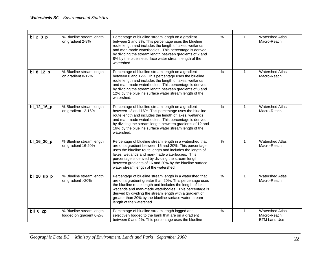| $bl_2_8_p$   | % Blueline stream length<br>on gradient 2-8%        | Percentage of blueline stream length on a gradient<br>between 2 and 8%. This percentage uses the blueline<br>route length and includes the length of lakes, wetlands<br>and man-made waterbodies. This percentage is derived<br>by dividing the stream length between gradients of 2 and<br>8% by the blueline surface water stream length of the<br>watershed.                               | $\frac{9}{6}$ | $\mathbf{1}$ | <b>Watershed Atlas</b><br>Macro-Reach                        |
|--------------|-----------------------------------------------------|-----------------------------------------------------------------------------------------------------------------------------------------------------------------------------------------------------------------------------------------------------------------------------------------------------------------------------------------------------------------------------------------------|---------------|--------------|--------------------------------------------------------------|
| bl_8_12_p    | % Blueline stream length<br>on gradient 8-12%       | Percentage of blueline stream length on a gradient<br>between 8 and 12%. This percentage uses the blueline<br>route length and includes the length of lakes, wetlands<br>and man-made waterbodies. This percentage is derived<br>by dividing the stream length between gradients of 8 and<br>12% by the blueline surface water stream length of the<br>watershed.                             | %             | $\mathbf{1}$ | <b>Watershed Atlas</b><br>Macro-Reach                        |
| $bl_12_16_p$ | % Blueline stream length<br>on gradient 12-16%      | Percentage of blueline stream length on a gradient<br>between 12 and 16%. This percentage uses the blueline<br>route length and includes the length of lakes, wetlands<br>and man-made waterbodies. This percentage is derived<br>by dividing the stream length between gradients of 12 and<br>16% by the blueline surface water stream length of the<br>watershed.                           | $\frac{1}{6}$ | $\mathbf{1}$ | <b>Watershed Atlas</b><br>Macro-Reach                        |
| bl_16_20_p   | % Blueline stream length<br>on gradient 16-20%      | Percentage of blueline stream length in a watershed that<br>are on a gradient between 16 and 20%. This percentage<br>uses the blueline route length and includes the length of<br>lakes, wetlands and man-made waterbodies. This<br>percentage is derived by dividing the stream length<br>between gradients of 16 and 20% by the blueline surface<br>water stream length of the watershed.   | $\frac{0}{0}$ | $\mathbf{1}$ | <b>Watershed Atlas</b><br>Macro-Reach                        |
| $bl_20_up_p$ | % Blueline stream length<br>on gradient >20%        | Percentage of blueline stream length in a watershed that<br>are on a gradient greater than 20%. This percentage uses<br>the blueline route length and includes the length of lakes,<br>wetlands and man-made waterbodies. This percentage is<br>derived by dividing the stream length with a gradient of<br>greater than 20% by the blueline surface water stream<br>length of the watershed. | $\frac{0}{0}$ | $\mathbf{1}$ | <b>Watershed Atlas</b><br>Macro-Reach                        |
| $bII_0_2p$   | % Blueline stream length<br>logged on gradient 0-2% | Percentage of blueline stream length logged and<br>selectively logged to the bank that are on a gradient<br>between 0 and 2%. This percentage uses the blueline                                                                                                                                                                                                                               | %             | $\mathbf{1}$ | <b>Watershed Atlas</b><br>Macro-Reach<br><b>BTM Land Use</b> |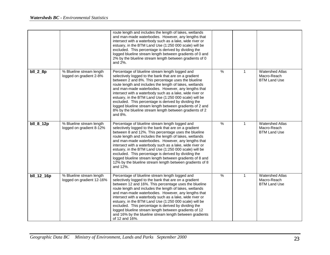|            |                                                       | route length and includes the length of lakes, wetlands<br>and man-made waterbodies. However, any lengths that<br>intersect with a waterbody such as a lake, wide river or<br>estuary, in the BTM Land Use (1:250 000 scale) will be<br>excluded. This percentage is derived by dividing the<br>logged blueline stream length between gradients of 0 and<br>2% by the blueline stream length between gradients of 0<br>and 2%.                                                                                                                                                                          |               |              |                                                              |
|------------|-------------------------------------------------------|---------------------------------------------------------------------------------------------------------------------------------------------------------------------------------------------------------------------------------------------------------------------------------------------------------------------------------------------------------------------------------------------------------------------------------------------------------------------------------------------------------------------------------------------------------------------------------------------------------|---------------|--------------|--------------------------------------------------------------|
| $bII_2_8p$ | % Blueline stream length<br>logged on gradient 2-8%   | Percentage of blueline stream length logged and<br>selectively logged to the bank that are on a gradient<br>between 2 and 8%. This percentage uses the blueline<br>route length and includes the length of lakes, wetlands<br>and man-made waterbodies. However, any lengths that<br>intersect with a waterbody such as a lake, wide river or<br>estuary, in the BTM Land Use (1:250 000 scale) will be<br>excluded. This percentage is derived by dividing the<br>logged blueline stream length between gradients of 2 and<br>8% by the blueline stream length between gradients of 2<br>and 8%.       | $\%$          | $\mathbf{1}$ | <b>Watershed Atlas</b><br>Macro-Reach<br><b>BTM Land Use</b> |
| bll_8_12p  | % Blueline stream length<br>logged on gradient 8-12%  | Percentage of blueline stream length logged and<br>selectively logged to the bank that are on a gradient<br>between 8 and 12%. This percentage uses the blueline<br>route length and includes the length of lakes, wetlands<br>and man-made waterbodies. However, any lengths that<br>intersect with a waterbody such as a lake, wide river or<br>estuary, in the BTM Land Use (1:250 000 scale) will be<br>excluded. This percentage is derived by dividing the<br>logged blueline stream length between gradients of 8 and<br>12% by the blueline stream length between gradients of 8<br>and 12%.    | $\frac{9}{6}$ | $\mathbf{1}$ | <b>Watershed Atlas</b><br>Macro-Reach<br><b>BTM Land Use</b> |
| bll_12_16p | % Blueline stream length<br>logged on gradient 12-16% | Percentage of blueline stream length logged and<br>selectively logged to the bank that are on a gradient<br>between 12 and 16%. This percentage uses the blueline<br>route length and includes the length of lakes, wetlands<br>and man-made waterbodies. However, any lengths that<br>intersect with a waterbody such as a lake, wide river or<br>estuary, in the BTM Land Use (1:250 000 scale) will be<br>excluded. This percentage is derived by dividing the<br>logged blueline stream length between gradients of 12<br>and 16% by the blueline stream length between gradients<br>of 12 and 16%. | $\%$          | $\mathbf 1$  | <b>Watershed Atlas</b><br>Macro-Reach<br><b>BTM Land Use</b> |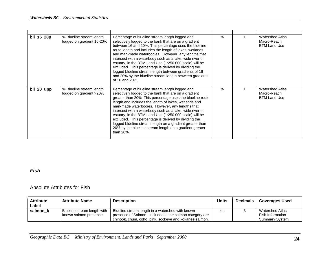| bll_16_20p | % Blueline stream length<br>logged on gradient 16-20% | Percentage of blueline stream length logged and<br>selectively logged to the bank that are on a gradient<br>between 16 and 20%. This percentage uses the blueline<br>route length and includes the length of lakes, wetlands<br>and man-made waterbodies. However, any lengths that<br>intersect with a waterbody such as a lake, wide river or<br>estuary, in the BTM Land Use (1:250 000 scale) will be<br>excluded. This percentage is derived by dividing the<br>logged blueline stream length between gradients of 16<br>and 20% by the blueline stream length between gradients<br>of 16 and 20%. | % | <b>Watershed Atlas</b><br>Macro-Reach<br><b>BTM Land Use</b> |
|------------|-------------------------------------------------------|---------------------------------------------------------------------------------------------------------------------------------------------------------------------------------------------------------------------------------------------------------------------------------------------------------------------------------------------------------------------------------------------------------------------------------------------------------------------------------------------------------------------------------------------------------------------------------------------------------|---|--------------------------------------------------------------|
| bll_20_upp | % Blueline stream length<br>logged on gradient >20%   | Percentage of blueline stream length logged and<br>selectively logged to the bank that are on a gradient<br>greater than 20%. This percentage uses the blueline route<br>length and includes the length of lakes, wetlands and<br>man-made waterbodies. However, any lengths that<br>intersect with a waterbody such as a lake, wide river or<br>estuary, in the BTM Land Use (1:250 000 scale) will be<br>excluded. This percentage is derived by dividing the<br>logged blueline stream length on a gradient greater than<br>20% by the blueline stream length on a gradient greater<br>than 20%.     | % | <b>Watershed Atlas</b><br>Macro-Reach<br><b>BTM Land Use</b> |

### *Fish*

#### Absolute Attributes for Fish

| <b>Attribute</b><br>Label | <b>Attribute Name</b>                                | <b>Description</b>                                                                                                                                                    | <b>Units</b> | <b>Decimals</b> | <b>Coverages Used</b>                                        |
|---------------------------|------------------------------------------------------|-----------------------------------------------------------------------------------------------------------------------------------------------------------------------|--------------|-----------------|--------------------------------------------------------------|
| salmon k                  | Blueline stream length with<br>known salmon presence | Blueline stream length in a watershed with known<br>presence of Salmon. Included in the salmon category are<br>chinook, chum, coho, pink, sockeye and kokanee salmon. | km           |                 | Watershed Atlas<br>Fish Information<br><b>Summary System</b> |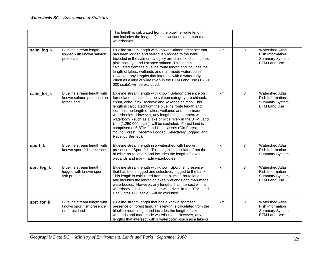|            |                                                                            | This length is calculated from the blueline route length<br>and includes the length of lakes, wetlands and man-made<br>waterbodies.                                                                                                                                                                                                                                                                                                                                                                                                                                                                            |    |                |                                                                                            |
|------------|----------------------------------------------------------------------------|----------------------------------------------------------------------------------------------------------------------------------------------------------------------------------------------------------------------------------------------------------------------------------------------------------------------------------------------------------------------------------------------------------------------------------------------------------------------------------------------------------------------------------------------------------------------------------------------------------------|----|----------------|--------------------------------------------------------------------------------------------|
| salm_log_k | Blueline stream length<br>logged with known salmon<br>presence             | Blueline stream length with known Salmon presence that<br>has been logged and selectively logged to the bank.<br>Included in the salmon category are chinook, chum, coho,<br>pink, sockeye and kokanee salmon. This length is<br>calculated from the blueline route length and includes the<br>length of lakes, wetlands and man-made waterbodies.<br>However, any lengths that intersect with a waterbody<br>-such as a lake or wide river- in the BTM Land Use (1:250<br>000 scale), will be excluded.                                                                                                       | km | 3              | <b>Watershed Atlas</b><br>Fish Information<br><b>Summary System</b><br><b>BTM Land Use</b> |
| salm_for_k | Blueline stream length with<br>known salmon presence on<br>forest land     | Blueline stream length with known Salmon presence on<br>forest land. Included in the salmon category are chinook,<br>chum, coho, pink, sockeye and kokanee salmon. This<br>length is calculated from the blueline route length and<br>includes the length of lakes, wetlands and man-made<br>waterbodies. However, any lengths that intersect with a<br>waterbody -such as a lake or wide river- in the BTM Land<br>Use (1:250 000 scale), will be excluded. Forest land is<br>comprised of 5 BTM Land Use classes (Old Forest,<br>Young Forest, Recently Logged, Selectively Logged, and<br>Recently Burned). | km | 3              | <b>Watershed Atlas</b><br>Fish Information<br><b>Summary System</b><br><b>BTM Land Use</b> |
| sport_k    | Blueline stream length with<br>known sport fish presence                   | Blueline stream length in a watershed with known<br>presence of Sport fish. This length is calculated from the<br>blueline route length and includes the length of lakes,<br>wetlands and man-made waterbodies.                                                                                                                                                                                                                                                                                                                                                                                                | km | 3              | <b>Watershed Atlas</b><br>Fish Information<br><b>Summary System</b>                        |
| sprt_log_k | Blueline stream length<br>logged with known sport<br>fish presence         | Blueline stream length with known Sport fish presence<br>that has been logged and selectively logged to the bank.<br>This length is calculated from the blueline route length<br>and includes the length of lakes, wetlands and man-made<br>waterbodies. However, any lengths that intersect with a<br>waterbody -such as a lake or wide river- in the BTM Land<br>Use (1:250 000 scale), will be excluded.                                                                                                                                                                                                    | km | $\overline{3}$ | <b>Watershed Atlas</b><br>Fish Information<br><b>Summary System</b><br><b>BTM Land Use</b> |
| sprt_for_k | Blueline stream length with<br>known sport fish presence<br>on forest land | Blueline stream length that has a known sport fish<br>presence on forest land. This length is calculated from the<br>blueline route length and includes the length of lakes,<br>wetlands and man-made waterbodies. However, any<br>lengths that intersect with a waterbody -such as a lake or                                                                                                                                                                                                                                                                                                                  | km | 3              | <b>Watershed Atlas</b><br>Fish Information<br><b>Summary System</b><br><b>BTM Land Use</b> |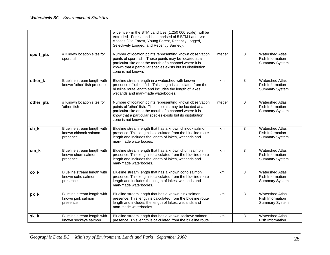|           |                                                                 | wide river- in the BTM Land Use (1:250 000 scale), will be<br>excluded. Forest land is comprised of 5 BTM Land Use<br>classes (Old Forest, Young Forest, Recently Logged,<br>Selectively Logged, and Recently Burned).                                               |         |             |                                                                     |
|-----------|-----------------------------------------------------------------|----------------------------------------------------------------------------------------------------------------------------------------------------------------------------------------------------------------------------------------------------------------------|---------|-------------|---------------------------------------------------------------------|
| sport_pts | # Known location sites for<br>sport fish                        | Number of location points representing known observation<br>points of sport fish. These points may be located at a<br>particular site or at the mouth of a channel where it is<br>known that a particular species exists but its distribution<br>zone is not known.  | integer | $\Omega$    | <b>Watershed Atlas</b><br>Fish Information<br><b>Summary System</b> |
| other_k   | Blueline stream length with<br>known 'other' fish presence      | Blueline stream length in a watershed with known<br>presence of 'other' fish. This length is calculated from the<br>blueline route length and includes the length of lakes,<br>wetlands and man-made waterbodies.                                                    | km      | 3           | <b>Watershed Atlas</b><br>Fish Information<br><b>Summary System</b> |
| other_pts | # Known location sites for<br>'other' fish                      | Number of location points representing known observation<br>points of 'other' fish. These points may be located at a<br>particular site or at the mouth of a channel where it is<br>know that a particular species exists but its distribution<br>zone is not known. | integer | $\mathbf 0$ | <b>Watershed Atlas</b><br>Fish Information<br><b>Summary System</b> |
| $ch_k$    | Blueline stream length with<br>known chinook salmon<br>presence | Blueline stream length that has a known chinook salmon<br>presence. This length is calculated from the blueline route<br>length and includes the length of lakes, wetlands and<br>man-made waterbodies.                                                              | km      | 3           | <b>Watershed Atlas</b><br>Fish Information<br><b>Summary System</b> |
| $cm_k$    | Blueline stream length with<br>known chum salmon<br>presence    | Blueline stream length that has a known chum salmon<br>presence. This length is calculated from the blueline route<br>length and includes the length of lakes, wetlands and<br>man-made waterbodies.                                                                 | km      | 3           | <b>Watershed Atlas</b><br>Fish Information<br><b>Summary System</b> |
| co_k      | Blueline stream length with<br>known coho salmon<br>presence    | Blueline stream length that has a known coho salmon<br>presence. This length is calculated from the blueline route<br>length and includes the length of lakes, wetlands and<br>man-made waterbodies.                                                                 | km      | 3           | <b>Watershed Atlas</b><br>Fish Information<br><b>Summary System</b> |
| pk_k      | Blueline stream length with<br>known pink salmon<br>presence    | Blueline stream length that has a known pink salmon<br>presence. This length is calculated from the blueline route<br>length and includes the length of lakes, wetlands and<br>man-made waterbodies.                                                                 | km      | 3           | <b>Watershed Atlas</b><br>Fish Information<br><b>Summary System</b> |
| sk_k      | Blueline stream length with<br>known sockeye salmon             | Blueline stream length that has a known sockeye salmon<br>presence. This length is calculated from the blueline route                                                                                                                                                | km      | 3           | <b>Watershed Atlas</b><br>Fish Information                          |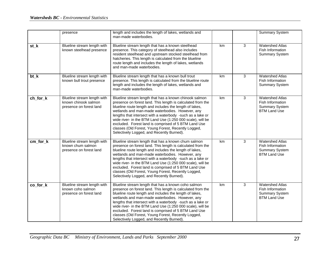|          | presence                                                                       | length and includes the length of lakes, wetlands and<br>man-made waterbodies.                                                                                                                                                                                                                                                                                                                                                                                                                                              |    |                | <b>Summary System</b>                                                                      |
|----------|--------------------------------------------------------------------------------|-----------------------------------------------------------------------------------------------------------------------------------------------------------------------------------------------------------------------------------------------------------------------------------------------------------------------------------------------------------------------------------------------------------------------------------------------------------------------------------------------------------------------------|----|----------------|--------------------------------------------------------------------------------------------|
| st_k     | Blueline stream length with<br>known steelhead presence                        | Blueline stream length that has a known steelhead<br>presence. This category of steelhead also includes<br>resident steelhead and upstream stocked steelhead from<br>hatcheries. This length is calculated from the blueline<br>route length and includes the length of lakes, wetlands<br>and man-made waterbodies.                                                                                                                                                                                                        | km | 3              | <b>Watershed Atlas</b><br>Fish Information<br><b>Summary System</b>                        |
| bt_k     | Blueline stream length with<br>known bull trout presence                       | Blueline stream length that has a known bull trout<br>presence. This length is calculated from the blueline route<br>length and includes the length of lakes, wetlands and<br>man-made waterbodies.                                                                                                                                                                                                                                                                                                                         | km | 3              | <b>Watershed Atlas</b><br>Fish Information<br><b>Summary System</b>                        |
| ch_for_k | Blueline stream length with<br>known chinook salmon<br>presence on forest land | Blueline stream length that has a known chinook salmon<br>presence on forest land. This length is calculated from the<br>blueline route length and includes the length of lakes,<br>wetlands and man-made waterbodies. However, any<br>lengths that intersect with a waterbody -such as a lake or<br>wide river- in the BTM Land Use (1:250 000 scale), will be<br>excluded. Forest land is comprised of 5 BTM Land Use<br>classes (Old Forest, Young Forest, Recently Logged,<br>Selectively Logged, and Recently Burned). | km | $\overline{3}$ | <b>Watershed Atlas</b><br>Fish Information<br><b>Summary System</b><br><b>BTM Land Use</b> |
| cm for k | Blueline stream length with<br>known chum salmon<br>presence on forest land    | Blueline stream length that has a known chum salmon<br>presence on forest land. This length is calculated from the<br>blueline route length and includes the length of lakes,<br>wetlands and man-made waterbodies. However, any<br>lengths that intersect with a waterbody -such as a lake or<br>wide river- in the BTM Land Use (1:250 000 scale), will be<br>excluded. Forest land is comprised of 5 BTM Land Use<br>classes (Old Forest, Young Forest, Recently Logged,<br>Selectively Logged, and Recently Burned).    | km | 3              | <b>Watershed Atlas</b><br>Fish Information<br><b>Summary System</b><br><b>BTM Land Use</b> |
| co_for_k | Blueline stream length with<br>known coho salmon<br>presence on forest land    | Blueline stream length that has a known coho salmon<br>presence on forest land. This length is calculated from the<br>blueline route length and includes the length of lakes,<br>wetlands and man-made waterbodies. However, any<br>lengths that intersect with a waterbody -such as a lake or<br>wide river- in the BTM Land Use (1:250 000 scale), will be<br>excluded. Forest land is comprised of 5 BTM Land Use<br>classes (Old Forest, Young Forest, Recently Logged,<br>Selectively Logged, and Recently Burned).    | km | 3              | <b>Watershed Atlas</b><br>Fish Information<br><b>Summary System</b><br><b>BTM Land Use</b> |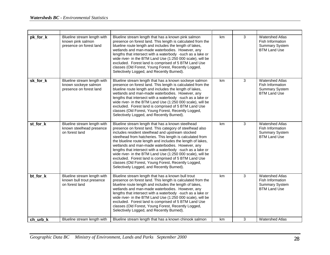| pk_for_k | Blueline stream length with<br>known pink salmon<br>presence on forest land    | Blueline stream length that has a known pink salmon<br>presence on forest land. This length is calculated from the<br>blueline route length and includes the length of lakes,<br>wetlands and man-made waterbodies. However, any<br>lengths that intersect with a waterbody -such as a lake or<br>wide river- in the BTM Land Use (1:250 000 scale), will be<br>excluded. Forest land is comprised of 5 BTM Land Use<br>classes (Old Forest, Young Forest, Recently Logged,<br>Selectively Logged, and Recently Burned).                                                                                                                 | km | 3 | <b>Watershed Atlas</b><br>Fish Information<br><b>Summary System</b><br><b>BTM Land Use</b> |
|----------|--------------------------------------------------------------------------------|------------------------------------------------------------------------------------------------------------------------------------------------------------------------------------------------------------------------------------------------------------------------------------------------------------------------------------------------------------------------------------------------------------------------------------------------------------------------------------------------------------------------------------------------------------------------------------------------------------------------------------------|----|---|--------------------------------------------------------------------------------------------|
| sk for k | Blueline stream length with<br>known sockeye salmon<br>presence on forest land | Blueline stream length that has a known sockeye salmon<br>presence on forest land. This length is calculated from the<br>blueline route length and includes the length of lakes,<br>wetlands and man-made waterbodies. However, any<br>lengths that intersect with a waterbody -such as a lake or<br>wide river- in the BTM Land Use (1:250 000 scale), will be<br>excluded. Forest land is comprised of 5 BTM Land Use<br>classes (Old Forest, Young Forest, Recently Logged,<br>Selectively Logged, and Recently Burned).                                                                                                              | km | 3 | <b>Watershed Atlas</b><br>Fish Information<br><b>Summary System</b><br><b>BTM Land Use</b> |
| st_for_k | Blueline stream length with<br>known steelhead presence<br>on forest land      | Blueline stream length that has a known steelhead<br>presence on forest land. This category of steelhead also<br>includes resident steelhead and upstream stocked<br>steelhead from hatcheries. This length is calculated from<br>the blueline route length and includes the length of lakes,<br>wetlands and man-made waterbodies. However, any<br>lengths that intersect with a waterbody -such as a lake or<br>wide river- in the BTM Land Use (1:250 000 scale), will be<br>excluded. Forest land is comprised of 5 BTM Land Use<br>classes (Old Forest, Young Forest, Recently Logged,<br>Selectively Logged, and Recently Burned). | km | 3 | <b>Watershed Atlas</b><br>Fish Information<br><b>Summary System</b><br><b>BTM Land Use</b> |
| bt_for_k | Blueline stream length with<br>known bull trout presence<br>on forest land     | Blueline stream length that has a known bull trout<br>presence on forest land. This length is calculated from the<br>blueline route length and includes the length of lakes,<br>wetlands and man-made waterbodies. However, any<br>lengths that intersect with a waterbody -such as a lake or<br>wide river- in the BTM Land Use (1:250 000 scale), will be<br>excluded. Forest land is comprised of 5 BTM Land Use<br>classes (Old Forest, Young Forest, Recently Logged,<br>Selectively Logged, and Recently Burned).                                                                                                                  | km | 3 | <b>Watershed Atlas</b><br>Fish Information<br><b>Summary System</b><br><b>BTM Land Use</b> |
| ch urb k | Blueline stream length with                                                    | Blueline stream length that has a known chinook salmon                                                                                                                                                                                                                                                                                                                                                                                                                                                                                                                                                                                   | km | 3 | <b>Watershed Atlas</b>                                                                     |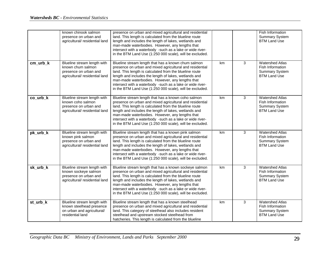|          | known chinook salmon<br>presence on urban and<br>agricultural/ residential land                                | presence on urban and mixed agricultural and residential<br>land. This length is calculated from the blueline route<br>length and includes the length of lakes, wetlands and<br>man-made waterbodies. However, any lengths that<br>intersect with a waterbody -such as a lake or wide river-<br>in the BTM Land Use (1:250 000 scale), will be excluded.                                                           |    |   | Fish Information<br><b>Summary System</b><br><b>BTM Land Use</b>                           |
|----------|----------------------------------------------------------------------------------------------------------------|--------------------------------------------------------------------------------------------------------------------------------------------------------------------------------------------------------------------------------------------------------------------------------------------------------------------------------------------------------------------------------------------------------------------|----|---|--------------------------------------------------------------------------------------------|
| cm_urb_k | Blueline stream length with<br>known chum salmon<br>presence on urban and<br>agricultural/ residential land    | Blueline stream length that has a known chum salmon<br>presence on urban and mixed agricultural and residential<br>land. This length is calculated from the blueline route<br>length and includes the length of lakes, wetlands and<br>man-made waterbodies. However, any lengths that<br>intersect with a waterbody -such as a lake or wide river-<br>in the BTM Land Use (1:250 000 scale), will be excluded.    | km | 3 | <b>Watershed Atlas</b><br>Fish Information<br><b>Summary System</b><br><b>BTM Land Use</b> |
| co_urb_k | Blueline stream length with<br>known coho salmon<br>presence on urban and<br>agricultural/ residential land    | Blueline stream length that has a known coho salmon<br>presence on urban and mixed agricultural and residential<br>land. This length is calculated from the blueline route<br>length and includes the length of lakes, wetlands and<br>man-made waterbodies. However, any lengths that<br>intersect with a waterbody -such as a lake or wide river-<br>in the BTM Land Use (1:250 000 scale), will be excluded.    | km | 3 | <b>Watershed Atlas</b><br>Fish Information<br><b>Summary System</b><br><b>BTM Land Use</b> |
| pk_urb_k | Blueline stream length with<br>known pink salmon<br>presence on urban and<br>agricultural/ residential land    | Blueline stream length that has a known pink salmon<br>presence on urban and mixed agricultural and residential<br>land. This length is calculated from the blueline route<br>length and includes the length of lakes, wetlands and<br>man-made waterbodies. However, any lengths that<br>intersect with a waterbody -such as a lake or wide river-<br>in the BTM Land Use (1:250 000 scale), will be excluded.    | km | 3 | <b>Watershed Atlas</b><br>Fish Information<br><b>Summary System</b><br><b>BTM Land Use</b> |
| sk_urb_k | Blueline stream length with<br>known sockeye salmon<br>presence on urban and<br>agricultural/ residential land | Blueline stream length that has a known sockeye salmon<br>presence on urban and mixed agricultural and residential<br>land. This length is calculated from the blueline route<br>length and includes the length of lakes, wetlands and<br>man-made waterbodies. However, any lengths that<br>intersect with a waterbody -such as a lake or wide river-<br>in the BTM Land Use (1:250 000 scale), will be excluded. | km | 3 | <b>Watershed Atlas</b><br>Fish Information<br><b>Summary System</b><br><b>BTM Land Use</b> |
| st_urb_k | Blueline stream length with<br>known steelhead presence<br>on urban and agricultural/<br>residential land      | Blueline stream length that has a known steelhead<br>presence on urban and mixed agricultural and residential<br>land. This category of steelhead also includes resident<br>steelhead and upstream stocked steelhead from<br>hatcheries. This length is calculated from the blueline                                                                                                                               | km | 3 | <b>Watershed Atlas</b><br>Fish Information<br><b>Summary System</b><br><b>BTM Land Use</b> |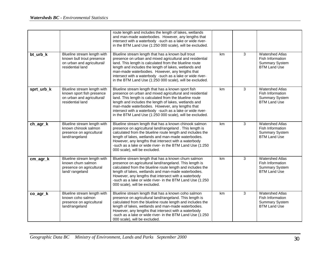|            |                                                                                                            | route length and includes the length of lakes, wetlands<br>and man-made waterbodies. However, any lengths that<br>intersect with a waterbody -such as a lake or wide river-<br>in the BTM Land Use (1:250 000 scale), will be excluded.                                                                                                                                                                        |    |                |                                                                                            |
|------------|------------------------------------------------------------------------------------------------------------|----------------------------------------------------------------------------------------------------------------------------------------------------------------------------------------------------------------------------------------------------------------------------------------------------------------------------------------------------------------------------------------------------------------|----|----------------|--------------------------------------------------------------------------------------------|
| bt_urb_k   | Blueline stream length with<br>known bull trout presence<br>on urban and agricultural/<br>residential land | Blueline stream length that has a known bull trout<br>presence on urban and mixed agricultural and residential<br>land. This length is calculated from the blueline route<br>length and includes the length of lakes, wetlands and<br>man-made waterbodies. However, any lengths that<br>intersect with a waterbody -such as a lake or wide river-<br>in the BTM Land Use (1:250 000 scale), will be excluded. | km | 3              | <b>Watershed Atlas</b><br>Fish Information<br><b>Summary System</b><br><b>BTM Land Use</b> |
| sprt_urb_k | Blueline stream length with<br>known sport fish presence<br>on urban and agricultural/<br>residential land | Blueline stream length that has a known sport fish<br>presence on urban and mixed agricultural and residential<br>land. This length is calculated from the blueline route<br>length and includes the length of lakes, wetlands and<br>man-made waterbodies. However, any lengths that<br>intersect with a waterbody -such as a lake or wide river-<br>in the BTM Land Use (1:250 000 scale), will be excluded. | km | $\overline{3}$ | <b>Watershed Atlas</b><br>Fish Information<br><b>Summary System</b><br><b>BTM Land Use</b> |
| ch_agr_k   | Blueline stream length with<br>known chinook salmon<br>presence on agricultural<br>land/rangeland          | Blueline stream length that has a known chinook salmon<br>presence on agricultural land/rangeland. This length is<br>calculated from the blueline route length and includes the<br>length of lakes, wetlands and man-made waterbodies.<br>However, any lengths that intersect with a waterbody<br>-such as a lake or wide river- in the BTM Land Use (1:250<br>000 scale), will be excluded.                   | km | $\overline{3}$ | <b>Watershed Atlas</b><br>Fish Information<br><b>Summary System</b><br><b>BTM Land Use</b> |
| cm_agr_k   | Blueline stream length with<br>known chum salmon<br>presence on agricultural<br>land/rangeland             | Blueline stream length that has a known chum salmon<br>presence on agricultural land/rangeland. This length is<br>calculated from the blueline route length and includes the<br>length of lakes, wetlands and man-made waterbodies.<br>However, any lengths that intersect with a waterbody<br>-such as a lake or wide river- in the BTM Land Use (1:250<br>000 scale), will be excluded.                      | km | 3              | <b>Watershed Atlas</b><br>Fish Information<br><b>Summary System</b><br><b>BTM Land Use</b> |
| co_agr_k   | Blueline stream length with<br>known coho salmon<br>presence on agricultural<br>land/rangeland             | Blueline stream length that has a known coho salmon<br>presence on agricultural land/rangeland. This length is<br>calculated from the blueline route length and includes the<br>length of lakes, wetlands and man-made waterbodies.<br>However, any lengths that intersect with a waterbody<br>-such as a lake or wide river- in the BTM Land Use (1:250<br>000 scale), will be excluded.                      | km | 3              | <b>Watershed Atlas</b><br>Fish Information<br><b>Summary System</b><br><b>BTM Land Use</b> |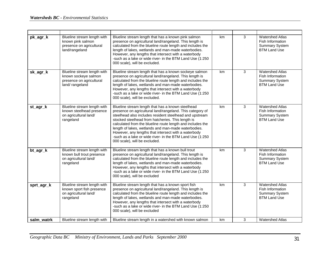| pk_agr_k   | Blueline stream length with<br>known pink salmon<br>presence on agricultural<br>land/rangeland    | Blueline stream length that has a known pink salmon<br>presence on agricultural land/rangeland. This length is<br>calculated from the blueline route length and includes the<br>length of lakes, wetlands and man-made waterbodies.<br>However, any lengths that intersect with a waterbody<br>-such as a lake or wide river- in the BTM Land Use (1:250<br>000 scale), will be excluded.                                                                                                                 | km | 3              | <b>Watershed Atlas</b><br>Fish Information<br><b>Summary System</b><br><b>BTM Land Use</b> |
|------------|---------------------------------------------------------------------------------------------------|-----------------------------------------------------------------------------------------------------------------------------------------------------------------------------------------------------------------------------------------------------------------------------------------------------------------------------------------------------------------------------------------------------------------------------------------------------------------------------------------------------------|----|----------------|--------------------------------------------------------------------------------------------|
| sk_agr_k   | Blueline stream length with<br>known sockeye salmon<br>presence on agricultural<br>land/rangeland | Blueline stream length that has a known sockeye salmon<br>presence on agricultural land/rangeland. This length is<br>calculated from the blueline route length and includes the<br>length of lakes, wetlands and man-made waterbodies.<br>However, any lengths that intersect with a waterbody<br>-such as a lake or wide river- in the BTM Land Use (1:250<br>000 scale), will be excluded.                                                                                                              | km | 3              | <b>Watershed Atlas</b><br>Fish Information<br><b>Summary System</b><br><b>BTM Land Use</b> |
| st_agr_k   | Blueline stream length with<br>known steelhead presence<br>on agricultural land/<br>rangeland     | Blueline stream length that has a known steelhead<br>presence on agricultural land/rangeland. This category of<br>steelhead also includes resident steelhead and upstream<br>stocked steelhead from hatcheries. This length is<br>calculated from the blueline route length and includes the<br>length of lakes, wetlands and man-made waterbodies.<br>However, any lengths that intersect with a waterbody<br>-such as a lake or wide river- in the BTM Land Use (1:250<br>000 scale), will be excluded. | km | 3              | <b>Watershed Atlas</b><br>Fish Information<br><b>Summary System</b><br><b>BTM Land Use</b> |
| bt_agr_k   | Blueline stream length with<br>known bull trout presence<br>on agricultural land/<br>rangeland    | Blueline stream length that has a known bull trout<br>presence on agricultural land/rangeland. This length is<br>calculated from the blueline route length and includes the<br>length of lakes, wetlands and man-made waterbodies.<br>However, any lengths that intersect with a waterbody<br>-such as a lake or wide river- in the BTM Land Use (1:250<br>000 scale), will be excluded                                                                                                                   | km | $\overline{3}$ | <b>Watershed Atlas</b><br>Fish Information<br><b>Summary System</b><br><b>BTM Land Use</b> |
| sprt_agr_k | Blueline stream length with<br>known sport fish presence<br>on agricultural land/<br>rangeland    | Blueline stream length that has a known sport fish<br>presence on agricultural land/rangeland. This length is<br>calculated from the blueline route length and includes the<br>length of lakes, wetlands and man-made waterbodies.<br>However, any lengths that intersect with a waterbody<br>-such as a lake or wide river- in the BTM Land Use (1:250<br>000 scale), will be excluded                                                                                                                   | km | 3              | <b>Watershed Atlas</b><br>Fish Information<br><b>Summary System</b><br><b>BTM Land Use</b> |
| salm watrk | Blueline stream length with                                                                       | Blueline stream length in a watershed with known salmon                                                                                                                                                                                                                                                                                                                                                                                                                                                   | km | 3              | <b>Watershed Atlas</b>                                                                     |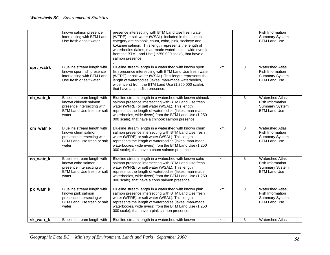|            | known salmon presence<br>intersecting with BTM Land<br>Use fresh or salt water.                                           | presence intersecting with BTM Land Use fresh water<br>(WFRE) or salt water (WSAL). Included in the salmon<br>category are chinook, chum, coho, pink, sockeye and<br>kokanee salmon. This length represents the length of<br>waterbodies (lakes, man-made waterbodies, wide rivers)<br>from the BTM Land Use (1:250 000 scale), that have a<br>salmon presence. |    |                | <b>Fish Information</b><br><b>Summary System</b><br><b>BTM Land Use</b>                    |
|------------|---------------------------------------------------------------------------------------------------------------------------|-----------------------------------------------------------------------------------------------------------------------------------------------------------------------------------------------------------------------------------------------------------------------------------------------------------------------------------------------------------------|----|----------------|--------------------------------------------------------------------------------------------|
| sprt_watrk | Blueline stream length with<br>known sport fish presence<br>intersecting with BTM Land<br>Use fresh or salt water.        | Blueline stream length in a watershed with known sport<br>fish presence intersecting with BTM Land Use fresh water<br>(WFRE) or salt water (WSAL). This length represents the<br>length of waterbodies (lakes, man-made waterbodies,<br>wide rivers) from the BTM Land Use (1:250 000 scale),<br>that have a sport fish presence.                               | km | 3              | <b>Watershed Atlas</b><br>Fish Information<br><b>Summary System</b><br><b>BTM Land Use</b> |
| ch_watr_k  | Blueline stream length with<br>known chinook salmon<br>presence intersecting with<br>BTM Land Use fresh or salt<br>water. | Blueline stream length in a watershed with known chinook<br>salmon presence intersecting with BTM Land Use fresh<br>water (WFRE) or salt water (WSAL). This length<br>represents the length of waterbodies (lakes, man-made<br>waterbodies, wide rivers) from the BTM Land Use (1:250<br>000 scale), that have a chinook salmon presence.                       | km | 3              | <b>Watershed Atlas</b><br>Fish Information<br><b>Summary System</b><br><b>BTM Land Use</b> |
| cm_watr_k  | Blueline stream length with<br>known chum salmon<br>presence intersecting with<br>BTM Land Use fresh or salt<br>water.    | Blueline stream length in a watershed with known chum<br>salmon presence intersecting with BTM Land Use fresh<br>water (WFRE) or salt water (WSAL). This length<br>represents the length of waterbodies (lakes, man-made<br>waterbodies, wide rivers) from the BTM Land Use (1:250<br>000 scale), that have a chum salmon presence.                             | km | $\overline{3}$ | <b>Watershed Atlas</b><br>Fish Information<br><b>Summary System</b><br><b>BTM Land Use</b> |
| co_watr_k  | Blueline stream length with<br>known coho salmon<br>presence intersecting with<br>BTM Land Use fresh or salt<br>water.    | Blueline stream length in a watershed with known coho<br>salmon presence intersecting with BTM Land Use fresh<br>water (WFRE) or salt water (WSAL). This length<br>represents the length of waterbodies (lakes, man-made<br>waterbodies, wide rivers) from the BTM Land Use (1:250<br>000 scale), that have a coho salmon presence.                             | km | 3              | <b>Watershed Atlas</b><br>Fish Information<br><b>Summary System</b><br><b>BTM Land Use</b> |
| pk_watr_k  | Blueline stream length with<br>known pink salmon<br>presence intersecting with<br>BTM Land Use fresh or salt<br>water.    | Blueline stream length in a watershed with known pink<br>salmon presence intersecting with BTM Land Use fresh<br>water (WFRE) or salt water (WSAL). This length<br>represents the length of waterbodies (lakes, man-made<br>waterbodies, wide rivers) from the BTM Land Use (1:250<br>000 scale), that have a pink salmon presence.                             | km | 3              | <b>Watershed Atlas</b><br>Fish Information<br><b>Summary System</b><br><b>BTM Land Use</b> |
| sk watr k  | Blueline stream length with                                                                                               | Blueline stream length in a watershed with known                                                                                                                                                                                                                                                                                                                | km | 3              | <b>Watershed Atlas</b>                                                                     |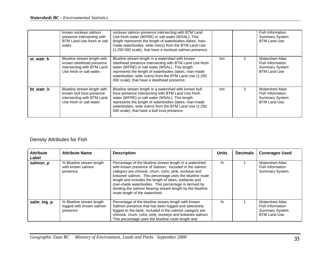|           | known sockeye salmon<br>presence intersecting with<br>BTM Land Use fresh or salt<br>water.                         | sockeye salmon presence intersecting with BTM Land<br>Use fresh water (WFRE) or salt water (WSAL). This<br>length represents the length of waterbodies (lakes, man-<br>made waterbodies, wide rivers) from the BTM Land Use<br>(1:250 000 scale), that have a sockeye salmon presence.                                            |     |   | Fish Information<br><b>Summary System</b><br><b>BTM Land Use</b>                           |
|-----------|--------------------------------------------------------------------------------------------------------------------|-----------------------------------------------------------------------------------------------------------------------------------------------------------------------------------------------------------------------------------------------------------------------------------------------------------------------------------|-----|---|--------------------------------------------------------------------------------------------|
| st watr k | Blueline stream length with<br>known steelhead presence<br>intersecting with BTM Land<br>Use fresh or salt water.  | Blueline stream length in a watershed with known<br>steelhead presence intersecting with BTM Land Use fresh<br>water (WFRE) or salt water (WSAL). This length<br>represents the length of waterbodies (lakes, man-made<br>waterbodies, wide rivers) from the BTM Land Use (1:250<br>000 scale), that have a steelhead presence.   | km. | 3 | <b>Watershed Atlas</b><br>Fish Information<br><b>Summary System</b><br><b>BTM Land Use</b> |
| bt watr k | Blueline stream length with<br>known bull trout presence<br>intersecting with BTM Land<br>Use fresh or salt water. | Blueline stream length in a watershed with known bull<br>trout presence intersecting with BTM Land Use fresh<br>water (WFRE) or salt water (WSAL). This length<br>represents the length of waterbodies (lakes, man-made<br>waterbodies, wide rivers) from the BTM Land Use (1:250<br>000 scale), that have a bull trout presence. | km. | 3 | <b>Watershed Atlas</b><br>Fish Information<br><b>Summary System</b><br><b>BTM Land Use</b> |

# Density Attributes for Fish

| <b>Attribute</b><br>Label | <b>Attribute Name</b>                                            | <b>Description</b>                                                                                                                                                                                                                                                                                                                                                                                                                                | <b>Units</b> | <b>Decimals</b> | <b>Coverages Used</b>                                                                      |
|---------------------------|------------------------------------------------------------------|---------------------------------------------------------------------------------------------------------------------------------------------------------------------------------------------------------------------------------------------------------------------------------------------------------------------------------------------------------------------------------------------------------------------------------------------------|--------------|-----------------|--------------------------------------------------------------------------------------------|
| salmon_p                  | % Blueline stream length<br>with known salmon<br>presence        | Percentage of the blueline stream length in a watershed<br>with known presence of Salmon. Included in the salmon<br>category are chinook, chum, coho, pink, sockeye and<br>kokanee salmon. This percentage uses the blueline route<br>length and includes the length of lakes, wetlands and<br>man-made waterbodies. This percentage is derived by<br>dividing the salmon bearing stream length by the blueline<br>route length of the watershed. | $\%$         |                 | <b>Watershed Atlas</b><br>Fish Information<br><b>Summary System</b>                        |
| salm_log_p                | % Blueline stream length<br>logged with known salmon<br>presence | Percentage of the blueline stream length with known<br>Salmon presence that has been logged and selectively<br>logged to the bank. Included in the salmon category are<br>chinook, chum, coho, pink, sockeye and kokanee salmon.<br>This percentage uses the blueline route length and                                                                                                                                                            | $\%$         |                 | <b>Watershed Atlas</b><br>Fish Information<br><b>Summary System</b><br><b>BTM Land Use</b> |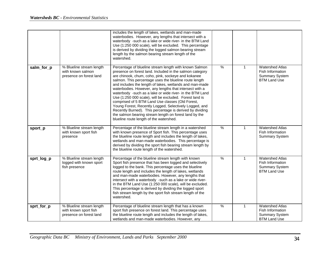|            |                                                                              | includes the length of lakes, wetlands and man-made<br>waterbodies. However, any lengths that intersect with a<br>waterbody -such as a lake or wide river- in the BTM Land<br>Use (1:250 000 scale), will be excluded. This percentage<br>is derived by dividing the logged salmon bearing stream<br>length by the salmon bearing stream length of the<br>watershed.                                                                                                                                                                                                                                                                                                                                                                                           |               |              |                                                                                            |
|------------|------------------------------------------------------------------------------|----------------------------------------------------------------------------------------------------------------------------------------------------------------------------------------------------------------------------------------------------------------------------------------------------------------------------------------------------------------------------------------------------------------------------------------------------------------------------------------------------------------------------------------------------------------------------------------------------------------------------------------------------------------------------------------------------------------------------------------------------------------|---------------|--------------|--------------------------------------------------------------------------------------------|
| salm_for_p | % Blueline stream length<br>with known salmon<br>presence on forest land     | Percentage of blueline stream length with known Salmon<br>presence on forest land. Included in the salmon category<br>are chinook, chum, coho, pink, sockeye and kokanee<br>salmon. This percentage uses the blueline route length<br>and includes the length of lakes, wetlands and man-made<br>waterbodies. However, any lengths that intersect with a<br>waterbody -such as a lake or wide river- in the BTM Land<br>Use (1:250 000 scale), will be excluded. Forest land is<br>comprised of 5 BTM Land Use classes (Old Forest,<br>Young Forest, Recently Logged, Selectively Logged, and<br>Recently Burned). This percentage is derived by dividing<br>the salmon bearing stream length on forest land by the<br>blueline route length of the watershed. | $\frac{0}{6}$ | $\mathbf{1}$ | <b>Watershed Atlas</b><br>Fish Information<br>Summary System<br><b>BTM Land Use</b>        |
| sport_p    | % Blueline stream length<br>with known sport fish<br>presence                | Percentage of the blueline stream length in a watershed<br>with known presence of Sport fish. This percentage uses<br>the blueline route length and includes the length of lakes,<br>wetlands and man-made waterbodies. This percentage is<br>derived by dividing the sport fish bearing stream length by<br>the blueline route length of the watershed.                                                                                                                                                                                                                                                                                                                                                                                                       | $\%$          | $\mathbf{1}$ | <b>Watershed Atlas</b><br>Fish Information<br><b>Summary System</b>                        |
| sprt_log_p | % Blueline stream length<br>logged with known sport<br>fish presence         | Percentage of the blueline stream length with known<br>Sport fish presence that has been logged and selectively<br>logged to the bank. This percentage uses the blueline<br>route length and includes the length of lakes, wetlands<br>and man-made waterbodies. However, any lengths that<br>intersect with a waterbody -such as a lake or wide river-<br>in the BTM Land Use (1:250 000 scale), will be excluded.<br>This percentage is derived by dividing the logged sport<br>fish stream length by the sport fish stream length of the<br>watershed.                                                                                                                                                                                                      | $\%$          | $\mathbf{1}$ | <b>Watershed Atlas</b><br>Fish Information<br><b>Summary System</b><br><b>BTM Land Use</b> |
| sprt_for_p | % Blueline stream length<br>with known sport fish<br>presence on forest land | Percentage of blueline stream length that has a known<br>sport fish presence on forest land. This percentage uses<br>the blueline route length and includes the length of lakes,<br>wetlands and man-made waterbodies. However, any                                                                                                                                                                                                                                                                                                                                                                                                                                                                                                                            | $\frac{0}{6}$ | $\mathbf{1}$ | <b>Watershed Atlas</b><br>Fish Information<br><b>Summary System</b><br><b>BTM Land Use</b> |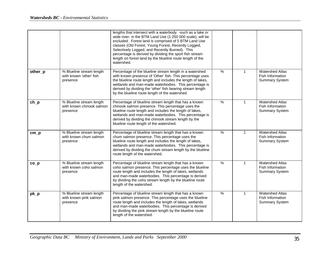|          |                                                                   | lengths that intersect with a waterbody -such as a lake or<br>wide river- in the BTM Land Use (1:250 000 scale), will be<br>excluded. Forest land is comprised of 5 BTM Land Use<br>classes (Old Forest, Young Forest, Recently Logged,<br>Selectively Logged, and Recently Burned). This<br>percentage is derived by dividing the sport fish stream<br>length on forest land by the blueline route length of the<br>watershed. |               |              |                                                                     |
|----------|-------------------------------------------------------------------|---------------------------------------------------------------------------------------------------------------------------------------------------------------------------------------------------------------------------------------------------------------------------------------------------------------------------------------------------------------------------------------------------------------------------------|---------------|--------------|---------------------------------------------------------------------|
| other_p  | % Blueline stream length<br>with known 'other' fish<br>presence   | Percentage of the blueline stream length in a watershed<br>with known presence of 'Other' fish. This percentage uses<br>the blueline route length and includes the length of lakes,<br>wetlands and man-made waterbodies. This percentage is<br>derived by dividing the 'other' fish bearing stream length<br>by the blueline route length of the watershed.                                                                    | $\frac{9}{6}$ | $\mathbf{1}$ | <b>Watershed Atlas</b><br>Fish Information<br><b>Summary System</b> |
| $ch_p$   | % Blueline stream length<br>with known chinook salmon<br>presence | Percentage of blueline stream length that has a known<br>chinook salmon presence. This percentage uses the<br>blueline route length and includes the length of lakes,<br>wetlands and man-made waterbodies. This percentage is<br>derived by dividing the chinook stream length by the<br>blueline route length of the watershed.                                                                                               | $\frac{9}{6}$ | $\mathbf{1}$ | <b>Watershed Atlas</b><br>Fish Information<br><b>Summary System</b> |
| $cm$ $p$ | % Blueline stream length<br>with known chum salmon<br>presence    | Percentage of blueline stream length that has a known<br>chum salmon presence. This percentage uses the<br>blueline route length and includes the length of lakes,<br>wetlands and man-made waterbodies. This percentage is<br>derived by dividing the chum stream length by the blueline<br>route length of the watershed.                                                                                                     | $\frac{9}{6}$ | $\mathbf{1}$ | <b>Watershed Atlas</b><br>Fish Information<br><b>Summary System</b> |
| $co_p$   | % Blueline stream length<br>with known coho salmon<br>presence    | Percentage of blueline stream length that has a known<br>coho salmon presence. This percentage uses the blueline<br>route length and includes the length of lakes, wetlands<br>and man-made waterbodies. This percentage is derived<br>by dividing the coho stream length by the blueline route<br>length of the watershed.                                                                                                     | $\%$          | $\mathbf 1$  | <b>Watershed Atlas</b><br>Fish Information<br><b>Summary System</b> |
| $pk\_p$  | % Blueline stream length<br>with known pink salmon<br>presence    | Percentage of blueline stream length that has a known<br>pink salmon presence. This percentage uses the blueline<br>route length and includes the length of lakes, wetlands<br>and man-made waterbodies. This percentage is derived<br>by dividing the pink stream length by the blueline route<br>length of the watershed.                                                                                                     | $\frac{9}{6}$ | $\mathbf 1$  | <b>Watershed Atlas</b><br>Fish Information<br>Summary System        |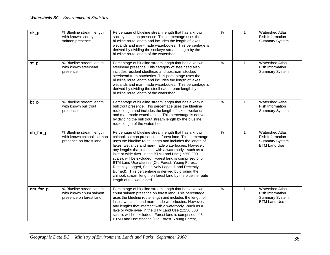| sk_p                           | % Blueline stream length<br>with known sockeye<br>salmon presence                | Percentage of blueline stream length that has a known<br>sockeye salmon presence. This percentage uses the<br>blueline route length and includes the length of lakes,<br>wetlands and man-made waterbodies. This percentage is<br>derived by dividing the sockeye stream length by the<br>blueline route length of the watershed.                                                                                                                                                                                                                                                                                                                                       | $\frac{9}{6}$ | $\mathbf{1}$ | <b>Watershed Atlas</b><br>Fish Information<br><b>Summary System</b>                        |
|--------------------------------|----------------------------------------------------------------------------------|-------------------------------------------------------------------------------------------------------------------------------------------------------------------------------------------------------------------------------------------------------------------------------------------------------------------------------------------------------------------------------------------------------------------------------------------------------------------------------------------------------------------------------------------------------------------------------------------------------------------------------------------------------------------------|---------------|--------------|--------------------------------------------------------------------------------------------|
| $st$ <sub><math>p</math></sub> | % Blueline stream length<br>with known steelhead<br>presence                     | Percentage of blueline stream length that has a known<br>steelhead presence. This category of steelhead also<br>includes resident steelhead and upstream stocked<br>steelhead from hatcheries. This percentage uses the<br>blueline route length and includes the length of lakes,<br>wetlands and man-made waterbodies. This percentage is<br>derived by dividing the steelhead stream length by the<br>blueline route length of the watershed.                                                                                                                                                                                                                        | $\frac{9}{6}$ | $\mathbf{1}$ | <b>Watershed Atlas</b><br>Fish Information<br><b>Summary System</b>                        |
| $bt_p$                         | % Blueline stream length<br>with known bull trout<br>presence                    | Percentage of blueline stream length that has a known<br>bull trout presence. This percentage uses the blueline<br>route length and includes the length of lakes, wetlands<br>and man-made waterbodies. This percentage is derived<br>by dividing the bull trout stream length by the blueline<br>route length of the watershed.                                                                                                                                                                                                                                                                                                                                        | $\frac{9}{6}$ | $\mathbf{1}$ | <b>Watershed Atlas</b><br>Fish Information<br><b>Summary System</b>                        |
| ch_for_p                       | % Blueline stream length<br>with known chinook salmon<br>presence on forest land | Percentage of blueline stream length that has a known<br>chinook salmon presence on forest land. This percentage<br>uses the blueline route length and includes the length of<br>lakes, wetlands and man-made waterbodies. However,<br>any lengths that intersect with a waterbody -such as a<br>lake or wide river- in the BTM Land Use (1:250 000<br>scale), will be excluded. Forest land is comprised of 5<br>BTM Land Use classes (Old Forest, Young Forest,<br>Recently Logged, Selectively Logged, and Recently<br>Burned). This percentage is derived by dividing the<br>chinook stream length on forest land by the blueline route<br>length of the watershed. | $\frac{9}{6}$ | $\mathbf{1}$ | <b>Watershed Atlas</b><br>Fish Information<br><b>Summary System</b><br><b>BTM Land Use</b> |
| cm_for_p                       | % Blueline stream length<br>with known chum salmon<br>presence on forest land    | Percentage of blueline stream length that has a known<br>chum salmon presence on forest land. This percentage<br>uses the blueline route length and includes the length of<br>lakes, wetlands and man-made waterbodies. However,<br>any lengths that intersect with a waterbody -such as a<br>lake or wide river- in the BTM Land Use (1:250 000<br>scale), will be excluded. Forest land is comprised of 5<br>BTM Land Use classes (Old Forest, Young Forest,                                                                                                                                                                                                          | $\frac{0}{0}$ | $\mathbf{1}$ | <b>Watershed Atlas</b><br>Fish Information<br><b>Summary System</b><br><b>BTM Land Use</b> |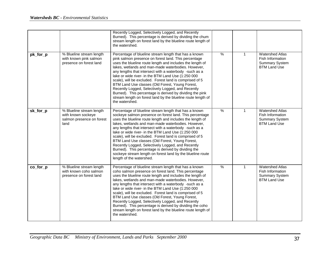|          |                                                                                     | Recently Logged, Selectively Logged, and Recently<br>Burned). This percentage is derived by dividing the chum<br>stream length on forest land by the blueline route length of<br>the watershed.                                                                                                                                                                                                                                                                                                                                                                                                                                                                         |               |              |                                                                                            |
|----------|-------------------------------------------------------------------------------------|-------------------------------------------------------------------------------------------------------------------------------------------------------------------------------------------------------------------------------------------------------------------------------------------------------------------------------------------------------------------------------------------------------------------------------------------------------------------------------------------------------------------------------------------------------------------------------------------------------------------------------------------------------------------------|---------------|--------------|--------------------------------------------------------------------------------------------|
| pk_for_p | % Blueline stream length<br>with known pink salmon<br>presence on forest land       | Percentage of blueline stream length that has a known<br>pink salmon presence on forest land. This percentage<br>uses the blueline route length and includes the length of<br>lakes, wetlands and man-made waterbodies. However,<br>any lengths that intersect with a waterbody -such as a<br>lake or wide river- in the BTM Land Use (1:250 000<br>scale), will be excluded. Forest land is comprised of 5<br>BTM Land Use classes (Old Forest, Young Forest,<br>Recently Logged, Selectively Logged, and Recently<br>Burned). This percentage is derived by dividing the pink<br>stream length on forest land by the blueline route length of<br>the watershed.       | $\frac{0}{6}$ | $\mathbf{1}$ | <b>Watershed Atlas</b><br>Fish Information<br><b>Summary System</b><br><b>BTM Land Use</b> |
| sk_for_p | % Blueline stream length<br>with known sockeye<br>salmon presence on forest<br>land | Percentage of blueline stream length that has a known<br>sockeye salmon presence on forest land. This percentage<br>uses the blueline route length and includes the length of<br>lakes, wetlands and man-made waterbodies. However,<br>any lengths that intersect with a waterbody -such as a<br>lake or wide river- in the BTM Land Use (1:250 000<br>scale), will be excluded. Forest land is comprised of 5<br>BTM Land Use classes (Old Forest, Young Forest,<br>Recently Logged, Selectively Logged, and Recently<br>Burned). This percentage is derived by dividing the<br>sockeye stream length on forest land by the blueline route<br>length of the watershed. | $\%$          | 1            | <b>Watershed Atlas</b><br>Fish Information<br><b>Summary System</b><br><b>BTM Land Use</b> |
| co_for_p | % Blueline stream length<br>with known coho salmon<br>presence on forest land       | Percentage of blueline stream length that has a known<br>coho salmon presence on forest land. This percentage<br>uses the blueline route length and includes the length of<br>lakes, wetlands and man-made waterbodies. However,<br>any lengths that intersect with a waterbody -such as a<br>lake or wide river- in the BTM Land Use (1:250 000<br>scale), will be excluded. Forest land is comprised of 5<br>BTM Land Use classes (Old Forest, Young Forest,<br>Recently Logged, Selectively Logged, and Recently<br>Burned). This percentage is derived by dividing the coho<br>stream length on forest land by the blueline route length of<br>the watershed.       | $\%$          | $\mathbf{1}$ | <b>Watershed Atlas</b><br>Fish Information<br><b>Summary System</b><br><b>BTM Land Use</b> |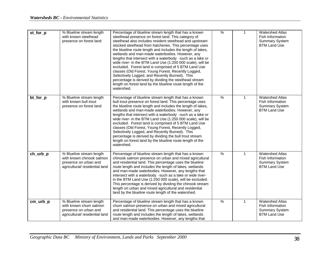| st_for_p | % Blueline stream length<br>with known steelhead<br>presence on forest land                                     | Percentage of blueline stream length that has a known<br>steelhead presence on forest land. This category of<br>steelhead also includes resident steelhead and upstream<br>stocked steelhead from hatcheries. This percentage uses<br>the blueline route length and includes the length of lakes,<br>wetlands and man-made waterbodies. However, any<br>lengths that intersect with a waterbody -such as a lake or<br>wide river- in the BTM Land Use (1:250 000 scale), will be<br>excluded. Forest land is comprised of 5 BTM Land Use<br>classes (Old Forest, Young Forest, Recently Logged,<br>Selectively Logged, and Recently Burned). This                      | $\frac{9}{6}$ | 1            | <b>Watershed Atlas</b><br>Fish Information<br><b>Summary System</b><br><b>BTM Land Use</b> |
|----------|-----------------------------------------------------------------------------------------------------------------|------------------------------------------------------------------------------------------------------------------------------------------------------------------------------------------------------------------------------------------------------------------------------------------------------------------------------------------------------------------------------------------------------------------------------------------------------------------------------------------------------------------------------------------------------------------------------------------------------------------------------------------------------------------------|---------------|--------------|--------------------------------------------------------------------------------------------|
|          |                                                                                                                 | percentage is derived by dividing the steelhead stream<br>length on forest land by the blueline route length of the<br>watershed.                                                                                                                                                                                                                                                                                                                                                                                                                                                                                                                                      |               |              |                                                                                            |
| bt_for_p | % Blueline stream length<br>with known bull trout<br>presence on forest land                                    | Percentage of blueline stream length that has a known<br>bull trout presence on forest land. This percentage uses<br>the blueline route length and includes the length of lakes,<br>wetlands and man-made waterbodies. However, any<br>lengths that intersect with a waterbody -such as a lake or<br>wide river- in the BTM Land Use (1:250 000 scale), will be<br>excluded. Forest land is comprised of 5 BTM Land Use<br>classes (Old Forest, Young Forest, Recently Logged,<br>Selectively Logged, and Recently Burned). This<br>percentage is derived by dividing the bull trout stream<br>length on forest land by the blueline route length of the<br>watershed. | $\frac{9}{6}$ | $\mathbf{1}$ | <b>Watershed Atlas</b><br>Fish Information<br><b>Summary System</b><br><b>BTM Land Use</b> |
| ch_urb_p | % Blueline stream length<br>with known chinook salmon<br>presence on urban and<br>agricultural/residential land | Percentage of blueline stream length that has a known<br>chinook salmon presence on urban and mixed agricultural<br>and residential land. This percentage uses the blueline<br>route length and includes the length of lakes, wetlands<br>and man-made waterbodies. However, any lengths that<br>intersect with a waterbody -such as a lake or wide river-<br>in the BTM Land Use (1:250 000 scale), will be excluded.<br>This percentage is derived by dividing the chinook stream<br>length on urban and mixed agricultural and residential<br>land by the blueline route length of the watershed.                                                                   | $\frac{9}{6}$ | $\mathbf{1}$ | <b>Watershed Atlas</b><br>Fish Information<br><b>Summary System</b><br><b>BTM Land Use</b> |
| cm_urb_p | % Blueline stream length<br>with known chum salmon<br>presence on urban and<br>agricultural/ residential land   | Percentage of blueline stream length that has a known<br>chum salmon presence on urban and mixed agricultural<br>and residential land. This percentage uses the blueline<br>route length and includes the length of lakes, wetlands<br>and man-made waterbodies. However, any lengths that                                                                                                                                                                                                                                                                                                                                                                             | $\%$          | $\mathbf{1}$ | <b>Watershed Atlas</b><br>Fish Information<br><b>Summary System</b><br><b>BTM Land Use</b> |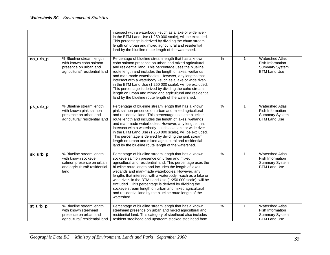|          |                                                                                                                     | intersect with a waterbody -such as a lake or wide river-<br>in the BTM Land Use (1:250 000 scale), will be excluded.<br>This percentage is derived by dividing the chum stream<br>length on urban and mixed agricultural and residential<br>land by the blueline route length of the watershed.                                                                                                                                                                                                                                                                                                        |               |              |                                                                                            |
|----------|---------------------------------------------------------------------------------------------------------------------|---------------------------------------------------------------------------------------------------------------------------------------------------------------------------------------------------------------------------------------------------------------------------------------------------------------------------------------------------------------------------------------------------------------------------------------------------------------------------------------------------------------------------------------------------------------------------------------------------------|---------------|--------------|--------------------------------------------------------------------------------------------|
| co_urb_p | % Blueline stream length<br>with known coho salmon<br>presence on urban and<br>agricultural/ residential land       | Percentage of blueline stream length that has a known<br>coho salmon presence on urban and mixed agricultural<br>and residential land. This percentage uses the blueline<br>route length and includes the length of lakes, wetlands<br>and man-made waterbodies. However, any lengths that<br>intersect with a waterbody -such as a lake or wide river-<br>in the BTM Land Use (1:250 000 scale), will be excluded.<br>This percentage is derived by dividing the coho stream<br>length on urban and mixed and agricultural and residential<br>land by the blueline route length of the watershed.      | $\frac{0}{0}$ | $\mathbf 1$  | <b>Watershed Atlas</b><br>Fish Information<br><b>Summary System</b><br><b>BTM Land Use</b> |
| pk_urb_p | % Blueline stream length<br>with known pink salmon<br>presence on urban and<br>agricultural/ residential land       | Percentage of blueline stream length that has a known<br>pink salmon presence on urban and mixed agricultural<br>and residential land. This percentage uses the blueline<br>route length and includes the length of lakes, wetlands<br>and man-made waterbodies. However, any lengths that<br>intersect with a waterbody -such as a lake or wide river-<br>in the BTM Land Use (1:250 000 scale), will be excluded.<br>This percentage is derived by dividing the pink stream<br>length on urban and mixed agricultural and residential<br>land by the blueline route length of the watershed.          | $\%$          | 1            | <b>Watershed Atlas</b><br>Fish Information<br><b>Summary System</b><br><b>BTM Land Use</b> |
| sk_urb_p | % Blueline stream length<br>with known sockeye<br>salmon presence on urban<br>and agricultural/ residential<br>land | Percentage of blueline stream length that has a known<br>sockeye salmon presence on urban and mixed<br>agricultural and residential land. This percentage uses the<br>blueline route length and includes the length of lakes,<br>wetlands and man-made waterbodies. However, any<br>lengths that intersect with a waterbody -such as a lake or<br>wide river- in the BTM Land Use (1:250 000 scale), will be<br>excluded. This percentage is derived by dividing the<br>sockeye stream length on urban and mixed agricultural<br>and residential land by the blueline route length of the<br>watershed. | $\frac{0}{0}$ | $\mathbf{1}$ | <b>Watershed Atlas</b><br>Fish Information<br>Summary System<br><b>BTM Land Use</b>        |
| st_urb_p | % Blueline stream length<br>with known steelhead<br>presence on urban and<br>agricultural/residential land          | Percentage of blueline stream length that has a known<br>steelhead presence on urban and mixed agricultural and<br>residential land. This category of steelhead also includes<br>resident steelhead and upstream stocked steelhead from                                                                                                                                                                                                                                                                                                                                                                 | $\frac{9}{6}$ | $\mathbf{1}$ | <b>Watershed Atlas</b><br>Fish Information<br><b>Summary System</b><br><b>BTM Land Use</b> |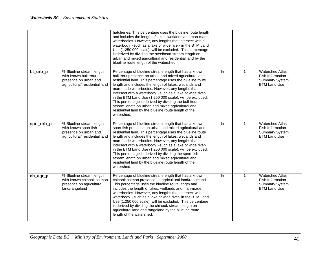|            |                                                                                                              | hatcheries. This percentage uses the blueline route length<br>and includes the length of lakes, wetlands and man-made<br>waterbodies. However, any lengths that intersect with a<br>waterbody -such as a lake or wide river- in the BTM Land<br>Use (1:250 000 scale), will be excluded. This percentage<br>is derived by dividing the steelhead stream length on<br>urban and mixed agricultural and residential land by the<br>blueline route length of the watershed.                                                                                                                               |               |              |                                                                                            |
|------------|--------------------------------------------------------------------------------------------------------------|--------------------------------------------------------------------------------------------------------------------------------------------------------------------------------------------------------------------------------------------------------------------------------------------------------------------------------------------------------------------------------------------------------------------------------------------------------------------------------------------------------------------------------------------------------------------------------------------------------|---------------|--------------|--------------------------------------------------------------------------------------------|
| bt_urb_p   | % Blueline stream length<br>with known bull trout<br>presence on urban and<br>agricultural/ residential land | Percentage of blueline stream length that has a known<br>bull trout presence on urban and mixed agricultural and<br>residential land. This percentage uses the blueline route<br>length and includes the length of lakes, wetlands and<br>man-made waterbodies. However, any lengths that<br>intersect with a waterbody -such as a lake or wide river-<br>in the BTM Land Use (1:250 000 scale), will be excluded.<br>This percentage is derived by dividing the bull trout<br>stream length on urban and mixed agricultural and<br>residential land by the blueline route length of the<br>watershed. | $\%$          | $\mathbf{1}$ | <b>Watershed Atlas</b><br>Fish Information<br><b>Summary System</b><br><b>BTM Land Use</b> |
| sprt_urb_p | % Blueline stream length<br>with known sport fish<br>presence on urban and<br>agricultural/ residential land | Percentage of blueline stream length that has a known<br>sport fish presence on urban and mixed agricultural and<br>residential land. This percentage uses the blueline route<br>length and includes the length of lakes, wetlands and<br>man-made waterbodies. However, any lengths that<br>intersect with a waterbody -such as a lake or wide river-<br>in the BTM Land Use (1:250 000 scale), will be excluded.<br>This percentage is derived by dividing the sport fish<br>stream length on urban and mixed agricultural and<br>residential land by the blueline route length of the<br>watershed. | $\frac{1}{2}$ | $\mathbf{1}$ | <b>Watershed Atlas</b><br>Fish Information<br><b>Summary System</b><br><b>BTM Land Use</b> |
| ch_agr_p   | % Blueline stream length<br>with known chinook salmon<br>presence on agricultural<br>land/rangeland          | Percentage of blueline stream length that has a known<br>chinook salmon presence on agricultural land/rangeland.<br>This percentage uses the blueline route length and<br>includes the length of lakes, wetlands and man-made<br>waterbodies. However, any lengths that intersect with a<br>waterbody -such as a lake or wide river- in the BTM Land<br>Use (1:250 000 scale), will be excluded. This percentage<br>is derived by dividing the chinook stream length on<br>agricultural land and rangeland by the blueline route<br>length of the watershed.                                           | $\frac{9}{6}$ | $\mathbf{1}$ | <b>Watershed Atlas</b><br>Fish Information<br><b>Summary System</b><br><b>BTM Land Use</b> |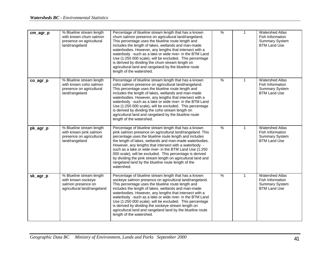| cm_agr_p    | % Blueline stream length<br>with known chum salmon<br>presence on agricultural<br>land/rangeland    | Percentage of blueline stream length that has a known<br>chum salmon presence on agricultural land/rangeland.<br>This percentage uses the blueline route length and<br>includes the length of lakes, wetlands and man-made<br>waterbodies. However, any lengths that intersect with a<br>waterbody -such as a lake or wide river- in the BTM Land<br>Use (1:250 000 scale), will be excluded. This percentage<br>is derived by dividing the chum stream length on<br>agricultural land and rangeland by the blueline route<br>length of the watershed.            | $\frac{0}{6}$ | $\mathbf{1}$ | <b>Watershed Atlas</b><br>Fish Information<br><b>Summary System</b><br><b>BTM Land Use</b> |
|-------------|-----------------------------------------------------------------------------------------------------|-------------------------------------------------------------------------------------------------------------------------------------------------------------------------------------------------------------------------------------------------------------------------------------------------------------------------------------------------------------------------------------------------------------------------------------------------------------------------------------------------------------------------------------------------------------------|---------------|--------------|--------------------------------------------------------------------------------------------|
| $co\_agr_p$ | % Blueline stream length<br>with known coho salmon<br>presence on agricultural<br>land/rangeland    | Percentage of blueline stream length that has a known<br>coho salmon presence on agricultural land/rangeland.<br>This percentage uses the blueline route length and<br>includes the length of lakes, wetlands and man-made<br>waterbodies. However, any lengths that intersect with a<br>waterbody -such as a lake or wide river- in the BTM Land<br>Use (1:250 000 scale), will be excluded. This percentage<br>is derived by dividing the coho stream length on<br>agricultural land and rangeland by the blueline route<br>length of the watershed.            | %             | $\mathbf{1}$ | <b>Watershed Atlas</b><br>Fish Information<br><b>Summary System</b><br><b>BTM Land Use</b> |
| pk_agr_p    | % Blueline stream length<br>with known pink salmon<br>presence on agricultural<br>land/rangeland    | Percentage of blueline stream length that has a known<br>pink salmon presence on agricultural land/rangeland. This<br>percentage uses the blueline route length and includes<br>the length of lakes, wetlands and man-made waterbodies.<br>However, any lengths that intersect with a waterbody -<br>such as a lake or wide river- in the BTM Land Use (1:250<br>000 scale), will be excluded. This percentage is derived<br>by dividing the pink stream length on agricultural land and<br>rangeland land by the blueline route length of the<br>watershed.      | $\frac{9}{6}$ | $\mathbf{1}$ | <b>Watershed Atlas</b><br>Fish Information<br><b>Summary System</b><br><b>BTM Land Use</b> |
| sk_agr_p    | % Blueline stream length<br>with known sockeye<br>salmon presence on<br>agricultural land/rangeland | Percentage of blueline stream length that has a known<br>sockeye salmon presence on agricultural land/rangeland.<br>This percentage uses the blueline route length and<br>includes the length of lakes, wetlands and man-made<br>waterbodies. However, any lengths that intersect with a<br>waterbody -such as a lake or wide river- in the BTM Land<br>Use (1:250 000 scale), will be excluded. This percentage<br>is derived by dividing the sockeye stream length on<br>agricultural land and rangeland land by the blueline route<br>length of the watershed. | $\frac{9}{6}$ | $\mathbf{1}$ | <b>Watershed Atlas</b><br>Fish Information<br><b>Summary System</b><br><b>BTM Land Use</b> |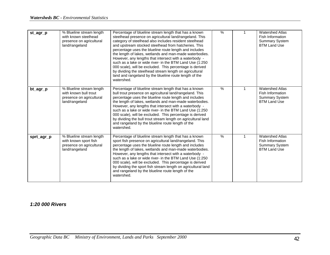| st_agr_p   | % Blueline stream length<br>with known steelhead<br>presence on agricultural<br>land/rangeland  | Percentage of blueline stream length that has a known<br>steelhead presence on agricultural land/rangeland. This<br>category of steelhead also includes resident steelhead<br>and upstream stocked steelhead from hatcheries. This<br>percentage uses the blueline route length and includes<br>the length of lakes, wetlands and man-made waterbodies.<br>However, any lengths that intersect with a waterbody -<br>such as a lake or wide river- in the BTM Land Use (1:250<br>000 scale), will be excluded. This percentage is derived<br>by dividing the steelhead stream length on agricultural<br>land and rangeland by the blueline route length of the<br>watershed. | $\%$ |   | <b>Watershed Atlas</b><br><b>Fish Information</b><br><b>Summary System</b><br><b>BTM Land Use</b> |
|------------|-------------------------------------------------------------------------------------------------|------------------------------------------------------------------------------------------------------------------------------------------------------------------------------------------------------------------------------------------------------------------------------------------------------------------------------------------------------------------------------------------------------------------------------------------------------------------------------------------------------------------------------------------------------------------------------------------------------------------------------------------------------------------------------|------|---|---------------------------------------------------------------------------------------------------|
| bt_agr_p   | % Blueline stream length<br>with known bull trout<br>presence on agricultural<br>land/rangeland | Percentage of blueline stream length that has a known<br>bull trout presence on agricultural land/rangeland. This<br>percentage uses the blueline route length and includes<br>the length of lakes, wetlands and man-made waterbodies.<br>However, any lengths that intersect with a waterbody -<br>such as a lake or wide river- in the BTM Land Use (1:250<br>000 scale), will be excluded. This percentage is derived<br>by dividing the bull trout stream length on agricultural land<br>and rangeland by the blueline route length of the<br>watershed.                                                                                                                 | %    | 1 | <b>Watershed Atlas</b><br>Fish Information<br><b>Summary System</b><br><b>BTM Land Use</b>        |
| sprt_agr_p | % Blueline stream length<br>with known sport fish<br>presence on agricultural<br>land/rangeland | Percentage of blueline stream length that has a known<br>sport fish presence on agricultural land/rangeland. This<br>percentage uses the blueline route length and includes<br>the length of lakes, wetlands and man-made waterbodies.<br>However, any lengths that intersect with a waterbody -<br>such as a lake or wide river- in the BTM Land Use (1:250<br>000 scale), will be excluded. This percentage is derived<br>by dividing the sport fish stream length on agricultural land<br>and rangeland by the blueline route length of the<br>watershed.                                                                                                                 | $\%$ | 1 | <b>Watershed Atlas</b><br><b>Fish Information</b><br><b>Summary System</b><br><b>BTM Land Use</b> |

#### *1:20 000 Rivers*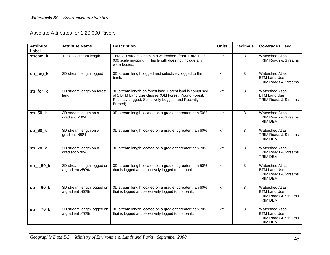## Absolute Attributes for 1:20 000 Rivers

| <b>Attribute</b><br>Label | <b>Attribute Name</b>                         | <b>Description</b>                                                                                                                                                                 | <b>Units</b> | <b>Decimals</b> | <b>Coverages Used</b>                                                                               |
|---------------------------|-----------------------------------------------|------------------------------------------------------------------------------------------------------------------------------------------------------------------------------------|--------------|-----------------|-----------------------------------------------------------------------------------------------------|
| stream k                  | Total 3D stream length                        | Total 3D stream length in a watershed (from TRIM 1:20<br>000 scale mapping). This length does not include any<br>waterbodies.                                                      | km           | 3               | <b>Watershed Atlas</b><br><b>TRIM Roads &amp; Streams</b>                                           |
| str_log_k                 | 3D stream length logged                       | 3D stream length logged and selectively logged to the<br>bank.                                                                                                                     | km           | 3               | <b>Watershed Atlas</b><br><b>BTM Land Use</b><br><b>TRIM Roads &amp; Streams</b>                    |
| str_for_k                 | 3D stream length on forest<br>land            | 3D stream length on forest land. Forest land is comprised<br>of 5 BTM Land Use classes (Old Forest, Young Forest,<br>Recently Logged, Selectively Logged, and Recently<br>Burned). | km           | 3               | <b>Watershed Atlas</b><br><b>BTM Land Use</b><br><b>TRIM Roads &amp; Streams</b>                    |
| $str_50_k$                | 3D stream length on a<br>gradient >50%        | 3D stream length located on a gradient greater than 50%.                                                                                                                           | km           | 3               | <b>Watershed Atlas</b><br><b>TRIM Roads &amp; Streams</b><br><b>TRIM DEM</b>                        |
| $str_60_k$                | 3D stream length on a<br>gradient >60%        | 3D stream length located on a gradient greater than 60%.                                                                                                                           | km           | 3               | <b>Watershed Atlas</b><br>TRIM Roads & Streams<br><b>TRIM DEM</b>                                   |
| str_70_k                  | 3D stream length on a<br>gradient >70%        | 3D stream length located on a gradient greater than 70%.                                                                                                                           | km           | 3               | <b>Watershed Atlas</b><br><b>TRIM Roads &amp; Streams</b><br><b>TRIM DEM</b>                        |
| str_1_50_k                | 3D stream length logged on<br>a gradient >50% | 3D stream length located on a gradient greater than 50%<br>that is logged and selectively logged to the bank.                                                                      | km           | 3               | <b>Watershed Atlas</b><br><b>BTM Land Use</b><br><b>TRIM Roads &amp; Streams</b><br><b>TRIM DEM</b> |
| str_I_60_k                | 3D stream length logged on<br>a gradient >60% | 3D stream length located on a gradient greater than 60%<br>that is logged and selectively logged to the bank.                                                                      | km           | 3               | <b>Watershed Atlas</b><br><b>BTM Land Use</b><br><b>TRIM Roads &amp; Streams</b><br><b>TRIM DEM</b> |
| $str_l$ 70 $k$            | 3D stream length logged on<br>a gradient >70% | 3D stream length located on a gradient greater than 70%<br>that is logged and selectively logged to the bank.                                                                      | km           | 3               | <b>Watershed Atlas</b><br><b>BTM Land Use</b><br>TRIM Roads & Streams<br><b>TRIM DEM</b>            |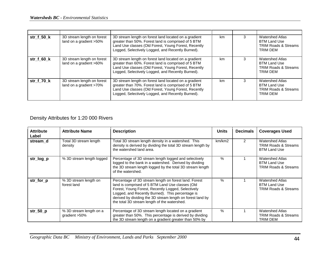| str_f_50_k | 3D stream length on forest<br>land on a gradient >50% | 3D stream length on forest land located on a gradient<br>greater than 50%. Forest land is comprised of 5 BTM<br>Land Use classes (Old Forest, Young Forest, Recently<br>Logged, Selectively Logged, and Recently Burned). | km | 3 | <b>Watershed Atlas</b><br><b>BTM Land Use</b><br><b>TRIM Roads &amp; Streams</b><br><b>TRIM DEM</b> |
|------------|-------------------------------------------------------|---------------------------------------------------------------------------------------------------------------------------------------------------------------------------------------------------------------------------|----|---|-----------------------------------------------------------------------------------------------------|
| str_f_60_k | 3D stream length on forest<br>land on a gradient >60% | 3D stream length on forest land located on a gradient<br>greater than 60%. Forest land is comprised of 5 BTM<br>Land Use classes (Old Forest, Young Forest, Recently<br>Logged, Selectively Logged, and Recently Burned). | km |   | <b>Watershed Atlas</b><br><b>BTM Land Use</b><br><b>TRIM Roads &amp; Streams</b><br><b>TRIM DEM</b> |
| str f 70 k | 3D stream length on forest<br>land on a gradient >70% | 3D stream length on forest land located on a gradient<br>greater than 70%. Forest land is comprised of 5 BTM<br>Land Use classes (Old Forest, Young Forest, Recently<br>Logged, Selectively Logged, and Recently Burned). | km | 3 | <b>Watershed Atlas</b><br><b>BTM Land Use</b><br><b>TRIM Roads &amp; Streams</b><br><b>TRIM DEM</b> |

# Density Attributes for 1:20 000 Rivers

| <b>Attribute</b><br>Label | <b>Attribute Name</b>                    | <b>Description</b>                                                                                                                                                                                                                                                                                                                | <b>Units</b> | <b>Decimals</b> | <b>Coverages Used</b>                                                            |
|---------------------------|------------------------------------------|-----------------------------------------------------------------------------------------------------------------------------------------------------------------------------------------------------------------------------------------------------------------------------------------------------------------------------------|--------------|-----------------|----------------------------------------------------------------------------------|
| stream d                  | Total 3D stream length<br>density        | Total 3D stream length density in a watershed. This<br>density is derived by dividing the total 3D stream length by<br>the watershed land area.                                                                                                                                                                                   | km/km2       | $\mathcal{P}$   | <b>Watershed Atlas</b><br><b>TRIM Roads &amp; Streams</b><br><b>BTM Land Use</b> |
| str_log_p                 | % 3D stream length logged                | Percentage of 3D stream length logged and selectively<br>logged to the bank in a watershed. Derived by dividing<br>the 3D stream length logged by the total 3D stream length<br>of the watershed.                                                                                                                                 | $\%$         |                 | <b>Watershed Atlas</b><br><b>BTM Land Use</b><br><b>TRIM Roads &amp; Streams</b> |
| str_for_p                 | % 3D stream length on<br>forest land     | Percentage of 3D stream length on forest land. Forest<br>land is comprised of 5 BTM Land Use classes (Old<br>Forest, Young Forest, Recently Logged, Selectively<br>Logged, and Recently Burned). This percentage is<br>derived by dividing the 3D stream length on forest land by<br>the total 3D stream length of the watershed. | $\%$         |                 | <b>Watershed Atlas</b><br><b>BTM Land Use</b><br><b>TRIM Roads &amp; Streams</b> |
| $str_50_p$                | % 3D stream length on a<br>gradient >50% | Percentage of 3D stream length located on a gradient<br>greater than 50%. This percentage is derived by dividing<br>the 3D stream length on a gradient greater than 50% by                                                                                                                                                        | $\%$         |                 | <b>Watershed Atlas</b><br><b>TRIM Roads &amp; Streams</b><br>TRIM DEM            |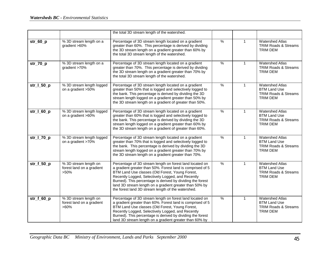|              |                                                               | the total 3D stream length of the watershed.                                                                                                                                                                                                                                                                                                                                                                  |               |              |                                                                                                     |
|--------------|---------------------------------------------------------------|---------------------------------------------------------------------------------------------------------------------------------------------------------------------------------------------------------------------------------------------------------------------------------------------------------------------------------------------------------------------------------------------------------------|---------------|--------------|-----------------------------------------------------------------------------------------------------|
| $str_60_p$   | % 3D stream length on a<br>gradient >60%                      | Percentage of 3D stream length located on a gradient<br>greater than 60%. This percentage is derived by dividing<br>the 3D stream length on a gradient greater than 60% by<br>the total 3D stream length of the watershed.                                                                                                                                                                                    | $\frac{9}{6}$ | $\mathbf{1}$ | <b>Watershed Atlas</b><br>TRIM Roads & Streams<br>TRIM DEM                                          |
| $str_70_p$   | % 3D stream length on a<br>gradient >70%                      | Percentage of 3D stream length located on a gradient<br>greater than 70%. This percentage is derived by dividing<br>the 3D stream length on a gradient greater than 70% by<br>the total 3D stream length of the watershed.                                                                                                                                                                                    | $\frac{9}{6}$ | $\mathbf{1}$ | <b>Watershed Atlas</b><br>TRIM Roads & Streams<br><b>TRIM DEM</b>                                   |
| str_1_50_p   | % 3D stream length logged<br>on a gradient >50%               | Percentage of 3D stream length located on a gradient<br>greater than 50% that is logged and selectively logged to<br>the bank. This percentage is derived by dividing the 3D<br>stream length logged on a gradient greater than 50% by<br>the 3D stream length on a gradient of greater than 50%.                                                                                                             | $\frac{0}{0}$ | $\mathbf{1}$ | <b>Watershed Atlas</b><br><b>BTM Land Use</b><br>TRIM Roads & Streams<br><b>TRIM DEM</b>            |
| $str_l 60_p$ | % 3D stream length logged<br>on a gradient >60%               | Percentage of 3D stream length located on a gradient<br>greater than 60% that is logged and selectively logged to<br>the bank. This percentage is derived by dividing the 3D<br>stream length logged on a gradient greater than 60% by<br>the 3D stream length on a gradient of greater than 60%.                                                                                                             | $\frac{0}{6}$ | $\mathbf 1$  | <b>Watershed Atlas</b><br><b>BTM Land Use</b><br>TRIM Roads & Streams<br><b>TRIM DEM</b>            |
| str_1_70_p   | % 3D stream length logged<br>on a gradient >70%               | Percentage of 3D stream length located on a gradient<br>greater than 70% that is logged and selectively logged to<br>the bank. This percentage is derived by dividing the 3D<br>stream length logged on a gradient greater than 70% by<br>the 3D stream length on a gradient greater than 70%.                                                                                                                | $\frac{9}{6}$ | $\mathbf{1}$ | <b>Watershed Atlas</b><br><b>BTM Land Use</b><br>TRIM Roads & Streams<br>TRIM DEM                   |
| $str_f_50_p$ | % 3D stream length on<br>forest land on a gradient<br>$>50\%$ | Percentage of 3D stream length on forest land located on<br>a gradient greater than 50%. Forest land is comprised of 5<br>BTM Land Use classes (Old Forest, Young Forest,<br>Recently Logged, Selectively Logged, and Recently<br>Burned). This percentage is derived by dividing the forest<br>land 3D stream length on a gradient greater than 50% by<br>the forest land 3D stream length of the watershed. | $\frac{9}{6}$ | $\mathbf{1}$ | <b>Watershed Atlas</b><br><b>BTM Land Use</b><br><b>TRIM Roads &amp; Streams</b><br><b>TRIM DEM</b> |
| $str_f_60_p$ | % 3D stream length on<br>forest land on a gradient<br>$>60\%$ | Percentage of 3D stream length on forest land located on<br>a gradient greater than 60%. Forest land is comprised of 5<br>BTM Land Use classes (Old Forest, Young Forest,<br>Recently Logged, Selectively Logged, and Recently<br>Burned). This percentage is derived by dividing the forest<br>land 3D stream length on a gradient greater than 60% by                                                       | $\frac{0}{0}$ | $\mathbf{1}$ | <b>Watershed Atlas</b><br><b>BTM Land Use</b><br>TRIM Roads & Streams<br><b>TRIM DEM</b>            |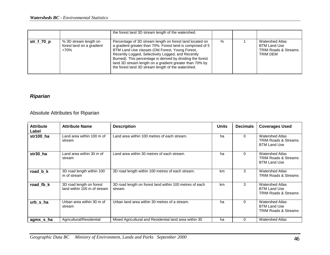|            |                                                               | the forest land 3D stream length of the watershed.                                                                                                                                                                                                                                                                                                                                                            |      |                                                                                       |
|------------|---------------------------------------------------------------|---------------------------------------------------------------------------------------------------------------------------------------------------------------------------------------------------------------------------------------------------------------------------------------------------------------------------------------------------------------------------------------------------------------|------|---------------------------------------------------------------------------------------|
| str_f_70_p | % 3D stream length on<br>forest land on a gradient<br>$>70\%$ | Percentage of 3D stream length on forest land located on<br>a gradient greater than 70%. Forest land is comprised of 5<br>BTM Land Use classes (Old Forest, Young Forest,<br>Recently Logged, Selectively Logged, and Recently<br>Burned). This percentage is derived by dividing the forest<br>land 3D stream length on a gradient greater than 70% by<br>the forest land 3D stream length of the watershed. | $\%$ | Watershed Atlas<br><b>BTM Land Use</b><br><b>TRIM Roads &amp; Streams</b><br>TRIM DEM |

# *Riparian*

## Absolute Attributes for Riparian

| <b>Attribute</b><br>Label | <b>Attribute Name</b>                                   | <b>Description</b>                                                 | <b>Units</b> | <b>Decimals</b> | <b>Coverages Used</b>                                                            |
|---------------------------|---------------------------------------------------------|--------------------------------------------------------------------|--------------|-----------------|----------------------------------------------------------------------------------|
| str100 ha                 | Land area within 100 m of<br>stream                     | Land area within 100 metres of each stream.                        | ha           | $\Omega$        | <b>Watershed Atlas</b><br><b>TRIM Roads &amp; Streams</b><br><b>BTM Land Use</b> |
| str30 ha                  | Land area within 30 m of<br>stream                      | Land area within 30 metres of each stream.                         | ha           | $\Omega$        | Watershed Atlas<br><b>TRIM Roads &amp; Streams</b><br><b>BTM Land Use</b>        |
| road b k                  | 3D road length within 100<br>m of stream                | 3D road length within 100 metres of each stream.                   | km           | 3               | <b>Watershed Atlas</b><br><b>TRIM Roads &amp; Streams</b>                        |
| road fb k                 | 3D road length on forest<br>land within 100 m of stream | 3D road length on forest land within 100 metres of each<br>stream. | km           | 3               | <b>Watershed Atlas</b><br><b>BTM Land Use</b><br><b>TRIM Roads &amp; Streams</b> |
| urb s ha                  | Urban area within 30 m of<br>stream                     | Urban land area within 30 metres of a stream.                      | ha           | $\Omega$        | <b>Watershed Atlas</b><br><b>BTM Land Use</b><br><b>TRIM Roads &amp; Streams</b> |
| agmx_s_ha                 | Agricultural/Residential                                | Mixed Agricultural and Residential land area within 30             | ha           | $\Omega$        | <b>Watershed Atlas</b>                                                           |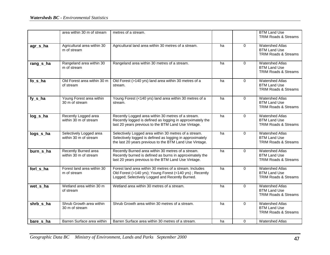|           | area within 30 m of stream                       | metres of a stream.                                                                                                                                                           |    |          | <b>BTM Land Use</b><br><b>TRIM Roads &amp; Streams</b>                           |
|-----------|--------------------------------------------------|-------------------------------------------------------------------------------------------------------------------------------------------------------------------------------|----|----------|----------------------------------------------------------------------------------|
| agr_s_ha  | Agricultural area within 30<br>m of stream       | Agricultural land area within 30 metres of a stream.                                                                                                                          | ha | $\Omega$ | <b>Watershed Atlas</b><br><b>BTM Land Use</b><br><b>TRIM Roads &amp; Streams</b> |
| rang_s_ha | Rangeland area within 30<br>m of stream          | Rangeland area within 30 metres of a stream.                                                                                                                                  | ha | $\Omega$ | <b>Watershed Atlas</b><br><b>BTM Land Use</b><br><b>TRIM Roads &amp; Streams</b> |
| fo_s_ha   | Old Forest area within 30 m<br>of stream         | Old Forest (>140 yrs) land area within 30 metres of a<br>stream.                                                                                                              | ha | $\Omega$ | <b>Watershed Atlas</b><br><b>BTM Land Use</b><br>TRIM Roads & Streams            |
| fy_s_ha   | Young Forest area within<br>30 m of stream       | Young Forest (<140 yrs) land area within 30 metres of a<br>stream.                                                                                                            | ha | $\Omega$ | <b>Watershed Atlas</b><br><b>BTM Land Use</b><br>TRIM Roads & Streams            |
| $log_s_h$ | Recently Logged area<br>within 30 m of stream    | Recently Logged area within 30 metres of a stream.<br>Recently logged is defined as logging in approximately the<br>last 20 years previous to the BTM Land Use Vintage.       | ha | 0        | <b>Watershed Atlas</b><br><b>BTM Land Use</b><br><b>TRIM Roads &amp; Streams</b> |
| logs_s_ha | Selectively Logged area<br>within 30 m of stream | Selectively Logged area within 30 metres of a stream.<br>Selectively logged is defined as logging in approximately<br>the last 20 years previous to the BTM Land Use Vintage. | ha | $\Omega$ | <b>Watershed Atlas</b><br><b>BTM Land Use</b><br><b>TRIM Roads &amp; Streams</b> |
| burn s ha | Recently Burned area<br>within 30 m of stream    | Recently Burned area within 30 metres of a stream.<br>Recently burned is defined as burns in approximately the<br>last 20 years previous to the BTM Land Use Vintage.         | ha | $\Omega$ | <b>Watershed Atlas</b><br><b>BTM Land Use</b><br><b>TRIM Roads &amp; Streams</b> |
| forl s ha | Forest land area within 30<br>m of stream        | Forest land area within 30 metres of a stream. Includes<br>Old Forest (>140 yrs); Young Forest (<140 yrs); Recently<br>Logged; Selectively Logged and Recently Burned.        | ha | $\Omega$ | <b>Watershed Atlas</b><br><b>BTM Land Use</b><br><b>TRIM Roads &amp; Streams</b> |
| wet s ha  | Wetland area within 30 m<br>of stream            | Wetland area within 30 metres of a stream.                                                                                                                                    | ha | $\Omega$ | <b>Watershed Atlas</b><br><b>BTM Land Use</b><br>TRIM Roads & Streams            |
| shrb_s_ha | Shrub Growth area within<br>30 m of stream       | Shrub Growth area within 30 metres of a stream.                                                                                                                               | ha | 0        | <b>Watershed Atlas</b><br><b>BTM Land Use</b><br><b>TRIM Roads &amp; Streams</b> |
| bare s ha | Barren Surface area within                       | Barren Surface area within 30 metres of a stream.                                                                                                                             | ha | 0        | <b>Watershed Atlas</b>                                                           |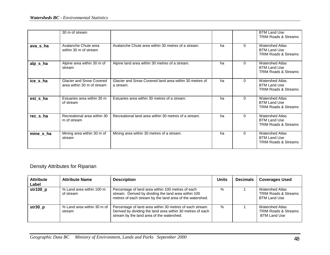|           | 30 m of stream                                                |                                                                     |    |          | <b>BTM Land Use</b><br><b>TRIM Roads &amp; Streams</b>                           |
|-----------|---------------------------------------------------------------|---------------------------------------------------------------------|----|----------|----------------------------------------------------------------------------------|
| ava_s_ha  | Avalanche Chute area<br>within 30 m of stream                 | Avalanche Chute area within 30 metres of a stream.                  | ha | $\Omega$ | <b>Watershed Atlas</b><br><b>BTM Land Use</b><br><b>TRIM Roads &amp; Streams</b> |
| alp_s_ha  | Alpine area within 30 m of<br>stream                          | Alpine land area within 30 metres of a stream.                      | ha | $\Omega$ | <b>Watershed Atlas</b><br><b>BTM Land Use</b><br><b>TRIM Roads &amp; Streams</b> |
| ice_s_ha  | <b>Glacier and Snow Covered</b><br>area within 30 m of stream | Glacier and Snow Covered land area within 30 metres of<br>a stream. | ha | $\Omega$ | <b>Watershed Atlas</b><br><b>BTM Land Use</b><br><b>TRIM Roads &amp; Streams</b> |
| est s ha  | Estuaries area within 30 m<br>of stream                       | Estuaries area within 30 metres of a stream.                        | ha | $\Omega$ | <b>Watershed Atlas</b><br><b>BTM Land Use</b><br><b>TRIM Roads &amp; Streams</b> |
| rec_s_ha  | Recreational area within 30<br>m of stream                    | Recreational land area within 30 metres of a stream.                | ha | $\Omega$ | <b>Watershed Atlas</b><br><b>BTM Land Use</b><br><b>TRIM Roads &amp; Streams</b> |
| mine_s_ha | Mining area within 30 m of<br>stream                          | Mining area within 30 metres of a stream.                           | ha | $\Omega$ | <b>Watershed Atlas</b><br><b>BTM Land Use</b><br><b>TRIM Roads &amp; Streams</b> |

# Density Attributes for Riparian

| <b>Attribute</b><br>Label | <b>Attribute Name</b>                 | <b>Description</b>                                                                                                                                                    | <b>Units</b> | <b>Decimals</b> | <b>Coverages Used</b>                                                     |
|---------------------------|---------------------------------------|-----------------------------------------------------------------------------------------------------------------------------------------------------------------------|--------------|-----------------|---------------------------------------------------------------------------|
| str100_p                  | % Land area within 100 m<br>of stream | Percentage of land area within 100 metres of each<br>stream. Derived by dividing the land area within 100<br>metres of each stream by the land area of the watershed. | $\%$         |                 | Watershed Atlas<br><b>TRIM Roads &amp; Streams</b><br><b>BTM Land Use</b> |
| $str30_p$                 | % Land area within 30 m of<br>stream  | Percentage of land area within 30 metres of each stream.<br>Derived by dividing the land area within 30 metres of each<br>stream by the land area of the watershed.   | $\%$         |                 | Watershed Atlas<br><b>TRIM Roads &amp; Streams</b><br><b>BTM Land Use</b> |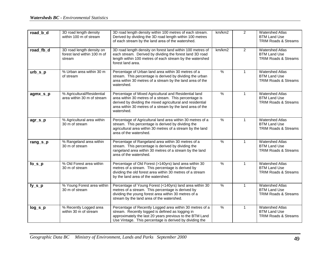| road_b_d  | 3D road length density<br>within 100 m of stream                   | 3D road length density within 100 metres of each stream.<br>Derived by dividing the 3D road length within 100 metres<br>of each stream by the land area of the watershed.                                                                               | km/km2        | $\overline{2}$ | <b>Watershed Atlas</b><br><b>BTM Land Use</b><br><b>TRIM Roads &amp; Streams</b> |
|-----------|--------------------------------------------------------------------|---------------------------------------------------------------------------------------------------------------------------------------------------------------------------------------------------------------------------------------------------------|---------------|----------------|----------------------------------------------------------------------------------|
| road_fb_d | 3D road length density on<br>forest land within 100 m of<br>stream | 3D road length density on forest land within 100 metres of<br>each stream. Derived by dividing the forest land 3D road<br>length within 100 metres of each stream by the watershed<br>forest land area.                                                 | km/km2        | $\overline{c}$ | <b>Watershed Atlas</b><br><b>BTM Land Use</b><br><b>TRIM Roads &amp; Streams</b> |
| $urb_s_p$ | % Urban area within 30 m<br>of stream                              | Percentage of Urban land area within 30 metres of a<br>stream. This percentage is derived by dividing the urban<br>area within 30 metres of a stream by the land area of the<br>watershed.                                                              | $\%$          | $\mathbf{1}$   | <b>Watershed Atlas</b><br><b>BTM Land Use</b><br><b>TRIM Roads &amp; Streams</b> |
| agmx_s_p  | % Agricultural/Residential<br>area within 30 m of stream           | Percentage of Mixed Agricultural and Residential land<br>area within 30 metres of a stream. This percentage is<br>derived by dividing the mixed agricultural and residential<br>area within 30 metres of a stream by the land area of the<br>watershed. | $\%$          | $\mathbf{1}$   | <b>Watershed Atlas</b><br><b>BTM Land Use</b><br><b>TRIM Roads &amp; Streams</b> |
| agr_s_p   | % Agricultural area within<br>30 m of stream                       | Percentage of Agricultural land area within 30 metres of a<br>stream. This percentage is derived by dividing the<br>agricultural area within 30 metres of a stream by the land<br>area of the watershed.                                                | $\frac{9}{6}$ | $\mathbf{1}$   | <b>Watershed Atlas</b><br><b>BTM Land Use</b><br><b>TRIM Roads &amp; Streams</b> |
| rang_s_p  | % Rangeland area within<br>30 m of stream                          | Percentage of Rangeland area within 30 metres of a<br>stream. This percentage is derived by dividing the<br>rangeland area within 30 metres of a stream by the land<br>area of the watershed.                                                           | $\frac{0}{0}$ | $\mathbf{1}$   | <b>Watershed Atlas</b><br><b>BTM Land Use</b><br><b>TRIM Roads &amp; Streams</b> |
| $fo_s_p$  | % Old Forest area within<br>30 m of stream                         | Percentage of Old Forest (>140yrs) land area within 30<br>metres of a stream. This percentage is derived by<br>dividing the old forest area within 30 metres of a stream<br>by the land area of the watershed.                                          | $\frac{9}{6}$ | $\mathbf{1}$   | <b>Watershed Atlas</b><br><b>BTM Land Use</b><br><b>TRIM Roads &amp; Streams</b> |
| fy_s_p    | % Young Forest area within<br>30 m of stream                       | Percentage of Young Forest (<140yrs) land area within 30<br>metres of a stream. This percentage is derived by<br>dividing the young forest area within 30 metres of a<br>stream by the land area of the watershed.                                      | $\%$          | $\mathbf{1}$   | <b>Watershed Atlas</b><br><b>BTM Land Use</b><br>TRIM Roads & Streams            |
| $log_s_p$ | % Recently Logged area<br>within 30 m of stream                    | Percentage of Recently Logged area within 30 metres of a<br>stream. Recently logged is defined as logging in<br>approximately the last 20 years previous to the BTM Land<br>Use Vintage. This percentage is derived by dividing the                     | $\frac{1}{2}$ | 1              | <b>Watershed Atlas</b><br><b>BTM Land Use</b><br><b>TRIM Roads &amp; Streams</b> |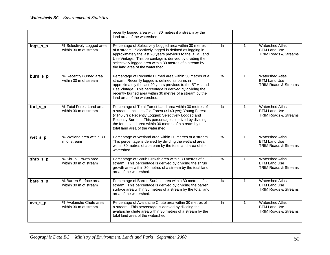|          |                                                    | recently logged area within 30 metres if a stream by the<br>land area of the watershed.                                                                                                                                                                                                                                                 |               |              |                                                                                  |
|----------|----------------------------------------------------|-----------------------------------------------------------------------------------------------------------------------------------------------------------------------------------------------------------------------------------------------------------------------------------------------------------------------------------------|---------------|--------------|----------------------------------------------------------------------------------|
| logs_s_p | % Selectively Logged area<br>within 30 m of stream | Percentage of Selectively Logged area within 30 metres<br>of a stream. Selectively logged is defined as logging in<br>approximately the last 20 years previous to the BTM Land<br>Use Vintage. This percentage is derived by dividing the<br>selectively logged area within 30 metres of a stream by<br>the land area of the watershed. | $\frac{0}{0}$ | $\mathbf{1}$ | <b>Watershed Atlas</b><br><b>BTM Land Use</b><br><b>TRIM Roads &amp; Streams</b> |
| burn_s_p | % Recently Burned area<br>within 30 m of stream    | Percentage of Recently Burned area within 30 metres of a<br>stream. Recently logged is defined as burns in<br>approximately the last 20 years previous to the BTM Land<br>Use Vintage. This percentage is derived by dividing the<br>recently burned area within 30 metres of a stream by the<br>land area of the watershed.            | $\frac{0}{0}$ | $\mathbf{1}$ | <b>Watershed Atlas</b><br><b>BTM Land Use</b><br><b>TRIM Roads &amp; Streams</b> |
| forl_s_p | % Total Forest Land area<br>within 30 m of stream  | Percentage of Total Forest Land area within 30 metres of<br>a stream. Includes Old Forest (>140 yrs); Young Forest<br>(<140 yrs); Recently Logged; Selectively Logged and<br>Recently Burned. This percentage is derived by dividing<br>the forest land area within 30 metres of a stream by the<br>total land area of the watershed.   | $\%$          | $\mathbf{1}$ | <b>Watershed Atlas</b><br><b>BTM Land Use</b><br><b>TRIM Roads &amp; Streams</b> |
| wet_s_p  | % Wetland area within 30<br>m of stream            | Percentage of Wetland area within 30 metres of a stream.<br>This percentage is derived by dividing the wetland area<br>within 30 metres of a stream by the total land area of the<br>watershed.                                                                                                                                         | $\%$          | $\mathbf{1}$ | <b>Watershed Atlas</b><br><b>BTM Land Use</b><br><b>TRIM Roads &amp; Streams</b> |
| shrb_s_p | % Shrub Growth area<br>within 30 m of stream       | Percentage of Shrub Growth area within 30 metres of a<br>stream. This percentage is derived by dividing the shrub<br>growth area within 30 metres of a stream by the total land<br>area of the watershed.                                                                                                                               | $\%$          | $\mathbf{1}$ | <b>Watershed Atlas</b><br><b>BTM Land Use</b><br><b>TRIM Roads &amp; Streams</b> |
| bare_s_p | % Barren Surface area<br>within 30 m of stream     | Percentage of Barren Surface area within 30 metres of a<br>stream. This percentage is derived by dividing the barren<br>surface area within 30 metres of a stream by the total land<br>area of the watershed.                                                                                                                           | $\%$          | $\mathbf{1}$ | <b>Watershed Atlas</b><br><b>BTM Land Use</b><br><b>TRIM Roads &amp; Streams</b> |
| ava_s_p  | % Avalanche Chute area<br>within 30 m of stream    | Percentage of Avalanche Chute area within 30 metres of<br>a stream. This percentage is derived by dividing the<br>avalanche chute area within 30 metres of a stream by the<br>total land area of the watershed.                                                                                                                         | $\frac{9}{6}$ | $\mathbf{1}$ | <b>Watershed Atlas</b><br><b>BTM Land Use</b><br><b>TRIM Roads &amp; Streams</b> |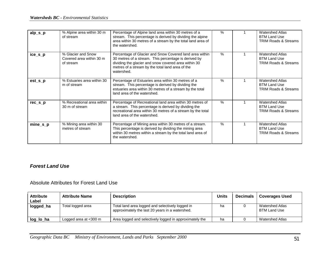| $alp_s_p$ | % Alpine area within 30 m<br>of stream                      | Percentage of Alpine land area within 30 metres of a<br>stream. This percentage is derived by dividing the alpine<br>area within 30 metres of a stream by the total land area of<br>the watershed.                                        | $\%$          | <b>Watershed Atlas</b><br><b>BTM Land Use</b><br><b>TRIM Roads &amp; Streams</b> |
|-----------|-------------------------------------------------------------|-------------------------------------------------------------------------------------------------------------------------------------------------------------------------------------------------------------------------------------------|---------------|----------------------------------------------------------------------------------|
| ice_s_p   | % Glacier and Snow<br>Covered area within 30 m<br>of stream | Percentage of Glacier and Snow Covered land area within<br>30 metres of a stream. This percentage is derived by<br>dividing the glacier and snow covered area within 30<br>metres of a stream by the total land area of the<br>watershed. | $\%$          | <b>Watershed Atlas</b><br><b>BTM Land Use</b><br>TRIM Roads & Streams            |
| $est_s_p$ | % Estuaries area within 30<br>m of stream                   | Percentage of Estuaries area within 30 metres of a<br>stream. This percentage is derived by dividing the<br>estuaries area within 30 metres of a stream by the total<br>land area of the watershed.                                       | $\%$          | <b>Watershed Atlas</b><br><b>BTM Land Use</b><br><b>TRIM Roads &amp; Streams</b> |
| $rec_s_p$ | % Recreational area within<br>30 m of stream                | Percentage of Recreational land area within 30 metres of<br>a stream. This percentage is derived by dividing the<br>recreational area within 30 metres of a stream by the total<br>land area of the watershed.                            | $\%$          | <b>Watershed Atlas</b><br><b>BTM Land Use</b><br><b>TRIM Roads &amp; Streams</b> |
| $mine_s$  | % Mining area within 30<br>metres of stream                 | Percentage of Mining area within 30 metres of a stream.<br>This percentage is derived by dividing the mining area<br>within 30 metres within a stream by the total land area of<br>the watershed.                                         | $\frac{0}{0}$ | <b>Watershed Atlas</b><br><b>BTM Land Use</b><br><b>TRIM Roads &amp; Streams</b> |

#### *Forest Land Use*

Absolute Attributes for Forest Land Use

| <b>Attribute</b><br>Label | <b>Attribute Name</b>    | <b>Description</b>                                                                                  | <b>Units</b> | <b>Decimals</b> | <b>Coverages Used</b>                  |
|---------------------------|--------------------------|-----------------------------------------------------------------------------------------------------|--------------|-----------------|----------------------------------------|
| logged_ha                 | Total logged area        | Total land area logged and selectively logged in<br>approximately the last 20 years in a watershed. | ha           |                 | <b>Watershed Atlas</b><br>BTM Land Use |
| log_lo_ha                 | Logged area at $<$ 300 m | Area logged and selectively logged in approximately the                                             | ha           |                 | <b>Watershed Atlas</b>                 |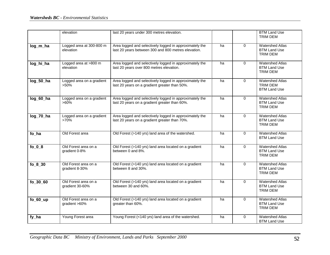|                | elevation                               | last 20 years under 300 metres elevation.                                                                      |    |             | <b>BTM Land Use</b><br><b>TRIM DEM</b>                           |
|----------------|-----------------------------------------|----------------------------------------------------------------------------------------------------------------|----|-------------|------------------------------------------------------------------|
| log_m_ha       | Logged area at 300-800 m<br>elevation   | Area logged and selectively logged in approximately the<br>last 20 years between 300 and 800 metres elevation. | ha | $\Omega$    | <b>Watershed Atlas</b><br><b>BTM Land Use</b><br><b>TRIM DEM</b> |
| log_hi_ha      | Logged area at >800 m<br>elevation      | Area logged and selectively logged in approximately the<br>last 20 years over 800 metres elevation.            | ha | $\Omega$    | <b>Watershed Atlas</b><br><b>BTM Land Use</b><br><b>TRIM DEM</b> |
| $log_50_$ ha   | Logged area on a gradient<br>$>50\%$    | Area logged and selectively logged in approximately the<br>last 20 years on a gradient greater than 50%.       | ha | $\Omega$    | <b>Watershed Atlas</b><br><b>TRIM DEM</b><br><b>BTM Land Use</b> |
| log_60_ha      | Logged area on a gradient<br>$>60\%$    | Area logged and selectively logged in approximately the<br>last 20 years on a gradient greater than 60%.       | ha | $\mathbf 0$ | <b>Watershed Atlas</b><br><b>BTM Land Use</b><br><b>TRIM DEM</b> |
| $log_2 70$ _ha | Logged area on a gradient<br>$>70\%$    | Area logged and selectively logged in approximately the<br>last 20 years on a gradient greater than 70%.       | ha | $\mathbf 0$ | <b>Watershed Atlas</b><br><b>BTM Land Use</b><br><b>TRIM DEM</b> |
| fo_ha          | Old Forest area                         | Old Forest (>140 yrs) land area of the watershed.                                                              | ha | 0           | <b>Watershed Atlas</b><br><b>BTM Land Use</b>                    |
| $fo_0_8$       | Old Forest area on a<br>gradient 0-8%   | Old Forest (>140 yrs) land area located on a gradient<br>between 0 and 8%.                                     | ha | $\mathbf 0$ | <b>Watershed Atlas</b><br><b>BTM Land Use</b><br><b>TRIM DEM</b> |
| $fo_8_30$      | Old Forest area on a<br>gradient 8-30%  | Old Forest (>140 yrs) land area located on a gradient<br>between 8 and 30%.                                    | ha | 0           | <b>Watershed Atlas</b><br><b>BTM Land Use</b><br>TRIM DEM        |
| fo_30_60       | Old Forest area on a<br>gradient 30-60% | Old Forest (>140 yrs) land area located on a gradient<br>between 30 and 60%.                                   | ha | 0           | <b>Watershed Atlas</b><br><b>BTM Land Use</b><br><b>TRIM DEM</b> |
| $fo_60_\mu$    | Old Forest area on a<br>gradient >60%   | Old Forest (>140 yrs) land area located on a gradient<br>greater than 60%.                                     | ha | $\Omega$    | <b>Watershed Atlas</b><br><b>BTM Land Use</b><br><b>TRIM DEM</b> |
| fy_ha          | Young Forest area                       | Young Forest (<140 yrs) land area of the watershed.                                                            | ha | $\mathbf 0$ | <b>Watershed Atlas</b><br><b>BTM Land Use</b>                    |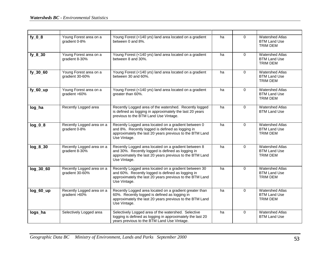| $fy_0_8$    | Young Forest area on a<br>gradient 0-8%      | Young Forest (<140 yrs) land area located on a gradient<br>between 0 and 8%.                                                                                                           | ha | $\Omega$    | <b>Watershed Atlas</b><br><b>BTM Land Use</b><br>TRIM DEM        |
|-------------|----------------------------------------------|----------------------------------------------------------------------------------------------------------------------------------------------------------------------------------------|----|-------------|------------------------------------------------------------------|
| $fy_8_30$   | Young Forest area on a<br>gradient 8-30%     | Young Forest (<140 yrs) land area located on a gradient<br>between 8 and 30%.                                                                                                          | ha | $\Omega$    | <b>Watershed Atlas</b><br><b>BTM Land Use</b><br><b>TRIM DEM</b> |
| fy_30_60    | Young Forest area on a<br>gradient 30-60%    | Young Forest (<140 yrs) land area located on a gradient<br>between 30 and 60%.                                                                                                         | ha | $\Omega$    | <b>Watershed Atlas</b><br><b>BTM Land Use</b><br>TRIM DEM        |
| $fy_60_\mu$ | Young Forest area on a<br>gradient >60%      | Young Forest (<140 yrs) land area located on a gradient<br>greater than 60%.                                                                                                           | ha | $\mathbf 0$ | <b>Watershed Atlas</b><br><b>BTM Land Use</b><br><b>TRIM DEM</b> |
| log_ha      | Recently Logged area                         | Recently Logged area of the watershed. Recently logged<br>is defined as logging in approximately the last 20 years<br>previous to the BTM Land Use Vintage.                            | ha | 0           | <b>Watershed Atlas</b><br><b>BTM Land Use</b>                    |
| $log_0.8$   | Recently Logged area on a<br>gradient 0-8%   | Recently Logged area located on a gradient between 0<br>and 8%. Recently logged is defined as logging in<br>approximately the last 20 years previous to the BTM Land<br>Use Vintage.   | ha | $\Omega$    | <b>Watershed Atlas</b><br><b>BTM Land Use</b><br><b>TRIM DEM</b> |
| $log_8$ _30 | Recently Logged area on a<br>gradient 8-30%  | Recently Logged area located on a gradient between 8<br>and 30%. Recently logged is defined as logging in<br>approximately the last 20 years previous to the BTM Land<br>Use Vintage.  | ha | $\mathbf 0$ | <b>Watershed Atlas</b><br><b>BTM Land Use</b><br><b>TRIM DEM</b> |
| log_30_60   | Recently Logged area on a<br>gradient 30-60% | Recently Logged area located on a gradient between 30<br>and 60%. Recently logged is defined as logging in<br>approximately the last 20 years previous to the BTM Land<br>Use Vintage. | ha | $\Omega$    | <b>Watershed Atlas</b><br><b>BTM Land Use</b><br><b>TRIM DEM</b> |
| log_60_up   | Recently Logged area on a<br>gradient >60%   | Recently Logged area located on a gradient greater than<br>60%. Recently logged is defined as logging in<br>approximately the last 20 years previous to the BTM Land<br>Use Vintage.   | ha | $\mathbf 0$ | <b>Watershed Atlas</b><br><b>BTM Land Use</b><br>TRIM DEM        |
| logs_ha     | Selectively Logged area                      | Selectively Logged area of the watershed. Selective<br>logging is defined as logging in approximately the last 20<br>years previous to the BTM Land Use Vintage.                       | ha | $\Omega$    | <b>Watershed Atlas</b><br><b>BTM Land Use</b>                    |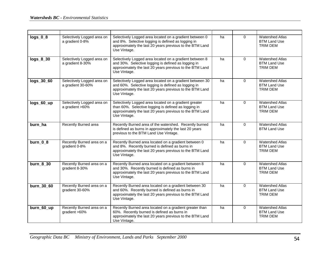| $logs_0_8$  | Selectively Logged area on<br>a gradient 0-8%   | Selectively Logged area located on a gradient between 0<br>and 8%. Selective logging is defined as logging in<br>approximately the last 20 years previous to the BTM Land<br>Use Vintage.   | ha | $\Omega$    | <b>Watershed Atlas</b><br><b>BTM Land Use</b><br><b>TRIM DEM</b> |
|-------------|-------------------------------------------------|---------------------------------------------------------------------------------------------------------------------------------------------------------------------------------------------|----|-------------|------------------------------------------------------------------|
| $logs_8_30$ | Selectively Logged area on<br>a gradient 8-30%  | Selectively Logged area located on a gradient between 8<br>and 30%. Selective logging is defined as logging in<br>approximately the last 20 years previous to the BTM Land<br>Use Vintage.  | ha | $\Omega$    | <b>Watershed Atlas</b><br><b>BTM Land Use</b><br><b>TRIM DEM</b> |
| logs_30_60  | Selectively Logged area on<br>a gradient 30-60% | Selectively Logged area located on a gradient between 30<br>and 60%. Selective logging is defined as logging in<br>approximately the last 20 years previous to the BTM Land<br>Use Vintage. | ha | $\Omega$    | <b>Watershed Atlas</b><br><b>BTM Land Use</b><br><b>TRIM DEM</b> |
| logs_60_up  | Selectively Logged area on<br>a gradient >60%   | Selectively Logged area located on a gradient greater<br>than 60%. Selective logging is defined as logging in<br>approximately the last 20 years previous to the BTM Land<br>Use Vintage.   | ha | $\mathbf 0$ | <b>Watershed Atlas</b><br><b>BTM Land Use</b><br><b>TRIM DEM</b> |
| burn_ha     | Recently Burned area                            | Recently Burned area of the watershed. Recently burned<br>is defined as burns in approximately the last 20 years<br>previous to the BTM Land Use Vintage.                                   | ha | $\Omega$    | <b>Watershed Atlas</b><br><b>BTM Land Use</b>                    |
| burn 0 8    | Recently Burned area on a<br>gradient 0-8%      | Recently Burned area located on a gradient between 0<br>and 8%. Recently burned is defined as burns in<br>approximately the last 20 years previous to the BTM Land<br>Use Vintage.          | ha | $\Omega$    | <b>Watershed Atlas</b><br><b>BTM Land Use</b><br><b>TRIM DEM</b> |
| burn_8_30   | Recently Burned area on a<br>gradient 8-30%     | Recently Burned area located on a gradient between 8<br>and 30%. Recently burned is defined as burns in<br>approximately the last 20 years previous to the BTM Land<br>Use Vintage.         | ha | $\Omega$    | <b>Watershed Atlas</b><br><b>BTM Land Use</b><br><b>TRIM DEM</b> |
| burn_30_60  | Recently Burned area on a<br>gradient 30-60%    | Recently Burned area located on a gradient between 30<br>and 60%. Recently burned is defined as burns in<br>approximately the last 20 years previous to the BTM Land<br>Use Vintage.        | ha | $\Omega$    | <b>Watershed Atlas</b><br><b>BTM Land Use</b><br><b>TRIM DEM</b> |
| burn_60_up  | Recently Burned area on a<br>gradient >60%      | Recently Burned area located on a gradient greater than<br>60%. Recently burned is defined as burns in<br>approximately the last 20 years previous to the BTM Land<br>Use Vintage.          | ha | $\mathbf 0$ | <b>Watershed Atlas</b><br><b>BTM Land Use</b><br>TRIM DEM        |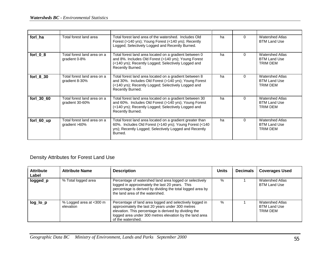| forl ha    | Total forest land area                         | Total forest land area of the watershed. Includes Old<br>Forest (>140 yrs); Young Forest (<140 yrs); Recently<br>Logged; Selectively Logged and Recently Burned.                            | ha | O        | <b>Watershed Atlas</b><br><b>BTM Land Use</b>                    |
|------------|------------------------------------------------|---------------------------------------------------------------------------------------------------------------------------------------------------------------------------------------------|----|----------|------------------------------------------------------------------|
| forl 0 8   | Total forest land area on a<br>gradient 0-8%   | Total forest land area located on a gradient between 0<br>and 8%. Includes Old Forest (>140 yrs); Young Forest<br>(<140 yrs); Recently Logged; Selectively Logged and<br>Recently Burned.   | ha | $\Omega$ | <b>Watershed Atlas</b><br><b>BTM Land Use</b><br>TRIM DEM        |
| forl 8 30  | Total forest land area on a<br>gradient 8-30%  | Total forest land area located on a gradient between 8<br>and 30%. Includes Old Forest (>140 yrs); Young Forest<br>(<140 yrs); Recently Logged; Selectively Logged and<br>Recently Burned.  | ha | $\Omega$ | <b>Watershed Atlas</b><br><b>BTM Land Use</b><br>TRIM DEM        |
| forl 30 60 | Total forest land area on a<br>gradient 30-60% | Total forest land area located on a gradient between 30<br>and 60%. Includes Old Forest (>140 yrs); Young Forest<br>(<140 yrs); Recently Logged; Selectively Logged and<br>Recently Burned. | ha | $\Omega$ | <b>Watershed Atlas</b><br><b>BTM Land Use</b><br>TRIM DEM        |
| forl_60_up | Total forest land area on a<br>gradient >60%   | Total forest land area located on a gradient greater than<br>60%. Includes Old Forest (>140 yrs); Young Forest (<140<br>yrs); Recently Logged; Selectively Logged and Recently<br>Burned.   | ha | $\Omega$ | <b>Watershed Atlas</b><br><b>BTM Land Use</b><br><b>TRIM DEM</b> |

#### Density Attributes for Forest Land Use

| <b>Attribute</b><br>Label | <b>Attribute Name</b>                | <b>Description</b>                                                                                                                                                                                                                                    | <b>Units</b> | <b>Decimals</b> | <b>Coverages Used</b>                                     |
|---------------------------|--------------------------------------|-------------------------------------------------------------------------------------------------------------------------------------------------------------------------------------------------------------------------------------------------------|--------------|-----------------|-----------------------------------------------------------|
| logged_p                  | % Total logged area                  | Percentage of watershed land area logged or selectively<br>logged in approximately the last 20 years. This<br>percentage is derived by dividing the total logged area by<br>the land area of the watershed.                                           | $\%$         |                 | <b>Watershed Atlas</b><br><b>BTM Land Use</b>             |
| log_lo_p                  | % Logged area at <300 m<br>elevation | Percentage of land area logged and selectively logged in<br>approximately the last 20 years under 300 metres<br>elevation. This percentage is derived by dividing the<br>logged area under 300 metres elevation by the land area<br>of the watershed. | $\%$         |                 | <b>Watershed Atlas</b><br><b>BTM Land Use</b><br>TRIM DEM |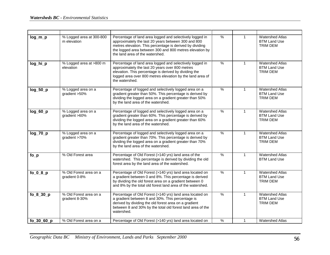| $log_m_p$    | % Logged area at 300-800<br>m elevation  | Percentage of land area logged and selectively logged in<br>approximately the last 20 years between 300 and 800<br>metres elevation. This percentage is derived by dividing<br>the logged area between 300 and 800 metres elevation by<br>the land area of the watershed. | $\%$          | 1            | <b>Watershed Atlas</b><br><b>BTM Land Use</b><br><b>TRIM DEM</b> |
|--------------|------------------------------------------|---------------------------------------------------------------------------------------------------------------------------------------------------------------------------------------------------------------------------------------------------------------------------|---------------|--------------|------------------------------------------------------------------|
| log_hi_p     | % Logged area at >800 m<br>elevation     | Percentage of land area logged and selectively logged in<br>approximately the last 20 years over 800 metres<br>elevation. This percentage is derived by dividing the<br>logged area over 800 metres elevation by the land area of<br>the watershed.                       | $\%$          | $\mathbf{1}$ | <b>Watershed Atlas</b><br><b>BTM Land Use</b><br><b>TRIM DEM</b> |
| $log_50_p$   | % Logged area on a<br>gradient >50%      | Percentage of logged and selectively logged area on a<br>gradient greater than 50%. This percentage is derived by<br>dividing the logged area on a gradient greater than 50%<br>by the land area of the watershed.                                                        | $\%$          | $\mathbf{1}$ | <b>Watershed Atlas</b><br><b>BTM Land Use</b><br><b>TRIM DEM</b> |
| $log_60_p$   | % Logged area on a<br>gradient >60%      | Percentage of logged and selectively logged area on a<br>gradient greater than 60%. This percentage is derived by<br>dividing the logged area on a gradient greater than 60%<br>by the land area of the watershed.                                                        | $\frac{9}{6}$ | $\mathbf{1}$ | <b>Watershed Atlas</b><br><b>BTM Land Use</b><br><b>TRIM DEM</b> |
| $log_2 70_p$ | % Logged area on a<br>gradient >70%      | Percentage of logged and selectively logged area on a<br>gradient greater than 70%. This percentage is derived by<br>dividing the logged area on a gradient greater than 70%<br>by the land area of the watershed.                                                        | $\frac{9}{6}$ | $\mathbf{1}$ | <b>Watershed Atlas</b><br><b>BTM Land Use</b><br><b>TRIM DEM</b> |
| $fo_p$       | % Old Forest area                        | Percentage of Old Forest (>140 yrs) land area of the<br>watershed. This percentage is derived by dividing the old<br>forest area by the land area of the watershed.                                                                                                       | $\frac{9}{6}$ | $\mathbf{1}$ | <b>Watershed Atlas</b><br><b>BTM Land Use</b>                    |
| $fo_0_8_p$   | % Old Forest area on a<br>gradient 0-8%  | Percentage of Old Forest (>140 yrs) land area located on<br>a gradient between 0 and 8%. This percentage is derived<br>by dividing the old forest area on a gradient between 0<br>and 8% by the total old forest land area of the watershed.                              | $\%$          | $\mathbf{1}$ | <b>Watershed Atlas</b><br><b>BTM Land Use</b><br><b>TRIM DEM</b> |
| fo_8_30_p    | % Old Forest area on a<br>gradient 8-30% | Percentage of Old Forest (>140 yrs) land area located on<br>a gradient between 8 and 30%. This percentage is<br>derived by dividing the old forest area on a gradient<br>between 8 and 30% by the total old forest land area of the<br>watershed.                         | $\%$          | $\mathbf{1}$ | <b>Watershed Atlas</b><br><b>BTM Land Use</b><br><b>TRIM DEM</b> |
| fo $3060p$   | % Old Forest area on a                   | Percentage of Old Forest (>140 yrs) land area located on                                                                                                                                                                                                                  | $\%$          | $\mathbf{1}$ | <b>Watershed Atlas</b>                                           |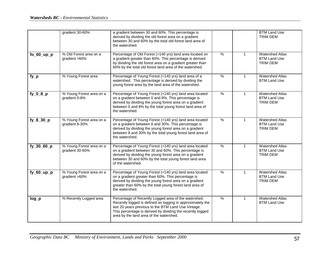|               | gradient 30-60%                             | a gradient between 30 and 60%. This percentage is<br>derived by dividing the old forest area on a gradient<br>between 30 and 60% by the total old forest land area of<br>the watershed.                                                                                            |               |              | <b>BTM Land Use</b><br>TRIM DEM                                  |
|---------------|---------------------------------------------|------------------------------------------------------------------------------------------------------------------------------------------------------------------------------------------------------------------------------------------------------------------------------------|---------------|--------------|------------------------------------------------------------------|
| $fo_60$ _up_p | % Old Forest area on a<br>gradient >60%     | Percentage of Old Forest (>140 yrs) land area located on<br>a gradient greater than 60%. This percentage is derived<br>by dividing the old forest area on a gradient greater than<br>60% by the total old forest land area of the watershed.                                       | $\%$          | $\mathbf{1}$ | <b>Watershed Atlas</b><br><b>BTM Land Use</b><br>TRIM DEM        |
| $fy_p$        | % Young Forest area                         | Percentage of Young Forest (<140 yrs) land area of a<br>watershed. This percentage is derived by dividing the<br>young forest area by the land area of the watershed.                                                                                                              | $\frac{9}{6}$ | $\mathbf{1}$ | <b>Watershed Atlas</b><br><b>BTM Land Use</b>                    |
| $fy_0_8_p$    | % Young Forest area on a<br>gradient 0-8%   | Percentage of Young Forest (<140 yrs) land area located<br>on a gradient between 0 and 8%. This percentage is<br>derived by dividing the young forest area on a gradient<br>between 0 and 8% by the total young forest land area of<br>the watershed.                              | $\%$          | $\mathbf{1}$ | <b>Watershed Atlas</b><br><b>BTM Land Use</b><br><b>TRIM DEM</b> |
| fy_8_30_p     | % Young Forest area on a<br>gradient 8-30%  | Percentage of Young Forest (<140 yrs) land area located<br>on a gradient between 8 and 30%. This percentage is<br>derived by dividing the young forest area on a gradient<br>between 8 and 30% by the total young forest land area of<br>the watershed.                            | $\%$          | $\mathbf{1}$ | <b>Watershed Atlas</b><br><b>BTM Land Use</b><br><b>TRIM DEM</b> |
| fy_30_60_p    | % Young Forest area on a<br>gradient 30-60% | Percentage of Young Forest (<140 yrs) land area located<br>on a gradient between 30 and 60%. This percentage is<br>derived by dividing the young forest area on a gradient<br>between 30 and 60% by the total young forest land area<br>of the watershed.                          | $\frac{0}{0}$ | $\mathbf{1}$ | <b>Watershed Atlas</b><br><b>BTM Land Use</b><br><b>TRIM DEM</b> |
| $fy_60_\mu p$ | % Young Forest area on a<br>gradient >60%   | Percentage of Young Forest (<140 yrs) land area located<br>on a gradient greater than 60%. This percentage is<br>derived by dividing the young forest area on a gradient<br>greater than 60% by the total young forest land area of<br>the watershed.                              | $\frac{0}{0}$ | $\mathbf{1}$ | <b>Watershed Atlas</b><br><b>BTM Land Use</b><br>TRIM DEM        |
| $log_p$       | % Recently Logged area                      | Percentage of Recently Logged area of the watershed.<br>Recently logged is defined as logging in approximately the<br>last 20 years previous to the BTM Land Use Vintage.<br>This percentage is derived by dividing the recently logged<br>area by the land area of the watershed. | $\frac{9}{6}$ | $\mathbf{1}$ | <b>Watershed Atlas</b><br><b>BTM Land Use</b>                    |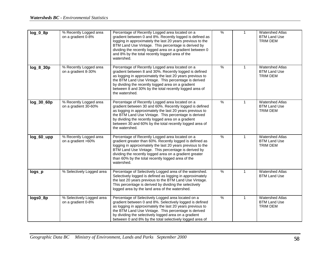| $log_0$ $B$ | % Recently Logged area<br>on a gradient 0-8%    | Percentage of Recently Logged area located on a<br>gradient between 0 and 8%. Recently logged is defined as<br>logging in approximately the last 20 years previous to the<br>BTM Land Use Vintage. This percentage is derived by<br>dividing the recently logged area on a gradient between 0<br>and 8% by the total recently logged area of the<br>watershed.     | $\frac{9}{6}$ | $\mathbf{1}$ | <b>Watershed Atlas</b><br><b>BTM Land Use</b><br><b>TRIM DEM</b> |
|-------------|-------------------------------------------------|--------------------------------------------------------------------------------------------------------------------------------------------------------------------------------------------------------------------------------------------------------------------------------------------------------------------------------------------------------------------|---------------|--------------|------------------------------------------------------------------|
| $log_8 30p$ | % Recently Logged area<br>on a gradient 8-30%   | Percentage of Recently Logged area located on a<br>gradient between 8 and 30%. Recently logged is defined<br>as logging in approximately the last 20 years previous to<br>the BTM Land Use Vintage. This percentage is derived<br>by dividing the recently logged area on a gradient<br>between 8 and 30% by the total recently logged area of<br>the watershed.   | $\%$          | $\mathbf{1}$ | <b>Watershed Atlas</b><br><b>BTM Land Use</b><br><b>TRIM DEM</b> |
| log_30_60p  | % Recently Logged area<br>on a gradient 30-60%  | Percentage of Recently Logged area located on a<br>gradient between 30 and 60%. Recently logged is defined<br>as logging in approximately the last 20 years previous to<br>the BTM Land Use Vintage. This percentage is derived<br>by dividing the recently logged area on a gradient<br>between 30 and 60% by the total recently logged area of<br>the watershed. | $\%$          | $\mathbf{1}$ | <b>Watershed Atlas</b><br><b>BTM Land Use</b><br><b>TRIM DEM</b> |
| log_60_upp  | % Recently Logged area<br>on a gradient >60%    | Percentage of Recently Logged area located on a<br>gradient greater than 60%. Recently logged is defined as<br>logging in approximately the last 20 years previous to the<br>BTM Land Use Vintage. This percentage is derived by<br>dividing the recently logged area on a gradient greater<br>than 60% by the total recently logged area of the<br>watershed.     | $\%$          | $\mathbf{1}$ | <b>Watershed Atlas</b><br><b>BTM Land Use</b><br><b>TRIM DEM</b> |
| logs_p      | % Selectively Logged area                       | Percentage of Selectively Logged area of the watershed.<br>Selectively logged is defined as logging in approximately<br>the last 20 years previous to the BTM Land Use Vintage.<br>This percentage is derived by dividing the selectively<br>logged area by the land area of the watershed.                                                                        | %             | $\mathbf{1}$ | <b>Watershed Atlas</b><br><b>BTM Land Use</b>                    |
| logs0_8p    | % Selectively Logged area<br>on a gradient 0-8% | Percentage of Selectively Logged area located on a<br>gradient between 0 and 8%. Selectively logged is defined<br>as logging in approximately the last 20 years previous to<br>the BTM Land Use Vintage. This percentage is derived<br>by dividing the selectively logged area on a gradient<br>between 0 and 8% by the total selectively logged area of           | $\%$          | $\mathbf{1}$ | <b>Watershed Atlas</b><br><b>BTM Land Use</b><br><b>TRIM DEM</b> |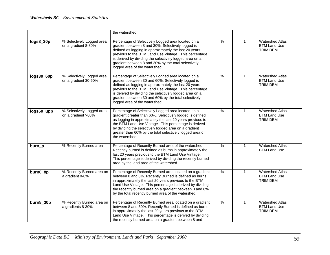|            |                                                   | the watershed.                                                                                                                                                                                                                                                                                                                                                                 |               |              |                                                                  |
|------------|---------------------------------------------------|--------------------------------------------------------------------------------------------------------------------------------------------------------------------------------------------------------------------------------------------------------------------------------------------------------------------------------------------------------------------------------|---------------|--------------|------------------------------------------------------------------|
| logs8_30p  | % Selectively Logged area<br>on a gradient 8-30%  | Percentage of Selectively Logged area located on a<br>gradient between 8 and 30%. Selectively logged is<br>defined as logging in approximately the last 20 years<br>previous to the BTM Land Use Vintage. This percentage<br>is derived by dividing the selectively logged area on a<br>gradient between 8 and 30% by the total selectively<br>logged area of the watershed.   | $\%$          | $\mathbf 1$  | <b>Watershed Atlas</b><br><b>BTM Land Use</b><br><b>TRIM DEM</b> |
| logs30_60p | % Selectively Logged area<br>on a gradient 30-60% | Percentage of Selectively Logged area located on a<br>gradient between 30 and 60%. Selectively logged is<br>defined as logging in approximately the last 20 years<br>previous to the BTM Land Use Vintage. This percentage<br>is derived by dividing the selectively logged area on a<br>gradient between 30 and 60% by the total selectively<br>logged area of the watershed. | %             | $\mathbf{1}$ | <b>Watershed Atlas</b><br><b>BTM Land Use</b><br><b>TRIM DEM</b> |
| logs60_upp | % Selectively Logged area<br>on a gradient >60%   | Percentage of Selectively Logged area located on a<br>gradient greater than 60%. Selectively logged is defined<br>as logging in approximately the last 20 years previous to<br>the BTM Land Use Vintage. This percentage is derived<br>by dividing the selectively logged area on a gradient<br>greater than 60% by the total selectively logged area of<br>the watershed.     | $\frac{0}{6}$ | $\mathbf{1}$ | <b>Watershed Atlas</b><br><b>BTM Land Use</b><br><b>TRIM DEM</b> |
| burn_p     | % Recently Burned area                            | Percentage of Recently Burned area of the watershed.<br>Recently burned is defined as burns in approximately the<br>last 20 years previous to the BTM Land Use Vintage.<br>This percentage is derived by dividing the recently burned<br>area by the land area of the watershed.                                                                                               | %             | $\mathbf{1}$ | <b>Watershed Atlas</b><br><b>BTM Land Use</b>                    |
| burn0_8p   | % Recently Burned area on<br>a gradient 0-8%      | Percentage of Recently Burned area located on a gradient<br>between 0 and 8%. Recently Burned is defined as burns<br>in approximately the last 20 years previous to the BTM<br>Land Use Vintage. This percentage is derived by dividing<br>the recently burned area on a gradient between 0 and 8%<br>by the total recently burned area of the watershed.                      | $\%$          | $\mathbf{1}$ | <b>Watershed Atlas</b><br><b>BTM Land Use</b><br><b>TRIM DEM</b> |
| burn8_30p  | % Recently Burned area on<br>a gradients 8-30%    | Percentage of Recently Burned area located on a gradient<br>between 8 and 30%. Recently Burned is defined as burns<br>in approximately the last 20 years previous to the BTM<br>Land Use Vintage. This percentage is derived by dividing<br>the recently burned area on a gradient between 8 and                                                                               | %             | $\mathbf{1}$ | <b>Watershed Atlas</b><br><b>BTM Land Use</b><br><b>TRIM DEM</b> |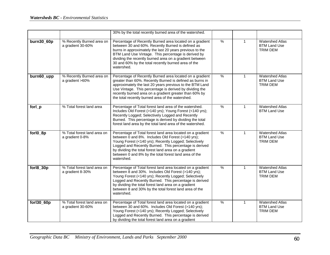|            |                                                  | 30% by the total recently burned area of the watershed.                                                                                                                                                                                                                                                                                                             |               |              |                                                                  |
|------------|--------------------------------------------------|---------------------------------------------------------------------------------------------------------------------------------------------------------------------------------------------------------------------------------------------------------------------------------------------------------------------------------------------------------------------|---------------|--------------|------------------------------------------------------------------|
| burn30_60p | % Recently Burned area on<br>a gradient 30-60%   | Percentage of Recently Burned area located on a gradient<br>between 30 and 60%. Recently Burned is defined as<br>burns in approximately the last 20 years previous to the<br>BTM Land Use Vintage. This percentage is derived by<br>dividing the recently burned area on a gradient between<br>30 and 60% by the total recently burned area of the<br>watershed.    | $\frac{9}{6}$ | $\mathbf{1}$ | <b>Watershed Atlas</b><br><b>BTM Land Use</b><br><b>TRIM DEM</b> |
| burn60_upp | % Recently Burned area on<br>a gradient >60%     | Percentage of Recently Burned area located on a gradient<br>greater than 60%. Recently Burned is defined as burns in<br>approximately the last 20 years previous to the BTM Land<br>Use Vintage. This percentage is derived by dividing the<br>recently burned area on a gradient greater than 60% by<br>the total recently burned area of the watershed.           | $\%$          | 1            | <b>Watershed Atlas</b><br><b>BTM Land Use</b><br><b>TRIM DEM</b> |
| forl_p     | % Total forest land area                         | Percentage of Total forest land area of the watershed.<br>Includes Old Forest (>140 yrs); Young Forest (<140 yrs);<br>Recently Logged; Selectively Logged and Recently<br>Burned. This percentage is derived by dividing the total<br>forest land area by the total land area of the watershed.                                                                     | %             | $\mathbf{1}$ | <b>Watershed Atlas</b><br><b>BTM Land Use</b>                    |
| forl0_8p   | % Total forest land area on<br>a gradient 0-8%   | Percentage of Total forest land area located on a gradient<br>between 0 and 8%. Includes Old Forest (>140 yrs);<br>Young Forest (<140 yrs); Recently Logged; Selectively<br>Logged and Recently Burned. This percentage is derived<br>by dividing the total forest land area on a gradient<br>between 0 and 8% by the total forest land area of the<br>watershed.   | $\frac{9}{6}$ | $\mathbf{1}$ | <b>Watershed Atlas</b><br><b>BTM Land Use</b><br><b>TRIM DEM</b> |
| forl8_30p  | % Total forest land area on<br>a gradient 8-30%  | Percentage of Total forest land area located on a gradient<br>between 8 and 30%. Includes Old Forest (>140 yrs);<br>Young Forest (<140 yrs); Recently Logged; Selectively<br>Logged and Recently Burned. This percentage is derived<br>by dividing the total forest land area on a gradient<br>between 8 and 30% by the total forest land area of the<br>watershed. | $\frac{0}{6}$ | $\mathbf{1}$ | <b>Watershed Atlas</b><br><b>BTM Land Use</b><br><b>TRIM DEM</b> |
| forl30_60p | % Total forest land area on<br>a gradient 30-60% | Percentage of Total forest land area located on a gradient<br>between 30 and 60%. Includes Old Forest (>140 yrs);<br>Young Forest (<140 yrs); Recently Logged; Selectively<br>Logged and Recently Burned. This percentage is derived<br>by dividing the total forest land area on a gradient                                                                        | %             | $\mathbf{1}$ | <b>Watershed Atlas</b><br><b>BTM Land Use</b><br><b>TRIM DEM</b> |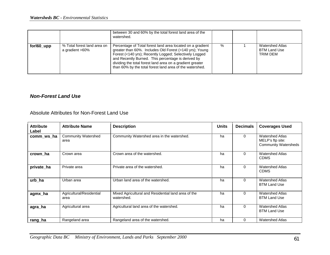|            |                                                | between 30 and 60% by the total forest land area of the<br>watershed.                                                                                                                                                                                                                                                                                          |   |                                                                  |
|------------|------------------------------------------------|----------------------------------------------------------------------------------------------------------------------------------------------------------------------------------------------------------------------------------------------------------------------------------------------------------------------------------------------------------------|---|------------------------------------------------------------------|
| forl60_upp | % Total forest land area on<br>a gradient >60% | Percentage of Total forest land area located on a gradient<br>greater than 60%. Includes Old Forest (>140 yrs); Young<br>Forest (<140 yrs); Recently Logged; Selectively Logged<br>and Recently Burned. This percentage is derived by<br>dividing the total forest land area on a gradient greater<br>than 60% by the total forest land area of the watershed. | % | <b>Watershed Atlas</b><br><b>BTM Land Use</b><br><b>TRIM DEM</b> |

#### *Non-Forest Land Use*

Absolute Attributes for Non-Forest Land Use

| <b>Attribute</b><br>Label | <b>Attribute Name</b>              | <b>Description</b>                                                | <b>Units</b> | <b>Decimals</b> | <b>Coverages Used</b>                                                     |
|---------------------------|------------------------------------|-------------------------------------------------------------------|--------------|-----------------|---------------------------------------------------------------------------|
| comm_ws_ha                | <b>Community Watershed</b><br>area | Community Watershed area in the watershed.                        | ha           | 0               | <b>Watershed Atlas</b><br>MELP's ftp site:<br><b>Community Watersheds</b> |
| crown ha                  | Crown area                         | Crown area of the watershed.                                      | ha           | 0               | <b>Watershed Atlas</b><br><b>CDMS</b>                                     |
| private_ha                | Private area                       | Private area of the watershed.                                    | ha           | $\Omega$        | <b>Watershed Atlas</b><br><b>CDMS</b>                                     |
| urb_ha                    | Urban area                         | Urban land area of the watershed.                                 | ha           | $\Omega$        | <b>Watershed Atlas</b><br><b>BTM Land Use</b>                             |
| agmx_ha                   | Agricultural/Residential<br>area   | Mixed Agricultural and Residential land area of the<br>watershed. | ha           | $\Omega$        | <b>Watershed Atlas</b><br><b>BTM Land Use</b>                             |
| agra_ha                   | Agricultural area                  | Agricultural land area of the watershed.                          | ha           | $\Omega$        | <b>Watershed Atlas</b><br><b>BTM Land Use</b>                             |
| rang_ha                   | Rangeland area                     | Rangeland area of the watershed.                                  | ha           | 0               | <b>Watershed Atlas</b>                                                    |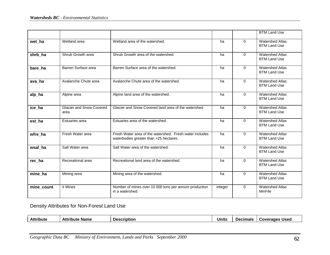|            |                                         |                                                                                                   |         |          | <b>BTM Land Use</b>                           |
|------------|-----------------------------------------|---------------------------------------------------------------------------------------------------|---------|----------|-----------------------------------------------|
| wet ha     | Wetland area                            | Wetland area of the watershed.                                                                    | ha      | $\Omega$ | <b>Watershed Atlas</b><br><b>BTM Land Use</b> |
| shrb_ha    | Shrub Growth area                       | Shrub Growth area of the watershed.                                                               | ha      | $\Omega$ | <b>Watershed Atlas</b><br><b>BTM Land Use</b> |
| bare_ha    | Barren Surface area                     | Barren Surface area of the watershed.                                                             | ha      | $\Omega$ | <b>Watershed Atlas</b><br><b>BTM Land Use</b> |
| ava_ha     | Avalanche Chute area                    | Avalanche Chute area of the watershed.                                                            | ha      | $\Omega$ | <b>Watershed Atlas</b><br><b>BTM Land Use</b> |
| alp_ha     | Alpine area                             | Alpine land area of the watershed.                                                                | ha      | $\Omega$ | <b>Watershed Atlas</b><br><b>BTM Land Use</b> |
| ice ha     | <b>Glacier and Snow Covered</b><br>area | Glacier and Snow Covered land area of the watershed                                               | ha      | $\Omega$ | <b>Watershed Atlas</b><br><b>BTM Land Use</b> |
| est ha     | Estuaries area                          | Estuaries area of the watershed.                                                                  | ha      | $\Omega$ | <b>Watershed Atlas</b><br><b>BTM Land Use</b> |
| wfre_ha    | Fresh Water area                        | Fresh Water area of the watershed. Fresh water includes<br>waterbodies greater than >25 hectares. | ha      | $\Omega$ | <b>Watershed Atlas</b><br><b>BTM Land Use</b> |
| wsal ha    | Salt Water area                         | Salt Water area of the watershed.                                                                 | ha      | $\Omega$ | <b>Watershed Atlas</b><br><b>BTM Land Use</b> |
| rec ha     | Recreational area                       | Recreational land area of the watershed.                                                          | ha      | $\Omega$ | Watershed Atlas<br><b>BTM Land Use</b>        |
| mine_ha    | Mining area                             | Mining area of the watershed.                                                                     | ha      | $\Omega$ | <b>Watershed Atlas</b><br><b>BTM Land Use</b> |
| mine_count | # Mines                                 | Number of mines over 10 000 tons per annum production<br>in a watershed.                          | integer | $\Omega$ | <b>Watershed Atlas</b><br>MinFile             |

## Density Attributes for Non-Forest Land Use

| <b>Attribute</b><br>Attribute<br>Coverages Used<br><b>Name</b><br>Jnıts<br><b>Decimals</b><br><b>Description</b> |  |
|------------------------------------------------------------------------------------------------------------------|--|
|------------------------------------------------------------------------------------------------------------------|--|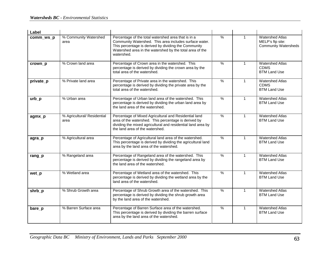| Label     |                                     |                                                                                                                                                                                                                                                 |               |              |                                                                           |
|-----------|-------------------------------------|-------------------------------------------------------------------------------------------------------------------------------------------------------------------------------------------------------------------------------------------------|---------------|--------------|---------------------------------------------------------------------------|
| comm_ws_p | % Community Watershed<br>area       | Percentage of the total watershed area that is in a<br>Community Watershed. This area includes surface water.<br>This percentage is derived by dividing the Community<br>Watershed area in the watershed by the total area of the<br>watershed. | $\frac{9}{6}$ | $\mathbf{1}$ | <b>Watershed Atlas</b><br>MELP's ftp site:<br><b>Community Watersheds</b> |
| crown_p   | % Crown land area                   | Percentage of Crown area in the watershed. This<br>percentage is derived by dividing the crown area by the<br>total area of the watershed.                                                                                                      | $\frac{0}{0}$ | $\mathbf{1}$ | <b>Watershed Atlas</b><br><b>CDMS</b><br><b>BTM Land Use</b>              |
| private_p | % Private land area                 | Percentage of Private area in the watershed. This<br>percentage is derived by dividing the private area by the<br>total area of the watershed.                                                                                                  | $\frac{9}{6}$ | $\mathbf{1}$ | <b>Watershed Atlas</b><br><b>CDMS</b><br><b>BTM Land Use</b>              |
| $urb$ $p$ | % Urban area                        | Percentage of Urban land area of the watershed. This<br>percentage is derived by dividing the urban land area by<br>the land area of the watershed.                                                                                             | $\%$          | $\mathbf{1}$ | <b>Watershed Atlas</b><br><b>BTM Land Use</b>                             |
| agmx_p    | % Agricultural/ Residential<br>area | Percentage of Mixed Agricultural and Residential land<br>area of the watershed. This percentage is derived by<br>dividing the mixed agricultural and residential land area by<br>the land area of the watershed.                                | $\%$          | $\mathbf{1}$ | <b>Watershed Atlas</b><br><b>BTM Land Use</b>                             |
| agra_p    | % Agricultural area                 | Percentage of Agricultural land area of the watershed.<br>This percentage is derived by dividing the agricultural land<br>area by the land area of the watershed.                                                                               | $\%$          | $\mathbf{1}$ | <b>Watershed Atlas</b><br><b>BTM Land Use</b>                             |
| rang $_p$ | % Rangeland area                    | Percentage of Rangeland area of the watershed. This<br>percentage is derived by dividing the rangeland area by<br>the land area of the watershed.                                                                                               | $\frac{0}{6}$ | $\mathbf{1}$ | <b>Watershed Atlas</b><br><b>BTM Land Use</b>                             |
| wet_p     | % Wetland area                      | Percentage of Wetland area of the watershed. This<br>percentage is derived by dividing the wetland area by the<br>land area of the watershed.                                                                                                   | $\frac{0}{0}$ | $\mathbf{1}$ | <b>Watershed Atlas</b><br><b>BTM Land Use</b>                             |
| shrb_p    | % Shrub Growth area                 | Percentage of Shrub Growth area of the watershed. This<br>percentage is derived by dividing the shrub growth area<br>by the land area of the watershed.                                                                                         | $\frac{9}{6}$ | $\mathbf{1}$ | Watershed Atlas<br><b>BTM Land Use</b>                                    |
| bare_p    | % Barren Surface area               | Percentage of Barren Surface area of the watershed.<br>This percentage is derived by dividing the barren surface<br>area by the land area of the watershed.                                                                                     | $\frac{9}{6}$ | $\mathbf{1}$ | <b>Watershed Atlas</b><br><b>BTM Land Use</b>                             |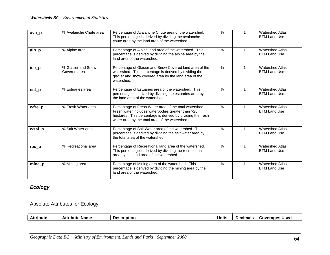| ava_p    | % Avalanche Chute area             | Percentage of Avalanche Chute area of the watershed.<br>This percentage is derived by dividing the avalanche<br>chute area by the land area of the watershed.                                                               | $\%$          |              | <b>Watershed Atlas</b><br><b>BTM Land Use</b> |
|----------|------------------------------------|-----------------------------------------------------------------------------------------------------------------------------------------------------------------------------------------------------------------------------|---------------|--------------|-----------------------------------------------|
| $alp_p$  | % Alpine area                      | Percentage of Alpine land area of the watershed. This<br>percentage is derived by dividing the alpine area by the<br>land area of the watershed.                                                                            | $\%$          | 1            | <b>Watershed Atlas</b><br><b>BTM Land Use</b> |
| ice_p    | % Glacier and Snow<br>Covered area | Percentage of Glacier and Snow Covered land area of the<br>watershed. This percentage is derived by dividing the<br>glacier and snow covered area by the land area of the<br>watershed.                                     | $\%$          | 1            | <b>Watershed Atlas</b><br><b>BTM Land Use</b> |
| est_p    | % Estuaries area                   | Percentage of Estuaries area of the watershed. This<br>percentage is derived by dividing the estuaries area by<br>the land area of the watershed.                                                                           | %             |              | <b>Watershed Atlas</b><br><b>BTM Land Use</b> |
| $wfre_p$ | % Fresh Water area                 | Percentage of Fresh Water area of the total watershed.<br>Fresh water includes waterbodies greater than >25<br>hectares. This percentage is derived by dividing the fresh<br>water area by the total area of the watershed. | $\frac{0}{0}$ |              | <b>Watershed Atlas</b><br><b>BTM Land Use</b> |
| wsal_p   | % Salt Water area                  | Percentage of Salt Water area of the watershed. This<br>percentage is derived by dividing the salt water area by<br>the total area of the watershed.                                                                        | $\%$          |              | <b>Watershed Atlas</b><br><b>BTM Land Use</b> |
| $rec_p$  | % Recreational area                | Percentage of Recreational land area of the watershed.<br>This percentage is derived by dividing the recreational<br>area by the land area of the watershed.                                                                | $\frac{9}{6}$ | 1            | <b>Watershed Atlas</b><br><b>BTM Land Use</b> |
| $mine_p$ | % Mining area                      | Percentage of Mining area of the watershed. This<br>percentage is derived by dividing the mining area by the<br>land area of the watershed.                                                                                 | $\%$          | $\mathbf{1}$ | <b>Watershed Atlas</b><br><b>BTM Land Use</b> |

# *Ecology*

## Absolute Attributes for Ecology

| Attribute<br><b>Attribute</b><br><b>Description</b><br>Units<br>Used<br>Name<br>Decimals<br>Coverages<br>лш |
|-------------------------------------------------------------------------------------------------------------|
|-------------------------------------------------------------------------------------------------------------|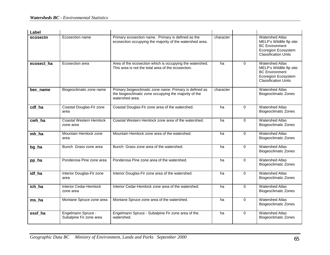| Label      |                                               |                                                                                                                                     |           |             |                                                                                                                                    |
|------------|-----------------------------------------------|-------------------------------------------------------------------------------------------------------------------------------------|-----------|-------------|------------------------------------------------------------------------------------------------------------------------------------|
| ecosectn   | Ecosection name                               | Primary ecosection name. Primary is defined as the<br>ecosection occupying the majority of the watershed area.                      | character |             | <b>Watershed Atlas</b><br>MELP's Wildlife ftp site:<br><b>BC</b> Environment<br>Ecoregion Ecosystem<br><b>Classification Units</b> |
| ecosect ha | Ecosection area                               | Area of the ecosection which is occupying the watershed.<br>This area is not the total area of the ecosection.                      | ha        | $\Omega$    | <b>Watershed Atlas</b><br>MELP's Wildlife ftp site:<br><b>BC Environment</b><br>Ecoregion Ecosystem<br><b>Classification Units</b> |
| bec_name   | Biogeoclimatic zone name                      | Primary biogeoclimatic zone name. Primary is defined as<br>the biogeoclimatic zone occupying the majority of the<br>watershed area. | character |             | <b>Watershed Atlas</b><br><b>Biogeoclimatic Zones</b>                                                                              |
| cdf ha     | Coastal Douglas-Fir zone<br>area              | Coastal Douglas-Fir zone area of the watershed.                                                                                     | ha        | 0           | <b>Watershed Atlas</b><br><b>Biogeoclimatic Zones</b>                                                                              |
| cwh ha     | <b>Coastal Western Hemlock</b><br>zone area   | Coastal Western Hemlock zone area of the watershed.                                                                                 | ha        | $\Omega$    | <b>Watershed Atlas</b><br><b>Biogeoclimatic Zones</b>                                                                              |
| mh_ha      | Mountain Hemlock zone<br>area                 | Mountain Hemlock zone area of the watershed.                                                                                        | ha        | 0           | <b>Watershed Atlas</b><br><b>Biogeoclimatic Zones</b>                                                                              |
| bg_ha      | Bunch Grass zone area                         | Bunch Grass zone area of the watershed.                                                                                             | ha        | 0           | <b>Watershed Atlas</b><br><b>Biogeoclimatic Zones</b>                                                                              |
| pp_ha      | Ponderosa Pine zone area                      | Ponderosa Pine zone area of the watershed.                                                                                          | ha        | $\mathbf 0$ | <b>Watershed Atlas</b><br><b>Biogeoclimatic Zones</b>                                                                              |
| idf_ha     | Interior Douglas-Fir zone<br>area             | Interior Douglas-Fir zone area of the watershed.                                                                                    | ha        | $\Omega$    | <b>Watershed Atlas</b><br><b>Biogeoclimatic Zones</b>                                                                              |
| ich_ha     | <b>Interior Cedar-Hemlock</b><br>zone area    | Interior Cedar-Hemlock zone area of the watershed.                                                                                  | ha        | 0           | <b>Watershed Atlas</b><br><b>Biogeoclimatic Zones</b>                                                                              |
| ms_ha      | Montane Spruce zone area                      | Montane Spruce zone area of the watershed.                                                                                          | ha        | 0           | <b>Watershed Atlas</b><br><b>Biogeoclimatic Zones</b>                                                                              |
| essf ha    | Engelmann Spruce -<br>Subalpine Fir zone area | Engelmann Spruce - Subalpine Fir zone area of the<br>watershed.                                                                     | ha        | $\Omega$    | <b>Watershed Atlas</b><br><b>Biogeoclimatic Zones</b>                                                                              |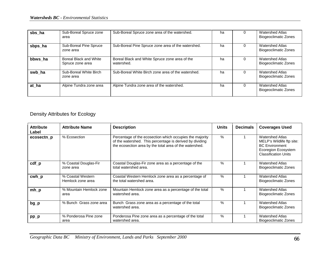| sbs ha  | Sub-Boreal Spruce zone<br>area                    | Sub-Boreal Spruce zone area of the watershed.                | ha | Watershed Atlas<br><b>Biogeoclimatic Zones</b>        |
|---------|---------------------------------------------------|--------------------------------------------------------------|----|-------------------------------------------------------|
| sbps_ha | Sub-Boreal Pine Spruce<br>zone area               | Sub-Boreal Pine Spruce zone area of the watershed.           | ha | <b>Watershed Atlas</b><br><b>Biogeoclimatic Zones</b> |
| bbws ha | <b>Boreal Black and White</b><br>Spruce zone area | Boreal Black and White Spruce zone area of the<br>watershed. | ha | <b>Watershed Atlas</b><br><b>Biogeoclimatic Zones</b> |
| swb ha  | Sub-Boreal White Birch<br>zone area               | Sub-Boreal White Birch zone area of the watershed.           | ha | <b>Watershed Atlas</b><br><b>Biogeoclimatic Zones</b> |
| at ha   | Alpine Tundra zone area                           | Alpine Tundra zone area of the watershed.                    | ha | <b>Watershed Atlas</b><br><b>Biogeoclimatic Zones</b> |

# Density Attributes for Ecology

| <b>Attribute</b><br>Label | <b>Attribute Name</b>                  | <b>Description</b>                                                                                                                                                              | <b>Units</b> | <b>Decimals</b> | <b>Coverages Used</b>                                                                                                              |
|---------------------------|----------------------------------------|---------------------------------------------------------------------------------------------------------------------------------------------------------------------------------|--------------|-----------------|------------------------------------------------------------------------------------------------------------------------------------|
| ecosectn_p                | % Ecosection                           | Percentage of the ecosection which occupies the majority<br>of the watershed. This percentage is derived by dividing<br>the ecosection area by the total area of the watershed. | $\%$         |                 | <b>Watershed Atlas</b><br>MELP's Wildlife ftp site:<br><b>BC Environment</b><br>Ecoregion Ecosystem<br><b>Classification Units</b> |
| $cdf_p$                   | % Coastal Douglas-Fir<br>zone area     | Coastal Douglas-Fir zone area as a percentage of the<br>total watershed area.                                                                                                   | $\%$         |                 | <b>Watershed Atlas</b><br><b>Biogeoclimatic Zones</b>                                                                              |
| cwh_p                     | % Coastal Western<br>Hemlock zone area | Coastal Western Hemlock zone area as a percentage of<br>the total watershed area.                                                                                               | %            |                 | <b>Watershed Atlas</b><br><b>Biogeoclimatic Zones</b>                                                                              |
| $mh_p$                    | % Mountain Hemlock zone<br>area        | Mountain Hemlock zone area as a percentage of the total<br>watershed area.                                                                                                      | %            |                 | <b>Watershed Atlas</b><br><b>Biogeoclimatic Zones</b>                                                                              |
| $bg$ <sub>p</sub>         | % Bunch Grass zone area                | Bunch Grass zone area as a percentage of the total<br>watershed area.                                                                                                           | $\%$         |                 | <b>Watershed Atlas</b><br><b>Biogeoclimatic Zones</b>                                                                              |
| $pp_p$                    | % Ponderosa Pine zone<br>area          | Ponderosa Pine zone area as a percentage of the total<br>watershed area.                                                                                                        | $\%$         |                 | <b>Watershed Atlas</b><br><b>Biogeoclimatic Zones</b>                                                                              |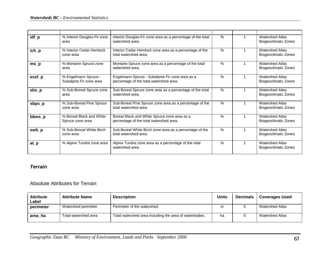| idf_p                          | % Interior Douglas-Fir zone<br>area             | Interior Douglas-Fir zone area as a percentage of the total<br>watershed area.             | $\%$ | <b>Watershed Atlas</b><br>Biogeoclimatic Zones        |
|--------------------------------|-------------------------------------------------|--------------------------------------------------------------------------------------------|------|-------------------------------------------------------|
| ich_p                          | % Interior Cedar-Hemlock<br>zone area           | Interior Cedar-Hemlock zone area as a percentage of the<br>total watershed area.           | $\%$ | <b>Watershed Atlas</b><br><b>Biogeoclimatic Zones</b> |
| $ms_p$                         | % Montane Spruce zone<br>area                   | Montane Spruce zone area as a percentage of the total<br>watershed area.                   | $\%$ | <b>Watershed Atlas</b><br>Biogeoclimatic Zones        |
| essf_p                         | % Engelmann Spruce -<br>Subalpine Fir zone area | Engelmann Spruce - Subalpine Fir zone area as a<br>percentage of the total watershed area. | $\%$ | <b>Watershed Atlas</b><br><b>Biogeoclimatic Zones</b> |
| $sbs$ <sub>p</sub>             | % Sub-Boreal Spruce zone<br>area                | Sub-Boreal Spruce zone area as a percentage of the total<br>watershed area.                | $\%$ | <b>Watershed Atlas</b><br><b>Biogeoclimatic Zones</b> |
| sbps                           | % Sub-Boreal Pine Spruce<br>zone area           | Sub-Boreal Pine Spruce zone area as a percentage of the<br>total watershed area.           | $\%$ | <b>Watershed Atlas</b><br><b>Biogeoclimatic Zones</b> |
| bbws_p                         | % Boreal Black and White<br>Spruce zone area    | Boreal Black and White Spruce zone area as a<br>percentage of the total watershed area.    | $\%$ | <b>Watershed Atlas</b><br><b>Biogeoclimatic Zones</b> |
| swb_p                          | % Sub-Boreal White Birch<br>zone area           | Sub-Boreal White Birch zone area as a percentage of the<br>total watershed area.           | $\%$ | <b>Watershed Atlas</b><br><b>Biogeoclimatic Zones</b> |
| $at$ <sub><math>p</math></sub> | % Alpine Tundra zone area                       | Alpine Tundra zone area as a percentage of the total<br>watershed area.                    | $\%$ | <b>Watershed Atlas</b><br><b>Biogeoclimatic Zones</b> |

## *Terrain*

#### Absolute Attributes for Terrain

| <b>Attribute</b><br>Label | <b>Attribute Name</b> | <b>Description</b>                                      | <b>Units</b> | <b>Decimals</b> | <b>Coverages Used</b> |
|---------------------------|-----------------------|---------------------------------------------------------|--------------|-----------------|-----------------------|
| perimeter                 | Watershed perimeter   | Perimeter of the watershed.                             | m            |                 | Watershed Atlas       |
| area ha                   | Total watershed area  | Total watershed area including the area of waterbodies. | ha           |                 | Watershed Atlas       |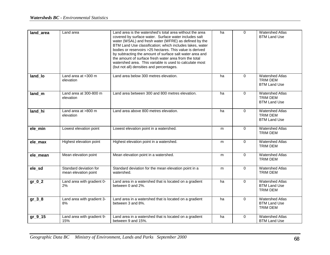| land area | Land area                                      | Land area is the watershed's total area without the area<br>covered by surface water. Surface water includes salt<br>water (WSAL) and fresh water (WFRE) as defined by the<br>BTM Land Use classification; which includes lakes, water<br>bodies or reservoirs > 25 hectares. This value is derived<br>by subtracting the amount of surface salt water area and<br>the amount of surface fresh water area from the total<br>watershed area. This variable is used to calculate most<br>(but not all) densities and percentages. | ha | 0           | <b>Watershed Atlas</b><br><b>BTM Land Use</b>                    |
|-----------|------------------------------------------------|---------------------------------------------------------------------------------------------------------------------------------------------------------------------------------------------------------------------------------------------------------------------------------------------------------------------------------------------------------------------------------------------------------------------------------------------------------------------------------------------------------------------------------|----|-------------|------------------------------------------------------------------|
| land_lo   | Land area at <300 m<br>elevation               | Land area below 300 metres elevation.                                                                                                                                                                                                                                                                                                                                                                                                                                                                                           | ha | 0           | <b>Watershed Atlas</b><br><b>TRIM DEM</b><br><b>BTM Land Use</b> |
| land_m    | Land area at $300-800$ m<br>elevation          | Land area between 300 and 800 metres elevation.                                                                                                                                                                                                                                                                                                                                                                                                                                                                                 | ha | $\Omega$    | <b>Watershed Atlas</b><br><b>TRIM DEM</b><br><b>BTM Land Use</b> |
| land hi   | Land area at >800 m<br>elevation               | Land area above 800 metres elevation.                                                                                                                                                                                                                                                                                                                                                                                                                                                                                           | ha | 0           | <b>Watershed Atlas</b><br><b>TRIM DEM</b><br><b>BTM Land Use</b> |
| ele_min   | Lowest elevation point                         | Lowest elevation point in a watershed.                                                                                                                                                                                                                                                                                                                                                                                                                                                                                          | m  | $\mathbf 0$ | <b>Watershed Atlas</b><br><b>TRIM DEM</b>                        |
| ele max   | Highest elevation point                        | Highest elevation point in a watershed.                                                                                                                                                                                                                                                                                                                                                                                                                                                                                         | m  | $\mathbf 0$ | <b>Watershed Atlas</b><br><b>TRIM DEM</b>                        |
| ele mean  | Mean elevation point                           | Mean elevation point in a watershed.                                                                                                                                                                                                                                                                                                                                                                                                                                                                                            | m  | $\mathbf 0$ | <b>Watershed Atlas</b><br><b>TRIM DEM</b>                        |
| ele_sd    | Standard deviation for<br>mean elevation point | Standard deviation for the mean elevation point in a<br>watershed.                                                                                                                                                                                                                                                                                                                                                                                                                                                              | m  | 0           | <b>Watershed Atlas</b><br><b>TRIM DEM</b>                        |
| $gr_0_2$  | Land area with gradient 0-<br>2%               | Land area in a watershed that is located on a gradient<br>between 0 and 2%.                                                                                                                                                                                                                                                                                                                                                                                                                                                     | ha | $\Omega$    | <b>Watershed Atlas</b><br><b>BTM Land Use</b><br><b>TRIM DEM</b> |
| $gr_3_8$  | Land area with gradient 3-<br>8%               | Land area in a watershed that is located on a gradient<br>between 3 and 8%.                                                                                                                                                                                                                                                                                                                                                                                                                                                     | ha | 0           | <b>Watershed Atlas</b><br><b>BTM Land Use</b><br><b>TRIM DEM</b> |
| $gr_9_13$ | Land area with gradient 9-<br>15%              | Land area in a watershed that is located on a gradient<br>between 9 and 15%.                                                                                                                                                                                                                                                                                                                                                                                                                                                    | ha | 0           | <b>Watershed Atlas</b><br><b>BTM Land Use</b>                    |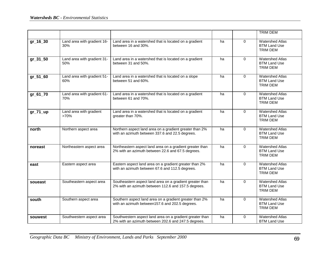|              |                                    |                                                                                                                 |    |             | <b>TRIM DEM</b>                                                  |
|--------------|------------------------------------|-----------------------------------------------------------------------------------------------------------------|----|-------------|------------------------------------------------------------------|
| $gr_{16}$ 30 | Land area with gradient 16-<br>30% | Land area in a watershed that is located on a gradient<br>between 16 and 30%.                                   | ha | $\Omega$    | <b>Watershed Atlas</b><br><b>BTM Land Use</b><br><b>TRIM DEM</b> |
| gr_31_50     | Land area with gradient 31-<br>50% | Land area in a watershed that is located on a gradient<br>between 31 and 50%.                                   | ha | $\mathbf 0$ | <b>Watershed Atlas</b><br><b>BTM Land Use</b><br><b>TRIM DEM</b> |
| gr_51_60     | Land area with gradient 51-<br>60% | Land area in a watershed that is located on a slope<br>between 51 and 60%.                                      | ha | 0           | <b>Watershed Atlas</b><br><b>BTM Land Use</b><br><b>TRIM DEM</b> |
| gr_61_70     | Land area with gradient 61-<br>70% | Land area in a watershed that is located on a gradient<br>between 61 and 70%.                                   | ha | 0           | <b>Watershed Atlas</b><br><b>BTM Land Use</b><br><b>TRIM DEM</b> |
| $gr_71_\mu$  | Land area with gradient<br>>70%    | Land area in a watershed that is located on a gradient<br>greater than 70%.                                     | ha | $\Omega$    | <b>Watershed Atlas</b><br><b>BTM Land Use</b><br><b>TRIM DEM</b> |
| north        | Northern aspect area               | Northern aspect land area on a gradient greater than 2%<br>with an azimuth between 337.6 and 22.5 degrees.      | ha | $\Omega$    | <b>Watershed Atlas</b><br><b>BTM Land Use</b><br><b>TRIM DEM</b> |
| noreast      | Northeastern aspect area           | Northeastern aspect land area on a gradient greater than<br>2% with an azimuth between 22.6 and 67.5 degrees.   | ha | $\mathbf 0$ | <b>Watershed Atlas</b><br><b>BTM Land Use</b><br><b>TRIM DEM</b> |
| east         | Eastern aspect area                | Eastern aspect land area on a gradient greater than 2%<br>with an azimuth between 67.6 and 112.5 degrees.       | ha | $\Omega$    | <b>Watershed Atlas</b><br><b>BTM Land Use</b><br><b>TRIM DEM</b> |
| soueast      | Southeastern aspect area           | Southeastern aspect land area on a gradient greater than<br>2% with an azimuth between 112.6 and 157.5 degrees. | ha | $\Omega$    | <b>Watershed Atlas</b><br><b>BTM Land Use</b><br><b>TRIM DEM</b> |
| south        | Southern aspect area               | Southern aspect land area on a gradient greater than 2%<br>with an azimuth between157.6 and 202.5 degrees.      | ha | 0           | <b>Watershed Atlas</b><br><b>BTM Land Use</b><br><b>TRIM DEM</b> |
| souwest      | Southwestern aspect area           | Southwestern aspect land area on a gradient greater than<br>2% with an azimuth between 202.6 and 247.5 degrees. | ha | $\mathbf 0$ | <b>Watershed Atlas</b><br><b>BTM Land Use</b>                    |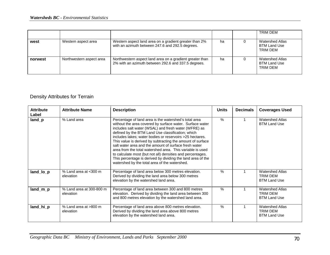|         |                          |                                                                                                                 |    | TRIM DEM                                                  |
|---------|--------------------------|-----------------------------------------------------------------------------------------------------------------|----|-----------------------------------------------------------|
| west    | Western aspect area      | Western aspect land area on a gradient greater than 2%<br>with an azimuth between 247.6 and 292.5 degrees.      | ha | Watershed Atlas<br><b>BTM Land Use</b><br>TRIM DEM        |
| norwest | Northwestern aspect area | Northwestern aspect land area on a gradient greater than<br>2% with an azimuth between 292.6 and 337.5 degrees. | ha | <b>Watershed Atlas</b><br><b>BTM Land Use</b><br>TRIM DFM |

## Density Attributes for Terrain

| <b>Attribute</b><br>Label | <b>Attribute Name</b>                 | <b>Description</b>                                                                                                                                                                                                                                                                                                                                                                                                                                                                                                                                                                                                                                           | <b>Units</b> | <b>Decimals</b> | <b>Coverages Used</b>                                     |
|---------------------------|---------------------------------------|--------------------------------------------------------------------------------------------------------------------------------------------------------------------------------------------------------------------------------------------------------------------------------------------------------------------------------------------------------------------------------------------------------------------------------------------------------------------------------------------------------------------------------------------------------------------------------------------------------------------------------------------------------------|--------------|-----------------|-----------------------------------------------------------|
| land_p                    | % Land area                           | Percentage of land area is the watershed's total area<br>without the area covered by surface water. Surface water<br>includes salt water (WSAL) and fresh water (WFRE) as<br>defined by the BTM Land Use classification; which<br>includes lakes; water bodies or reservoirs >25 hectares.<br>This value is derived by subtracting the amount of surface<br>salt water area and the amount of surface fresh water<br>area from the total watershed area. This variable is used<br>to calculate most (but not all) densities and percentages.<br>This percentage is derived by dividing the land area of the<br>watershed by the total area of the watershed. | $\%$         |                 | <b>Watershed Atlas</b><br><b>BTM Land Use</b>             |
| land_lo_p                 | % Land area at <300 m<br>elevation    | Percentage of land area below 300 metres elevation.<br>Derived by dividing the land area below 300 metres<br>elevation by the watershed land area.                                                                                                                                                                                                                                                                                                                                                                                                                                                                                                           | $\%$         |                 | <b>Watershed Atlas</b><br>TRIM DEM<br><b>BTM Land Use</b> |
| land_m_p                  | % Land area at 300-800 m<br>elevation | Percentage of land area between 300 and 800 metres<br>elevation. Derived by dividing the land area between 300<br>and 800 metres elevation by the watershed land area.                                                                                                                                                                                                                                                                                                                                                                                                                                                                                       | $\%$         |                 | <b>Watershed Atlas</b><br>TRIM DEM<br><b>BTM Land Use</b> |
| land_hi_p                 | % Land area at >800 m<br>elevation    | Percentage of land area above 800 metres elevation.<br>Derived by dividing the land area above 800 metres<br>elevation by the watershed land area.                                                                                                                                                                                                                                                                                                                                                                                                                                                                                                           | $\%$         |                 | <b>Watershed Atlas</b><br>TRIM DEM<br><b>BTM Land Use</b> |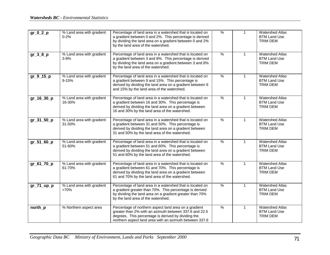| $gr_0_2_p$       | % Land area with gradient<br>$0 - 2%$ | Percentage of land area in a watershed that is located on<br>a gradient between 0 and 2%. This percentage is derived<br>by dividing the land area on a gradient between 0 and 2%<br>by the land area of the watershed.            | $\frac{9}{6}$ | $\mathbf{1}$ | <b>Watershed Atlas</b><br><b>BTM Land Use</b><br><b>TRIM DEM</b> |
|------------------|---------------------------------------|-----------------------------------------------------------------------------------------------------------------------------------------------------------------------------------------------------------------------------------|---------------|--------------|------------------------------------------------------------------|
| $gr_3_8_p$       | % Land area with gradient<br>$3 - 8%$ | Percentage of land area in a watershed that is located on<br>a gradient between 3 and 8%. This percentage is derived<br>by dividing the land area on a gradient between 3 and 8%<br>by the land area of the watershed.            | $\%$          | $\mathbf{1}$ | <b>Watershed Atlas</b><br><b>BTM Land Use</b><br><b>TRIM DEM</b> |
| $gr_9_15_p$      | % Land area with gradient<br>9-15%    | Percentage of land area in a watershed that is located on<br>a gradient between 9 and 15%. This percentage is<br>derived by dividing the land area on a gradient between 9<br>and 15% by the land area of the watershed.          | $\frac{9}{6}$ | $\mathbf{1}$ | <b>Watershed Atlas</b><br><b>BTM Land Use</b><br><b>TRIM DEM</b> |
| gr_16_30_p       | % Land area with gradient<br>16-30%   | Percentage of land area in a watershed that is located on<br>a gradient between 16 and 30%. This percentage is<br>derived by dividing the land area on a gradient between<br>16 and 30% by the land area of the watershed.        | $\%$          | $\mathbf{1}$ | <b>Watershed Atlas</b><br><b>BTM Land Use</b><br><b>TRIM DEM</b> |
| gr_31_50_p       | % Land area with gradient<br>31-50%   | Percentage of land area in a watershed that is located on<br>a gradient between 31 and 50%. This percentage is<br>derived by dividing the land area on a gradient between<br>31 and 50% by the land area of the watershed.        | $\frac{9}{6}$ | $\mathbf{1}$ | <b>Watershed Atlas</b><br><b>BTM Land Use</b><br><b>TRIM DEM</b> |
| gr_51_60_p       | % Land area with gradient<br>51-60%   | Percentage of land area in a watershed that is located on<br>a gradient between 51 and 60%. This percentage is<br>derived by dividing the land area on a gradient between<br>51 and 60% by the land area of the watershed.        | $\frac{9}{6}$ | $\mathbf{1}$ | <b>Watershed Atlas</b><br><b>BTM Land Use</b><br><b>TRIM DEM</b> |
| gr_61_70_p       | % Land area with gradient<br>61-70%   | Percentage of land area in a watershed that is located on<br>a gradient between 61 and 70%. This percentage is<br>derived by dividing the land area on a gradient between<br>61 and 70% by the land area of the watershed.        | $\frac{9}{6}$ | $\mathbf{1}$ | <b>Watershed Atlas</b><br><b>BTM Land Use</b><br><b>TRIM DEM</b> |
| $gr_71_\mu pp_p$ | % Land area with gradient<br>>70%     | Percentage of land area in a watershed that is located on<br>a gradient greater than 70%. This percentage is derived<br>by dividing the land area on a gradient greater than 70%<br>by the land area of the watershed.            | $\frac{0}{6}$ | $\mathbf{1}$ | <b>Watershed Atlas</b><br><b>BTM Land Use</b><br><b>TRIM DEM</b> |
| north_p          | % Northern aspect area                | Percentage of northern aspect land area on a gradient<br>greater than 2% with an azimuth between 337.6 and 22.5<br>degrees. This percentage is derived by dividing the<br>northern aspect land area with an azimuth between 337.6 | $\frac{9}{6}$ | $\mathbf{1}$ | <b>Watershed Atlas</b><br><b>BTM Land Use</b><br><b>TRIM DEM</b> |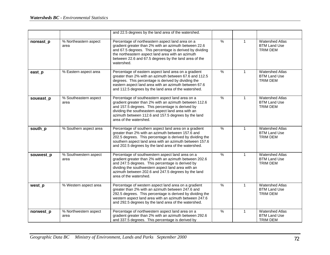|           |                               | and 22.5 degrees by the land area of the watershed.                                                                                                                                                                                                                                                   |               |              |                                                                  |
|-----------|-------------------------------|-------------------------------------------------------------------------------------------------------------------------------------------------------------------------------------------------------------------------------------------------------------------------------------------------------|---------------|--------------|------------------------------------------------------------------|
| noreast_p | % Northeastern aspect<br>area | Percentage of northeastern aspect land area on a<br>gradient greater than 2% with an azimuth between 22.6<br>and 67.5 degrees. This percentage is derived by dividing<br>the northeastern aspect land area with an azimuth<br>between 22.6 and 67.5 degrees by the land area of the<br>watershed.     | $\frac{9}{6}$ | $\mathbf{1}$ | <b>Watershed Atlas</b><br><b>BTM Land Use</b><br><b>TRIM DEM</b> |
| east_p    | % Eastern aspect area         | Percentage of eastern aspect land area on a gradient<br>greater than 2% with an azimuth between 67.6 and 112.5<br>degrees. This percentage is derived by dividing the<br>eastern aspect land area with an azimuth between 67.6<br>and 112.5 degrees by the land area of the watershed.                | $\%$          | $\mathbf{1}$ | <b>Watershed Atlas</b><br><b>BTM Land Use</b><br><b>TRIM DEM</b> |
| soueast_p | % Southeastern aspect<br>area | Percentage of southeastern aspect land area on a<br>gradient greater than 2% with an azimuth between 112.6<br>and 157.5 degrees. This percentage is derived by<br>dividing the southeastern aspect land area with an<br>azimuth between 112.6 and 157.5 degrees by the land<br>area of the watershed. | $\frac{0}{6}$ | $\mathbf{1}$ | <b>Watershed Atlas</b><br><b>BTM Land Use</b><br><b>TRIM DEM</b> |
| south_p   | % Southern aspect area        | Percentage of southern aspect land area on a gradient<br>greater than 2% with an azimuth between 157.6 and<br>202.5 degrees. This percentage is derived by dividing the<br>southern aspect land area with an azimuth between 157.6<br>and 202.5 degrees by the land area of the watershed.            | $\%$          | $\mathbf{1}$ | <b>Watershed Atlas</b><br><b>BTM Land Use</b><br><b>TRIM DEM</b> |
| souwest_p | % Southwestern aspect<br>area | Percentage of southwestern aspect land area on a<br>gradient greater than 2% with an azimuth between 202.6<br>and 247.5 degrees. This percentage is derived by<br>dividing the southwestern aspect land area with an<br>azimuth between 202.6 and 247.5 degrees by the land<br>area of the watershed. | $\frac{0}{6}$ | $\mathbf{1}$ | <b>Watershed Atlas</b><br><b>BTM Land Use</b><br><b>TRIM DEM</b> |
| west p    | % Western aspect area         | Percentage of western aspect land area on a gradient<br>greater than 2% with an azimuth between 247.6 and<br>292.5 degrees. This percentage is derived by dividing the<br>western aspect land area with an azimuth between 247.6<br>and 292.5 degrees by the land area of the watershed.              | $\%$          | $\mathbf{1}$ | <b>Watershed Atlas</b><br><b>BTM Land Use</b><br>TRIM DEM        |
| norwest_p | % Northwestern aspect<br>area | Percentage of northwestern aspect land area on a<br>gradient greater than 2% with an azimuth between 292.6<br>and 337.5 degrees. This percentage is derived by                                                                                                                                        | $\frac{0}{6}$ | $\mathbf{1}$ | <b>Watershed Atlas</b><br><b>BTM Land Use</b><br><b>TRIM DEM</b> |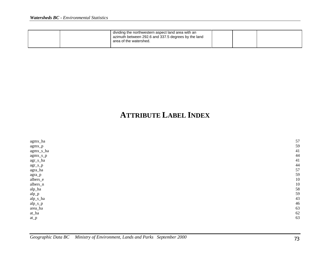|  | dividing the northwestern aspect land area with an<br>azimuth between 292.6 and 337.5 degrees by the land<br>area of the watershed. |  |  |
|--|-------------------------------------------------------------------------------------------------------------------------------------|--|--|
|  |                                                                                                                                     |  |  |

## **ATTRIBUTE LABEL INDEX**

| agmx_ha                | 57 |
|------------------------|----|
| agmx_p                 | 59 |
| agmx_s_ha              | 41 |
| agmx_s_p               | 44 |
| $agr_s_h$              | 41 |
| $agr_s_p$              | 44 |
| agra_ha                | 57 |
| agra_p                 | 59 |
| albers_e               | 10 |
| albers_n               | 10 |
| alp_ha                 | 58 |
| $alp$ <sub>-</sub> $p$ | 59 |
| alp_s_ha               | 43 |
| $alp_s_p$              | 46 |
| area_ha                | 63 |
| $at\_ha$               | 62 |
| $at_p$                 | 63 |
|                        |    |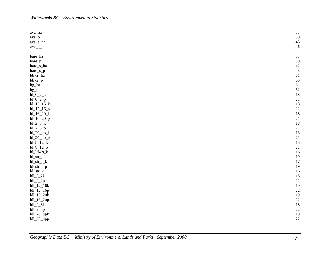| $\text{ava}\_\text{ha}$  | 57 |
|--------------------------|----|
| ava_p                    | 59 |
| ava_s_ha                 | 43 |
| ava_s_p                  | 46 |
| bare_ha                  | 57 |
| $\mbox{bare}\_p$         | 59 |
| bare_s_ha                | 42 |
| $bare_s_p$               | 45 |
| bbws_ha                  | 61 |
| bbws_p                   | 63 |
| bg_ha                    | 61 |
| bg_p                     | 62 |
| $bl_0_2_k$               | 18 |
| $bl_0_2_p$               | 21 |
| $bl_12_16_k$             | 18 |
| $bl_12_16_p$             | 21 |
| $bl_16_20_k$             | 18 |
| bl_16_20_p               | 21 |
| $bl_2_8_k$               | 18 |
| $bl_2_8_p$               | 21 |
| $bl_20_up_k$             | 18 |
| $bl_20_\upmu p_p$        | 21 |
| $bl_8_12_k$              | 18 |
| $bl_8_12_p$              | 21 |
| bl_lakes_k               | 16 |
| $bl\_str\_d$             | 19 |
| $bl\_str_f_k$            | 17 |
| bl_str_f_p               | 19 |
| $bl\_str\_k$             | 16 |
| $bll_0_2k$               | 18 |
| $bll_0_2p$               | 21 |
| $bl\_12\_16k$            | 19 |
| bll_12_16p               | 22 |
| bll_16_20k               | 19 |
| bll_16_20p               | 22 |
| $bll$ <sub>-2</sub> $8k$ | 18 |
| $bll_2 8p$               | 22 |
| bll_20_upk               | 19 |
| bll_20_upp               | 22 |
|                          |    |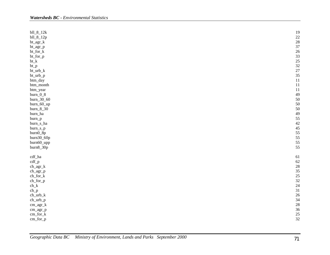| $bll_8_12k$                     | 19              |
|---------------------------------|-----------------|
| bll_8_12p                       |                 |
| $bt\_\text{agr_k}$              | $\frac{22}{28}$ |
| $bt\_\text{agr\_p}$             | 37              |
| bt_for_k                        | 26              |
| bt_for_p                        | 33              |
| $bt_k$                          | 25              |
|                                 |                 |
| $bt_p$                          | $\frac{32}{27}$ |
| $bt_urb_k$                      |                 |
| bt_urb_p                        | 35              |
| btm_day                         | 11              |
| btm_month                       | 11              |
| btm_year                        | 11              |
| $burn_0_8$                      | 49              |
| burn_30_60                      | 50              |
| burn_60_up                      | 50              |
| burn_8_30                       | 50              |
| burn_ha                         | 49              |
|                                 | 55              |
| burn_p                          |                 |
| burn_s_ha                       | $rac{42}{45}$   |
| burn_s_p                        |                 |
| burn0_8p                        | 55              |
| burn30_60p                      | 55              |
| burn60_upp                      | 55              |
| burn8_30p                       | 55              |
|                                 |                 |
| $\operatorname{cdf\_ha}$        | 61              |
| $\text{cdf\_p}$                 | 62              |
| $\operatorname{ch\_agr\_k}$     | 28              |
| ch_agr_p                        | 35              |
| $\rm ch\_for\_k$                | 25              |
|                                 | 32              |
| $ch_for_p$                      |                 |
| $\operatorname{ch}\nolimits\_k$ | 24              |
| $ch_p$                          | 31              |
| $ch_$ urb_k                     | 26              |
| $ch_$ urb_p                     | 34              |
| cm_agr_k                        | 28              |
| cm_agr_p                        | 36              |
| $cm_{for_k}$                    | 25              |
| cm_for_p                        | 32              |
|                                 |                 |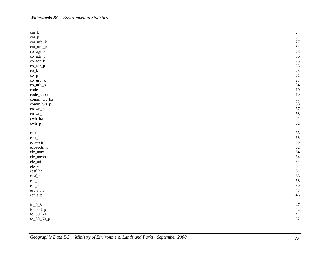| $cm_k$                         | 24 |
|--------------------------------|----|
|                                | 31 |
| $cm$ <sub>-p</sub>             |    |
| $cm_$ _urb_k                   | 27 |
| cm_urb_p                       | 34 |
| $co\_agr_k$                    | 28 |
| co_agr_p                       | 36 |
| $co_for_k$                     | 25 |
| $co_{p}for_{p}$                | 33 |
| $co_k$                         | 25 |
| $co_p$                         | 31 |
| $co\_urb_k$                    | 27 |
| co_urb_p                       | 34 |
| code                           | 10 |
| code_short                     | 10 |
| comm_ws_ha                     | 57 |
| comm_ws_p                      | 58 |
|                                | 57 |
| crown_ha                       | 58 |
| crown_p                        |    |
| cwh_ha                         | 61 |
| $\operatorname{cwh\_p}$        | 62 |
| east                           | 65 |
|                                | 68 |
| east_p                         |    |
| ecosectn                       | 60 |
| ecosectn_p                     | 62 |
| ele_max                        | 64 |
| ele_mean                       | 64 |
| ele_min                        | 64 |
| ele_sd                         | 64 |
| $\operatorname{\sf essf\_ha}$  | 61 |
| essf_p                         | 63 |
| $\mathop{\mathrm{est\_ha}}$    | 58 |
| $\ensuremath{\mathsf{est\_p}}$ | 60 |
| $est\_s\_ha$                   | 43 |
| est_s_p                        | 46 |
|                                |    |
| fo_0_8 $\,$                    | 47 |
| fo_0_8_p                       | 52 |
| $fo_30_60$                     | 47 |
| $fo_30_60_p$                   | 52 |
|                                |    |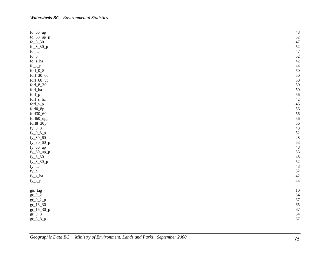| $fo_60_\upmu$         | 48              |
|-----------------------|-----------------|
| $fo_60_\upmu p_p$     | 52              |
| $fo_8_30$             | 47              |
| fo_8_30_p             |                 |
| fo_ha                 | $\frac{52}{47}$ |
| $fo_p$                | 52              |
| fo_s_ha               | 42              |
| $fo_s_p$              | 44              |
| forl_0_8 $\,$         | 50              |
| forl_30_60            | 50              |
|                       | 50              |
| forl_60_up            |                 |
| for $1_8_30$          | 50              |
| forl_ha               | 50              |
| forl_p                | 56              |
| forl_s_ha             | 42              |
| forl_s_p              | 45              |
| forl0_8p              | 56              |
| forl30_60p            | 56              |
| forl60_upp            | 56              |
| forl8_30p             | 56              |
| $fy_0_8$              | 48              |
| $fy_0_8_p$            | 52              |
| $fy_30_60$            | 48              |
| $fy_30_60_p$          | 53              |
| $fy_60_\mu$           | 48              |
| $fy_60_\uparrow$ up_p | 53              |
| $fy_8_30$             | 48              |
| $fy_8_30_p$           | 52              |
| fy_ha                 | 48              |
| $fy_p$                | 52              |
| fy_s_ha               | 42              |
| $fy_s_p$              | 44              |
|                       |                 |
| gis_tag               | 10              |
| $gr_0_2$              | 64              |
|                       | 67              |
| $gr_0_2_p$            | 65              |
| $gr_16_30$            |                 |
| $gr_16_30_p$          | 67              |
| $gr_3_8$              | 64              |
| $gr_3_8_p$            | 67              |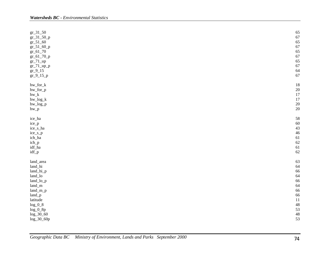| $gr_31_50$<br>$gr_31_50_p$<br>$gr_{51-60}$<br>$gr_51_60_p$<br>$gr_61_70$<br>$gr_61_70_p$<br>$gr_71$ _up<br>$gr_71_\uparrow\uparrow_p$<br>$gr_9_15$<br>$gr_9_15_p$ | 65<br>67<br>65<br>67<br>65<br>67<br>65<br>67<br>64<br>67 |
|-------------------------------------------------------------------------------------------------------------------------------------------------------------------|----------------------------------------------------------|
| $\,$ hw_for_k $\,$<br>hw_for_p<br>$\,$ hw $\,$ k<br>hw_log_k<br>hw_log_p<br>$hw_p$                                                                                | 18<br>20<br>17<br>17<br>20<br>20                         |
| ice_ha                                                                                                                                                            | 58                                                       |
| ice_p                                                                                                                                                             | 60                                                       |
| ice_s_ha                                                                                                                                                          | 43                                                       |
| ice_s_p                                                                                                                                                           | 46                                                       |
| ich_ha                                                                                                                                                            | 61                                                       |
| ich_p                                                                                                                                                             | 62                                                       |
| idf_ha                                                                                                                                                            | 61                                                       |
| idf_p                                                                                                                                                             | 62                                                       |
| land_area                                                                                                                                                         | 63                                                       |
| land_hi                                                                                                                                                           | 64                                                       |
| land_hi_p                                                                                                                                                         | 66                                                       |
| $land_$ lo                                                                                                                                                        | 64                                                       |
| land_lo_p                                                                                                                                                         | 66                                                       |
| $land\_m$                                                                                                                                                         | 64                                                       |
| $land\_m\_p$                                                                                                                                                      | 66                                                       |
| land_p                                                                                                                                                            | 66                                                       |
| latitude                                                                                                                                                          | 11                                                       |
| $log_0 0_8$                                                                                                                                                       | 48                                                       |
| $log_0_8p$                                                                                                                                                        | 53                                                       |
| $log\_30\_60$                                                                                                                                                     | 48                                                       |
| log_30_60p                                                                                                                                                        | 53                                                       |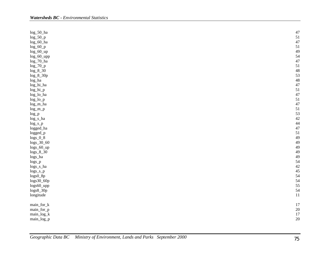| log_50_ha            | 47 |
|----------------------|----|
| $log_50_p$           | 51 |
| log_60_ha            | 47 |
| $log_60_p$           | 51 |
| $log_60$ _up         | 49 |
| log_60_upp           | 54 |
| $log_2 70_$ ha       | 47 |
| $log_2 70_p$         | 51 |
| $log_8 30$           | 48 |
| $log_8_30p$          | 53 |
| log_ha               | 48 |
| $\log\_hi\_ha$       | 47 |
| log_hi_p             | 51 |
| log_lo_ha            | 47 |
|                      | 51 |
| $log\_lo\_p$         | 47 |
| log_m_ha             | 51 |
| $log_m_p$            | 53 |
| $log_p$              |    |
| $log_s_h$            | 42 |
| $log_s_p$            | 44 |
| logged_ha            | 47 |
| logged_p             | 51 |
| $logs_0_8$           | 49 |
| $\log s\_30\_60$     | 49 |
| logs_60_up           | 49 |
| $logs_8_30$          | 49 |
| logs_ha              | 49 |
| $logs$ <sub>-p</sub> | 54 |
| logs_s_ha            | 42 |
| $logs_s_p$           | 45 |
| logs0_8p             | 54 |
| logs30_60p           | 54 |
| logs60_upp           | 55 |
| $logs8_30p$          | 54 |
| longitude            | 11 |
| main_for_k           | 17 |
| main_for_p           | 20 |
| main_log_k           | 17 |
| main_log_p           | 20 |
|                      |    |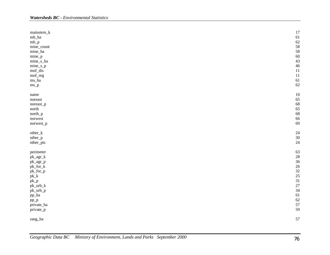| mainstem_k                              | 17 |
|-----------------------------------------|----|
| $mh_ha$                                 | 61 |
| $\rm{mh\_p}$                            | 62 |
| mine_count                              | 58 |
| mine_ha                                 | 58 |
| $mine_p$                                | 60 |
| mine_s_ha                               | 43 |
| $mine_s_p$                              | 46 |
| mof_dis                                 | 11 |
| mof_reg                                 | 11 |
| $\rm ms\_ha$                            | 61 |
| $ms_p$                                  | 62 |
| name                                    | 10 |
| noreast                                 | 65 |
| noreast_p                               | 68 |
| north                                   | 65 |
| $north\_p$                              | 68 |
| norwest                                 | 66 |
| norwest_p                               | 69 |
| other_k                                 | 24 |
| other_p                                 | 30 |
| other_pts                               | 24 |
| perimeter                               | 63 |
| $\mathrm{pk}\_\mathrm{agr}\_\mathrm{k}$ | 28 |
| pk_agr_p                                | 36 |
| pk_for_k                                | 26 |
| pk_for_p                                | 32 |
| $\ensuremath{\mathrm{pk}\_\mathrm{k}}$  | 25 |
| $pk\_p$                                 | 31 |
| pk_urb_k                                | 27 |
| pk_urb_p                                | 34 |
| pp_ha                                   | 61 |
| $pp_p$                                  | 62 |
| private_ha                              | 57 |
| private_p                               | 59 |
| $\,$ rang_ha                            | 57 |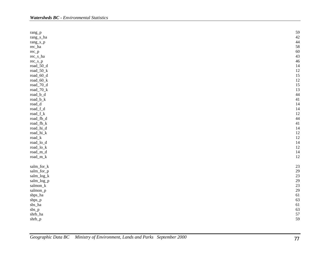| $rang_p$                    | 59            |
|-----------------------------|---------------|
| rang_s_ha                   | $rac{42}{44}$ |
| rang_s_p                    |               |
| rec_ha                      | 58            |
| $rec_p$                     | 60            |
| $rec_s_h$                   | 43            |
| $rec_s_p$                   | 46            |
| road_50_d                   | 14            |
| road_50_k                   | 12            |
| road_60_d                   | 15            |
| road_60_k                   | 12            |
| road_70_d                   | 15            |
| road_70_k                   | 13            |
| road_b_d                    | 44            |
| road_b_k                    | 41            |
| $\mathop{\mathrm{road\_d}}$ | 14            |
| $road_f_d$                  | 14            |
| $road_f_k$                  | 12            |
| road_fb_d                   | 44            |
| road_fb_k                   | 41            |
| road_hi_d                   | 14            |
| road_hi_k                   | 12            |
| $road_k$                    | 12            |
| road_lo_d                   | 14            |
| $road\_lo\_k$               | 12            |
| road_m_d                    | 14            |
| $road\_m\_k$                | 12            |
|                             |               |
| salm_for_k                  | 23            |
| salm_for_p                  | 29            |
| salm_log_k                  | 23            |
| salm_log_p                  | 29            |
| salmon_k                    | 23            |
| salmon_p                    | 29            |
| sbps_ha                     | 61            |
| sbps_p                      | 63            |
| sbs_ha                      | 61            |
| $sbs_p$                     | 63            |
| shrb_ha                     | 57            |
| shrb_p                      | 59            |
|                             |               |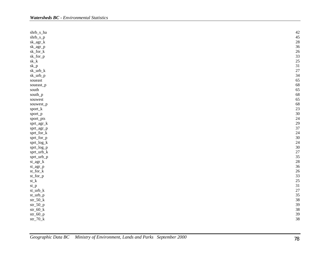| shrb_s_ha                                  | 42 |
|--------------------------------------------|----|
| $shrb_s_p$                                 | 45 |
| $\mathrm{sk}\_ \mathrm{agr}\_k$            | 28 |
| sk_agr_p                                   | 36 |
| sk_for_k                                   | 26 |
| sk_for_p                                   | 33 |
| $\ensuremath{sk}\_k$                       | 25 |
| sk_p                                       | 31 |
| $sk\_urb_k$                                | 27 |
| sk_urb_p                                   | 34 |
| $\rm{source}$                              | 65 |
| soueast_p                                  | 68 |
| south                                      | 65 |
| $\text{south\_p}$                          | 68 |
| souwest                                    | 65 |
| souwest_p                                  | 68 |
| sport_k                                    | 23 |
| sport_p                                    | 30 |
| sport_pts                                  | 24 |
| $spr\_agr\_k$                              | 29 |
| sprt_agr_p                                 | 37 |
| sprt_for_k                                 | 24 |
| sprt_for_p                                 | 30 |
| sprt_log_k                                 | 24 |
| sprt_log_p                                 | 30 |
| sprt_urb_k                                 | 27 |
| sprt_urb_p                                 | 35 |
| $\mathrm{st}\_{\mathrm{agr}\_{\mathrm{k}}$ | 28 |
| st_agr_p                                   | 36 |
| $st\_for\_k$                               | 26 |
| st_for_p                                   | 33 |
| $\tt st_k$                                 | 25 |
| $\mathrm{st}\_p$                           | 31 |
| $st\_urb\_k$                               | 27 |
| st_urb_p                                   | 35 |
| $str_50_k$                                 | 38 |
| $str_50_p$                                 | 39 |
| $str\_60\_k$                               | 38 |
| $str_60_p$                                 | 39 |
| $\mathrm{str\_}70\mathrm{\_}k$             | 38 |
|                                            |    |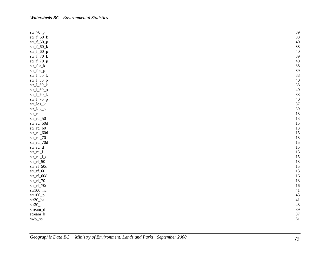| $str_70_p$                                                   | 39 |
|--------------------------------------------------------------|----|
| $str_f_50_k$                                                 | 38 |
| $str_f_50_p$                                                 | 40 |
| $str_f_60_k$                                                 | 38 |
| $str_f_60_p$                                                 | 40 |
| $str_f_70_k$                                                 | 39 |
| $str_f_70_p$                                                 | 40 |
| $str\_for\_k$                                                | 38 |
| str_for_p                                                    | 39 |
| $str_150_k$                                                  | 38 |
| $str_150_p$                                                  | 40 |
| $str_160_k$                                                  | 38 |
| $str_160_p$                                                  | 40 |
|                                                              |    |
| $str_170_k$                                                  | 38 |
| $str_l_70_p$                                                 | 40 |
| $\mathrm{str}\_\mathrm{log}\_\mathrm{k}$                     | 37 |
| str_log_p                                                    | 39 |
| $\ensuremath{\mathrm{str}\_}\xspace\ensuremath{\mathrm{rd}}$ | 13 |
| $str\_rd\_50$                                                | 13 |
| str_rd_50d                                                   | 15 |
| $str\_rd\_60$                                                | 13 |
| str_rd_60d                                                   | 15 |
| $str\_rd\_70$                                                | 13 |
| str_rd_70d                                                   | 15 |
| $\ensuremath{\mathrm{str}\_}\mathrm{rd}\_d$                  | 15 |
| $\ensuremath{\mathrm{str}\_}\mathrm{rd}\_f$                  | 13 |
| str_rd_f_d                                                   | 15 |
| $str\_rf\_50$                                                | 13 |
| str_rf_50d                                                   | 15 |
| $str\_rf\_60$                                                | 13 |
| str_rf_60d                                                   | 16 |
| $str\_rf\_70$                                                | 13 |
| $\mathrm{str\_rf\_70d}$                                      | 16 |
| $str100\_ha$                                                 | 41 |
| $str100_p$                                                   | 43 |
| $str30\_ha$                                                  | 41 |
| $str30_p$                                                    | 43 |
| $stream\_d$                                                  | 39 |
| stream_k                                                     | 37 |
|                                                              |    |
| swb_ha                                                       | 61 |